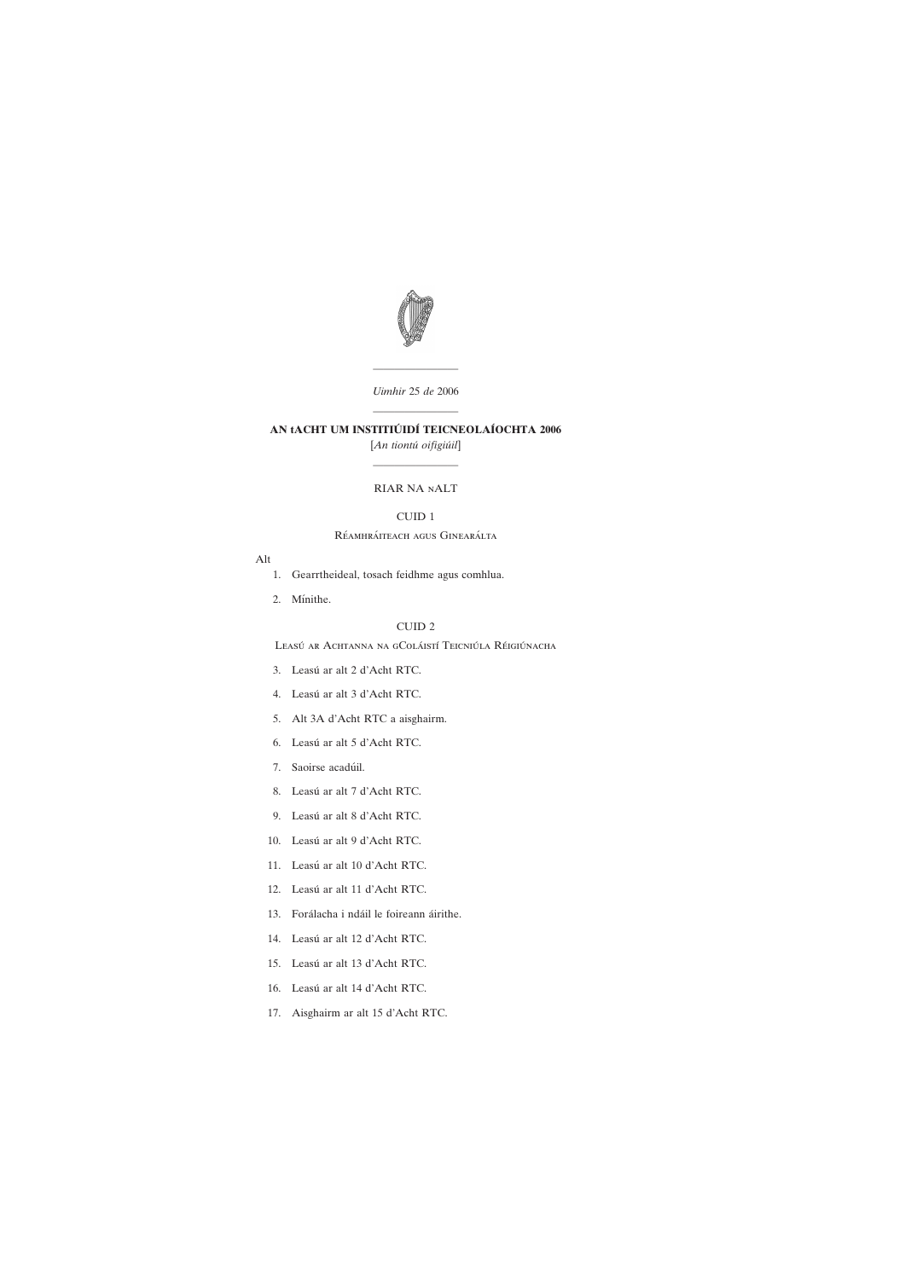————————

# ———————— AN tACHT UM INSTITIÚIDÍ TEICNEOLAÍOCHTA 2006



*Uimhir* 25 *de* 2006

- [1. Gearrtheideal, tosach feidhme agus comhlua.](#page-4-0)
- 2. Mínithe.

[*An tiontu´ oifigiu´il*] ————————

### RIAR NA nALT

# CUID 1

### Réamhráiteach agus Ginearálta

## Alt

## CUID 2

Leasú ar Achtanna na gColáistí Teicniúla Réigiúnacha

- 3. Leasú [ar alt 2 d'Acht RTC.](#page-5-0)
- 4. Leasú [ar alt 3 d'Acht RTC.](#page-5-0)
- [5. Alt 3A d'Acht RTC a aisghairm.](#page-6-0)
- 6. Leasú [ar alt 5 d'Acht RTC.](#page-7-0)
- 7. Saoirse acadúil.
- 8. Leasú [ar alt 7 d'Acht RTC.](#page-8-0)
- 9. Leasú [ar alt 8 d'Acht RTC.](#page-9-0)
- 10. Leasú [ar alt 9 d'Acht RTC.](#page-9-0)
- 11. Leasú [ar alt 10 d'Acht RTC.](#page-10-0)
- 12. Leasú [ar alt 11 d'Acht RTC.](#page-10-0)
- 13. Forálacha i ndáil le foireann áirithe.
- 14. Leasú [ar alt 12 d'Acht RTC.](#page-11-0)
- 15. Leasú [ar alt 13 d'Acht RTC.](#page-11-0)
- 
- 16. Leasú [ar alt 14 d'Acht RTC.](#page-13-0)
- [17. Aisghairm ar alt 15 d'Acht RTC.](#page-13-0)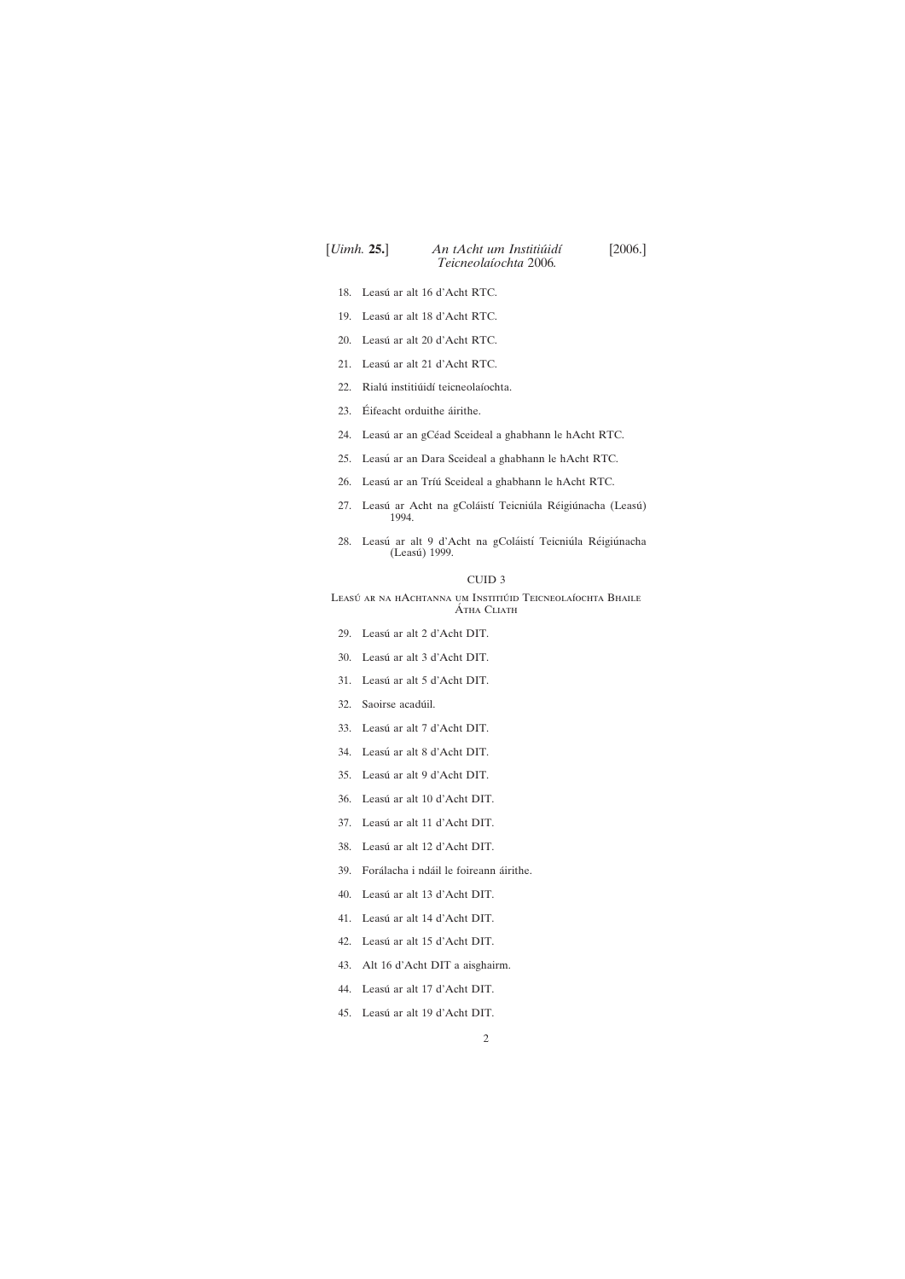# [*Uimh.* **25.**] [2006.] *An tAcht um Institiu´idı´ Teicneolaı´ochta* 2006*.*

- 18. Leasú [ar alt 16 d'Acht RTC.](#page-13-0)
- 19. Leasú [ar alt 18 d'Acht RTC.](#page-14-0)
- 20. Leasú [ar alt 20 d'Acht RTC.](#page-14-0)
- 21. Leasú [ar alt 21 d'Acht RTC.](#page-14-0)
- 22. Rialú institiúidí teicneolaíochta.
- 23. Éifeacht orduithe áirithe.
- 24. Leasú ar an gCéad Sceideal a ghabhann le hAcht RTC.
- 25. Leasú [ar an Dara Sceideal a ghabhann le hAcht RTC.](#page-18-0)
- 26. Leasú ar an Tríú [Sceideal a ghabhann le hAcht RTC.](#page-18-0)
- 27. Leasú ar Acht na gColáistí Teicniúla Réigiúnacha (Leasú) 1994.
- 28. Leasú ar alt 9 d'Acht na gColáistí Teicniúla Réigiúnacha (Leasú) 1999.

## CUID 3

Leasú ar na hAchtanna um Institiúid Teicneolaíochta Bhaile **ÁTHA CLIATH** 

- 29. Leasú [ar alt 2 d'Acht DIT.](#page-21-0)
- 30. Leasú [ar alt 3 d'Acht DIT.](#page-21-0)
- 31. Leasú [ar alt 5 d'Acht DIT.](#page-21-0)
- 32. Saoirse acadúil.
- 33. Leasú [ar alt 7 d'Acht DIT.](#page-22-0)
- 34. Leasú [ar alt 8 d'Acht DIT.](#page-24-0)
- 35. Leasú [ar alt 9 d'Acht DIT.](#page-24-0)
- 36. Leasú [ar alt 10 d'Acht DIT.](#page-24-0)
- 37. Leasú [ar alt 11 d'Acht DIT.](#page-24-0)
- 38. Leasú [ar alt 12 d'Acht DIT.](#page-24-0)
- 39. Forálacha i ndáil le foireann áirithe.
- 40. Leasú [ar alt 13 d'Acht DIT.](#page-26-0)
- 41. Leasú [ar alt 14 d'Acht DIT.](#page-26-0)
- 42. Leasú [ar alt 15 d'Acht DIT.](#page-28-0)
- 

[43. Alt 16 d'Acht DIT a aisghairm.](#page-28-0)

44. Leasú [ar alt 17 d'Acht DIT.](#page-28-0)

45. Leasú [ar alt 19 d'Acht DIT.](#page-29-0)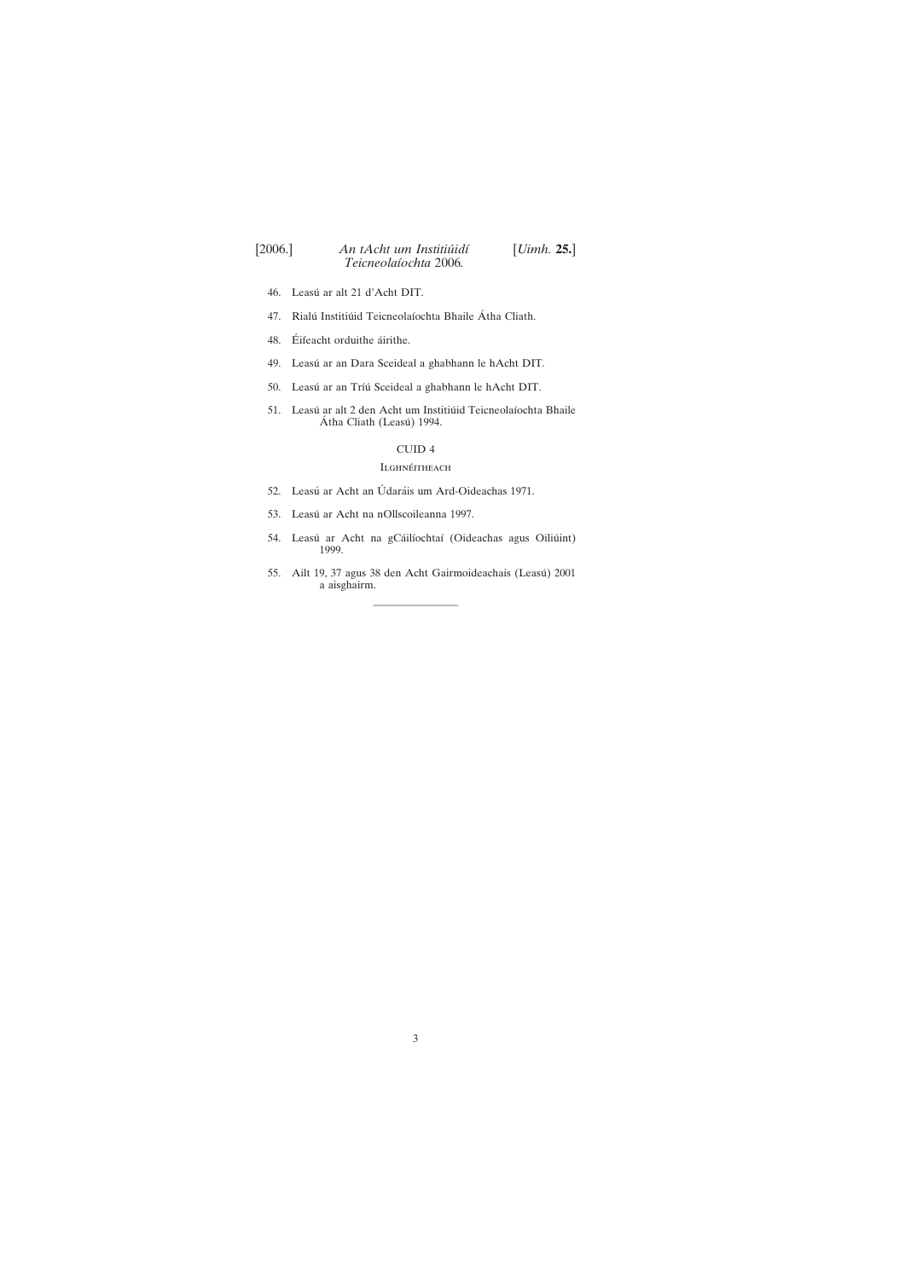- 46. Leasú [ar alt 21 d'Acht DIT.](#page-29-0)
- 47. Rialú Institiúid Teicneolaíochta Bhaile Átha Cliath.
- 48. Éifeacht orduithe áirithe.
- 49. Leasú [ar an Dara Sceideal a ghabhann le hAcht DIT.](#page-32-0)
- 50. Leasú ar an Tríú [Sceideal a ghabhann le hAcht DIT.](#page-32-0)
- 51. Leasú ar alt 2 den Acht um Institiúid Teicneolaíochta Bhaile Átha Cliath (Leasú) 1994.

- 52. Leasú ar Acht an Údaráis um Ard-Oideachas 1971.
- 53. Leasú [ar Acht na nOllscoileanna 1997.](#page-37-0)
- 54. Leasú ar Acht na gCáilíochtaí (Oideachas agus Oiliúint) 1999.
- 55. Ailt 19, 37 agus 38 den Acht Gairmoideachais (Leasú) 2001 a aisghairm.

## CUID 4

## **ILGHNÉITHEACH**

————————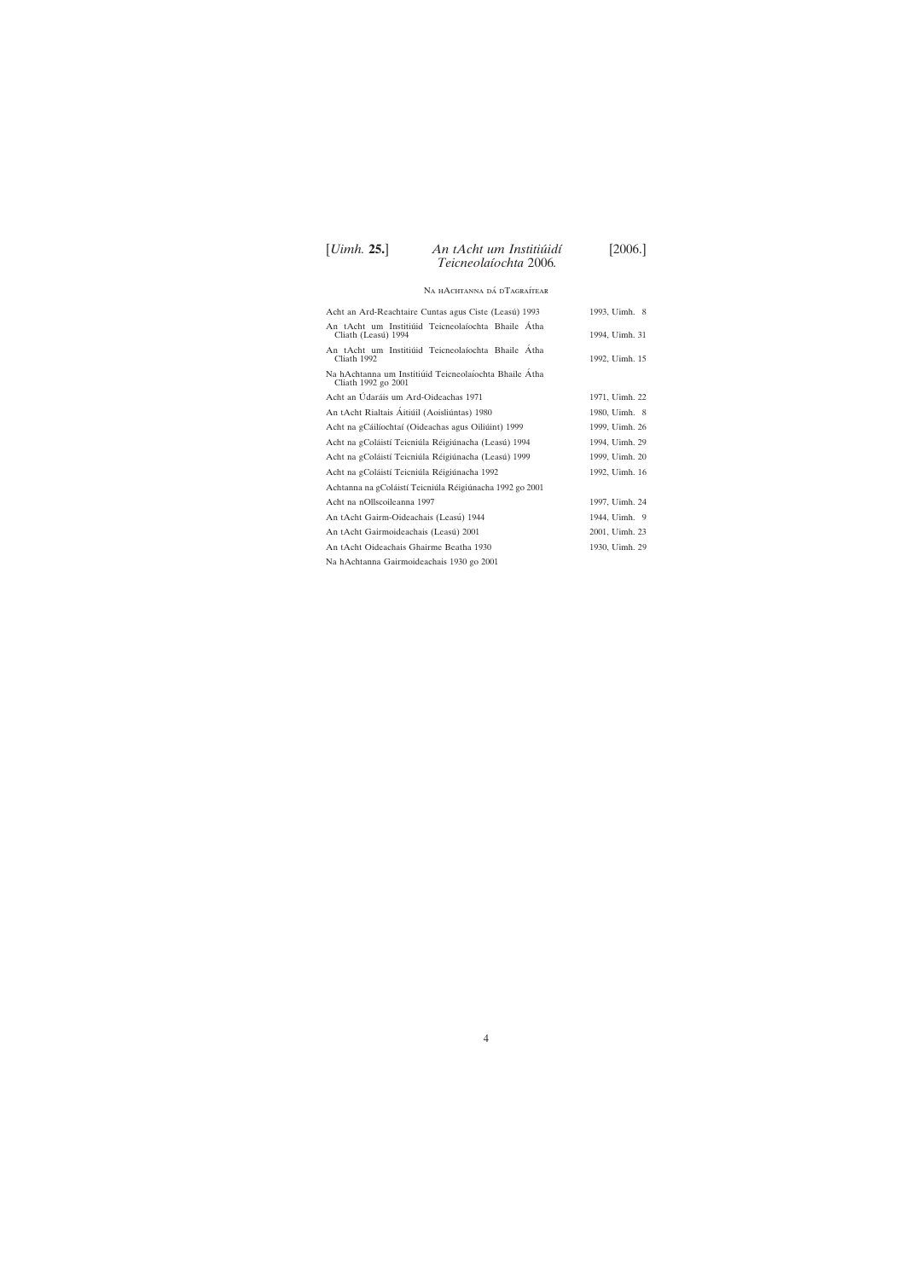# [*Uimh.* **25.**] [2006.] *An tAcht um Institiu´idı´ Teicneolaı´ochta* 2006*.*

## Na hAchtanna dá dTagraítear

| Acht an Ard-Reachtaire Cuntas agus Ciste (Leasú) 1993                         | 1993, Uimh. 8  |
|-------------------------------------------------------------------------------|----------------|
| An tAcht um Institiúid Teicneolaíochta Bhaile Átha<br>Cliath (Leasú) 1994     | 1994, Uimh. 31 |
| An tAcht um Institiúid Teicneolaíochta Bhaile Átha<br>Cliath 1992             | 1992, Uimh. 15 |
| Na hAchtanna um Institiúid Teicneolaíochta Bhaile Átha<br>Cliath 1992 go 2001 |                |
| Acht an Údaráis um Ard-Oideachas 1971                                         | 1971, Uimh. 22 |
| An tAcht Rialtais Áitiúil (Aoisliúntas) 1980                                  | 1980, Uimh. 8  |
| Acht na gCáilíochtaí (Oideachas agus Oiliúint) 1999                           | 1999, Uimh. 26 |
| Acht na gColáistí Teicniúla Réigiúnacha (Leasú) 1994                          | 1994, Uimh. 29 |
| Acht na gColáistí Teicniúla Réigiúnacha (Leasú) 1999                          | 1999, Uimh. 20 |
| Acht na gColáistí Teicniúla Réigiúnacha 1992                                  | 1992, Uimh. 16 |
| Achtanna na gColáistí Teicniúla Réigiúnacha 1992 go 2001                      |                |
| Acht na nOllscoileanna 1997                                                   | 1997, Uimh. 24 |
| An tAcht Gairm-Oideachais (Leasú) 1944                                        | 1944, Uimh. 9  |
| An tAcht Gairmoideachais (Leasú) 2001                                         | 2001, Uimh. 23 |
| An tAcht Oideachais Ghairme Beatha 1930                                       | 1930, Uimh. 29 |
| Na hAchtanna Gairmoideachais 1930 go 2001                                     |                |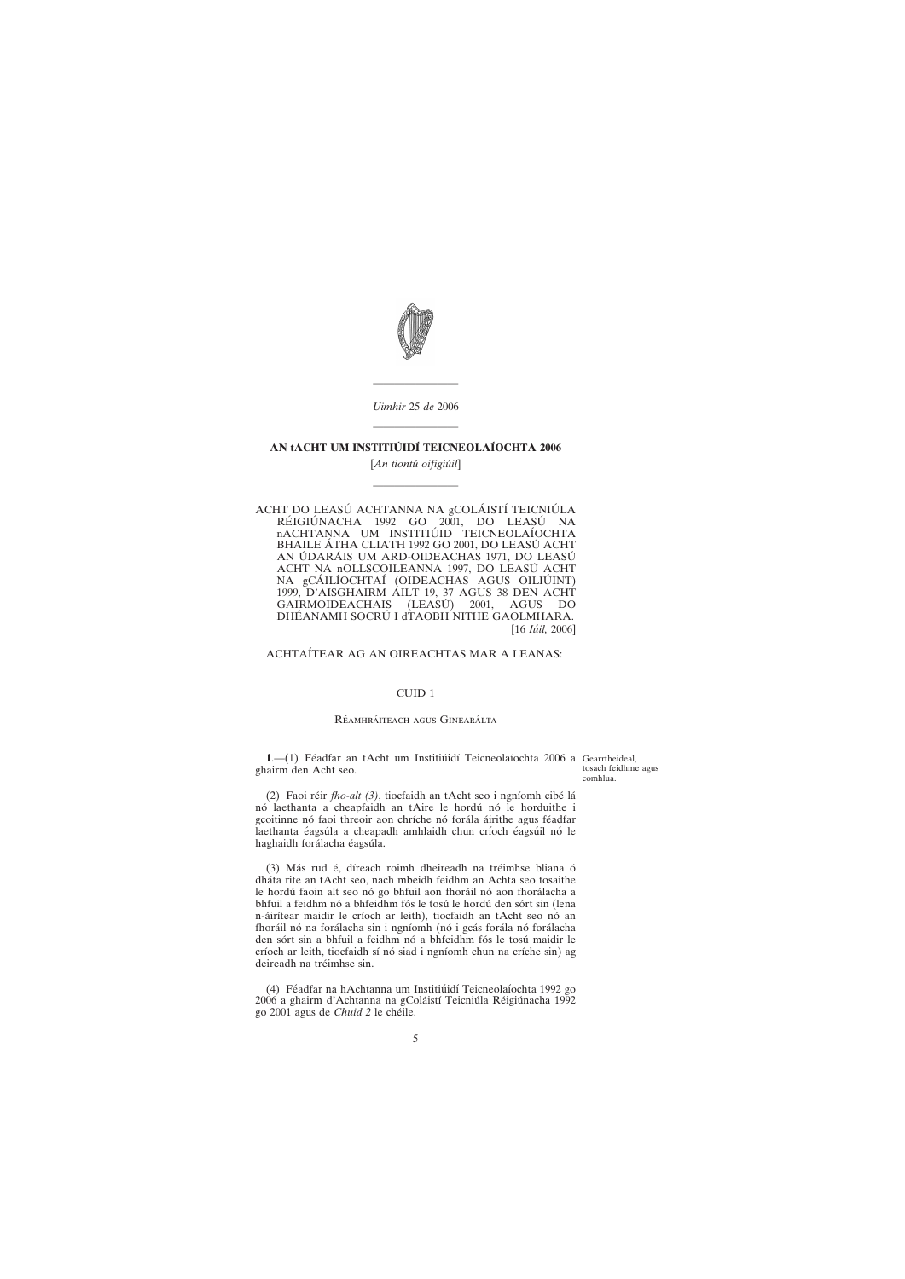————————

<span id="page-4-0"></span>

*Uimhir* 25 *de* 2006 ————————

## **AN tACHT UM INSTITIU´ IDI´ TEICNEOLAI´OCHTA 2006**

[*An tiontu´ oifigiu´il*]

————————

ACHT DO LEASÚ ACHTANNA NA gCOLÁISTÍ TEICNIÚLA RÉIGIÚNACHA 1992 GO 2001, DO LEASÚ NA nACHTANNA UM INSTITIÚID TEICNEOLAÍOCHTA BHAILE ÁTHA CLIATH 1992 GO 2001, DO LEASÚ ACHT AN ÚDARÁIS UM ARD-OIDEACHAS 1971, DO LEASÚ ACHT NA nOLLSCOILEANNA 1997, DO LEASÚ ACHT NA gCÁILÍOCHTAÍ (OIDEACHAS AGUS OILIÚINT) 1999, D'AISGHAIRM AILT 19, 37 AGUS 38 DEN ACHT GAIRMOIDEACHAIS (LEASÚ) 2001, AGUS DO DHÉANAMH SOCRÚ I dTAOBH NITHE GAOLMHARA. [16 *Iu´il,* 2006]

**1**.—(1) Féadfar an tAcht um Institiúidí Teicneolaíochta 2006 a Gearrtheideal, ghairm den Acht seo.

ACHTAI´TEAR AG AN OIREACHTAS MAR A LEANAS:

## CUID 1

#### RÉAMHRÁITEACH AGUS GINEARÁLTA

(4) Féadfar na hAchtanna um Institiúidí Teicneolaíochta 1992 go 2006 a ghairm d'Achtanna na gColáistí Teicniúla Réigiúnacha 1992 go 2001 agus de *Chuid 2* le che´ile.

5

tosach feidhme agus comhlua.

(2) Faoi réir *fho-alt (3)*, tiocfaidh an tAcht seo i ngníomh cibé lá nó laethanta a cheapfaidh an tAire le hordú nó le horduithe i gcoitinne nó faoi threoir aon chríche nó forála áirithe agus féadfar laethanta éagsúla a cheapadh amhlaidh chun críoch éagsúil nó le haghaidh forálacha éagsúla.

(3) Más rud é, díreach roimh dheireadh na tréimhse bliana ó dha´ta rite an tAcht seo, nach mbeidh feidhm an Achta seo tosaithe le hordú faoin alt seo nó go bhfuil aon fhoráil nó aon fhorálacha a bhfuil a feidhm nó a bhfeidhm fós le tosú le hordú den sórt sin (lena n-áirítear maidir le críoch ar leith), tiocfaidh an tAcht seo nó an fhoráil nó na forálacha sin i ngníomh (nó i gcás forála nó forálacha den sórt sin a bhfuil a feidhm nó a bhfeidhm fós le tosú maidir le críoch ar leith, tiocfaidh sí nó siad i ngníomh chun na críche sin) ag deireadh na tréimhse sin.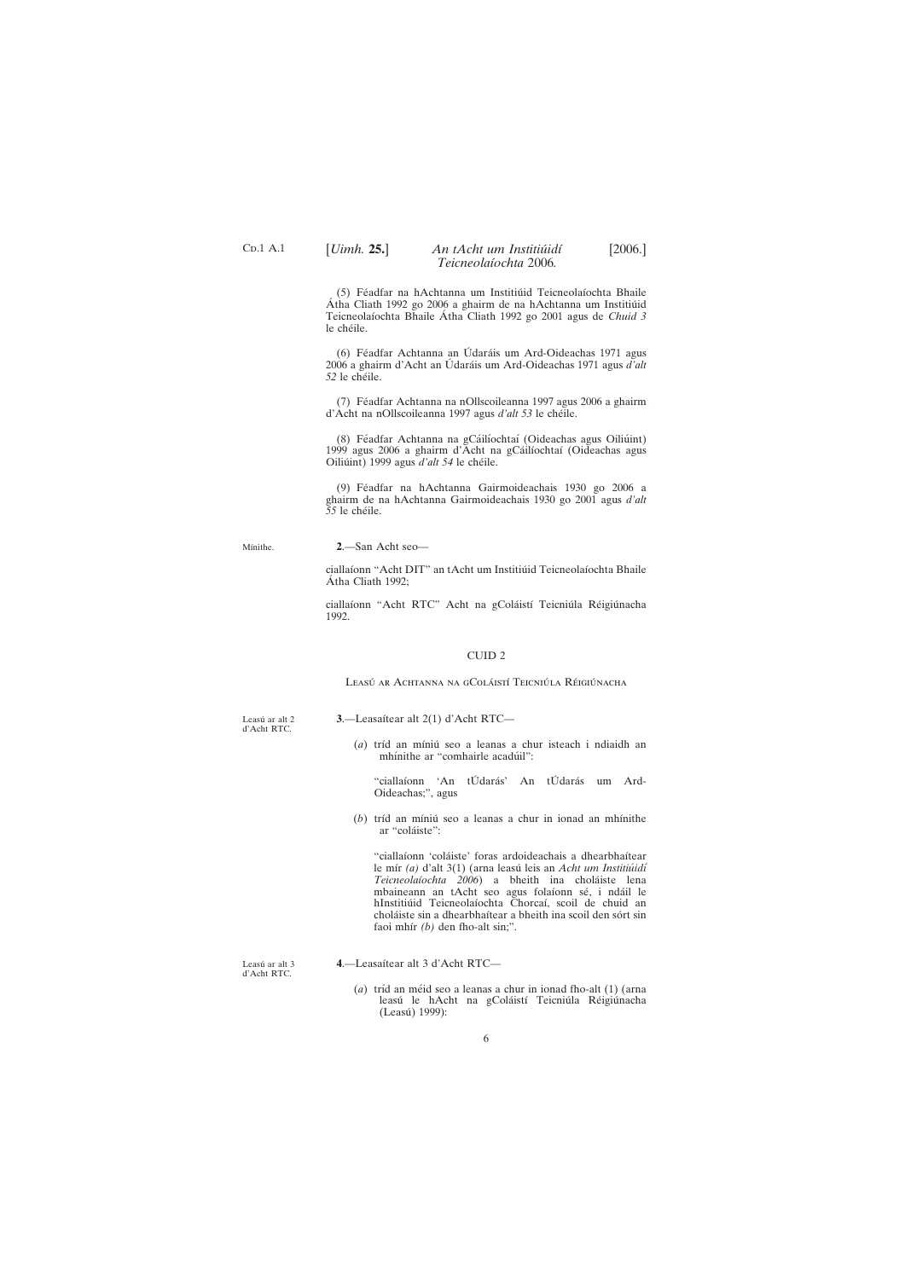Leasú ar alt 2 d'Acht RTC.

3.—Leasaítear alt 2(1) d'Acht RTC—

(*a*) tríd an míniú seo a leanas a chur isteach i ndiaidh an mhínithe ar "comhairle acadúil":

d'Acht RTC.

(Leasú) 1999):

(*a*) tríd an méid seo a leanas a chur in ionad fho-alt (1) (arna leasú le hAcht na gColáistí Teicniúla Réigiúnacha

6

## <span id="page-5-0"></span>[*Uimh.* **25.**] [2006.] *An tAcht um Institiu´idı´ Teicneolaı´ochta* 2006*.*

(5) Féadfar na hAchtanna um Institiúid Teicneolaíochta Bhaile Atha Cliath 1992 go 2006 a ghairm de na hAchtanna um Institiúid Teicneolaíochta Bhaile Átha Cliath 1992 go 2001 agus de *Chuid 3* le chéile.

(6) Féadfar Achtanna an Údaráis um Ard-Oideachas 1971 agus 2006 a ghairm d'Acht an Údaráis um Ard-Oideachas 1971 agus *d'alt 52* le che´ile.

(7) Féadfar Achtanna na nOllscoileanna 1997 agus 2006 a ghairm d'Acht na nOllscoileanna 1997 agus *d'alt 53* le chéile.

(8) Féadfar Achtanna na gCáilíochtaí (Oideachas agus Oiliúint) 1999 agus 2006 a ghairm d'Acht na gCáilíochtaí (Oideachas agus Oiliúint) 1999 agus *d'alt* 54 le chéile.

(9) Féadfar na hAchtanna Gairmoideachais 1930 go 2006 a ghairm de na hAchtanna Gairmoideachais 1930 go 2001 agus *d'alt* 55 le chéile.

Mínithe.

ciallaíonn "Acht RTC" Acht na gColáistí Teicniúla Réigiúnacha 1992.

> "ciallaíonn 'An tÚdarás' An tÚdarás um Ard-Oideachas;", agus

(b) tríd an míniú seo a leanas a chur in ionad an mhínithe ar "coláiste":

"ciallaíonn 'coláiste' foras ardoideachais a dhearbhaítear le mír (a) d'alt 3(1) (arna leasú leis an *Acht um Institiúidí Teicneolaı´ochta 2006*) a bheith ina chola´iste lena mbaineann an tAcht seo agus folaíonn sé, i ndáil le hInstitiúid Teicneolaíochta Chorcaí, scoil de chuid an choláiste sin a dhearbhaítear a bheith ina scoil den sórt sin faoi mhír *(b)* den fho-alt sin;".

Leasú ar alt  $3$ 

**2**.—San Acht seo—

ciallaíonn "Acht DIT" an tAcht um Institiúid Teicneolaíochta Bhaile Átha Cliath 1992;

#### CUID 2

Leasú ar Achtanna na gColáistí Teicniúla Réigiúnacha

#### **4**.—Leasaı´tear alt 3 d'Acht RTC—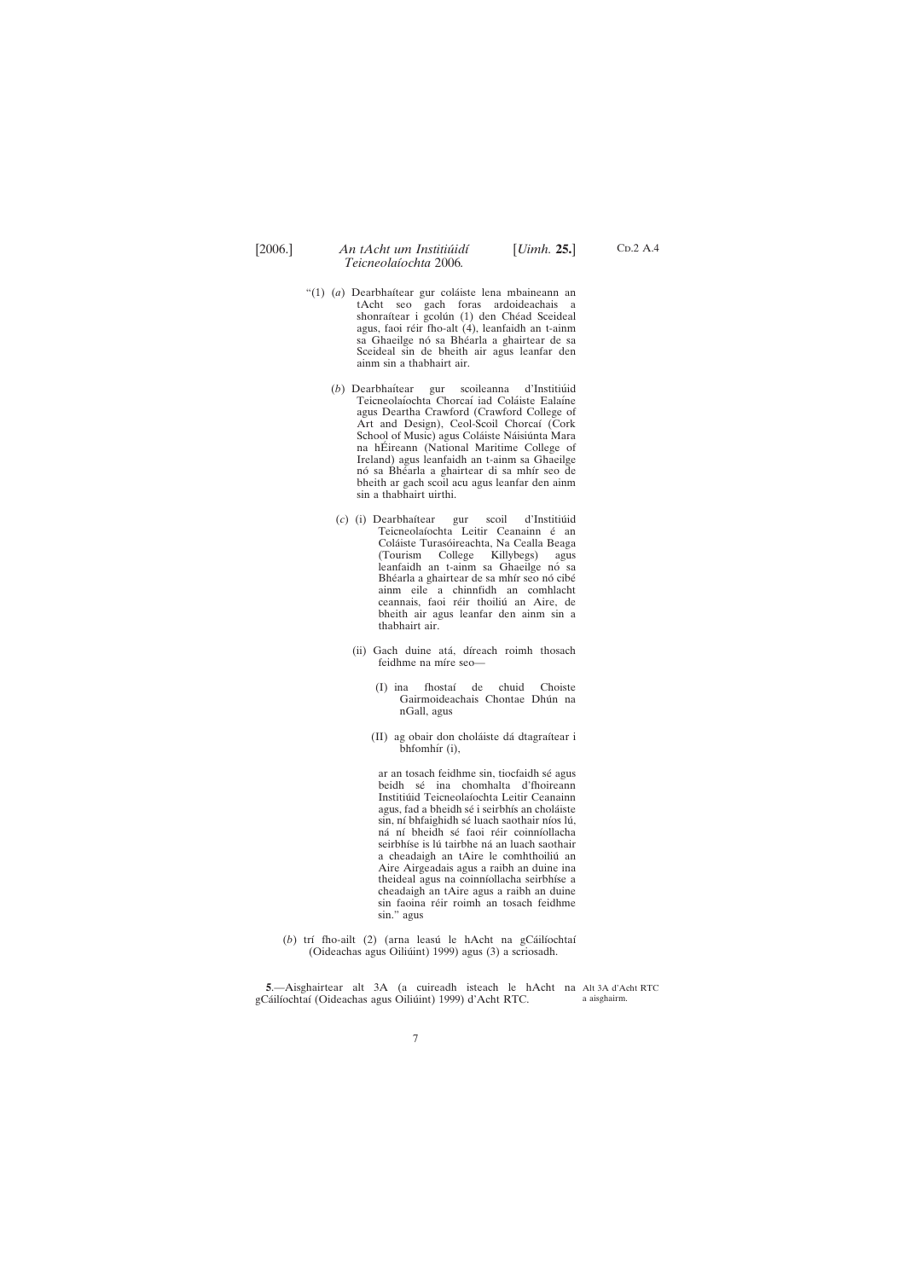<span id="page-6-0"></span>

- "(1) (*a*) Dearbhaı´tear gur cola´iste lena mbaineann an tAcht seo gach foras ardoideachais a shonraítear i gcolún (1) den Chéad Sceideal agus, faoi réir fho-alt (4), leanfaidh an t-ainm sa Ghaeilge nó sa Bhéarla a ghairtear de sa Sceideal sin de bheith air agus leanfar den ainm sin a thabhairt air.
	- (b) Dearbhaítear gur scoileanna d'Institiúid Teicneolaíochta Chorcaí iad Coláiste Ealaíne agus Deartha Crawford (Crawford College of Art and Design), Ceol-Scoil Chorcaí (Cork School of Music) agus Coláiste Náisiúnta Mara na hÉireann (National Maritime College of Ireland) agus leanfaidh an t-ainm sa Ghaeilge nó sa Bhéarla a ghairtear di sa mhír seo de bheith ar gach scoil acu agus leanfar den ainm sin a thabhairt uirthi.
	- (c) (i) Dearbhaítear gur scoil d'Institiúid Teicneolaíochta Leitir Ceanainn é an Coláiste Turasóireachta, Na Cealla Beaga (Tourism College Killybegs) agus leanfaidh an t-ainm sa Ghaeilge nó sa Bhéarla a ghairtear de sa mhír seo nó cibé ainm eile a chinnfidh an comhlacht ceannais, faoi réir thoiliú an Aire, de bheith air agus leanfar den ainm sin a thabhairt air.
		- (ii) Gach duine atá, díreach roimh thosach feidhme na míre seo-
			- (I) ina fhostaı´ de chuid Choiste Gairmoideachais Chontae Dhún na nGall, agus
			- (II) ag obair don choláiste dá dtagraítear i bhfomhír (i),

ar an tosach feidhme sin, tiocfaidh sé agus beidh sé ina chomhalta d'fhoireann Institiúid Teicneolaíochta Leitir Ceanainn agus, fad a bheidh sé i seirbhís an choláiste sin, ní bhfaighidh sé luach saothair níos lú, ná ní bheidh sé faoi réir coinníollacha seirbhíse is lú tairbhe ná an luach saothair a cheadaigh an tAire le comhthoiliú an Aire Airgeadais agus a raibh an duine ina theideal agus na coinníollacha seirbhíse a cheadaigh an tAire agus a raibh an duine sin faoina réir roimh an tosach feidhme sin." agus

(b) trí fho-ailt (2) (arna leasú le hAcht na gCáilíochtaí (Oideachas agus Oiliúint) 1999) agus (3) a scriosadh.

**5**.—Aisghairtear alt 3A (a cuireadh isteach le hAcht na Alt 3A d'Acht RTC gCáilíochtaí (Oideachas agus Oiliúint) 1999) d'Acht RTC. a aisghairm.

7

 $CD.2$  A.4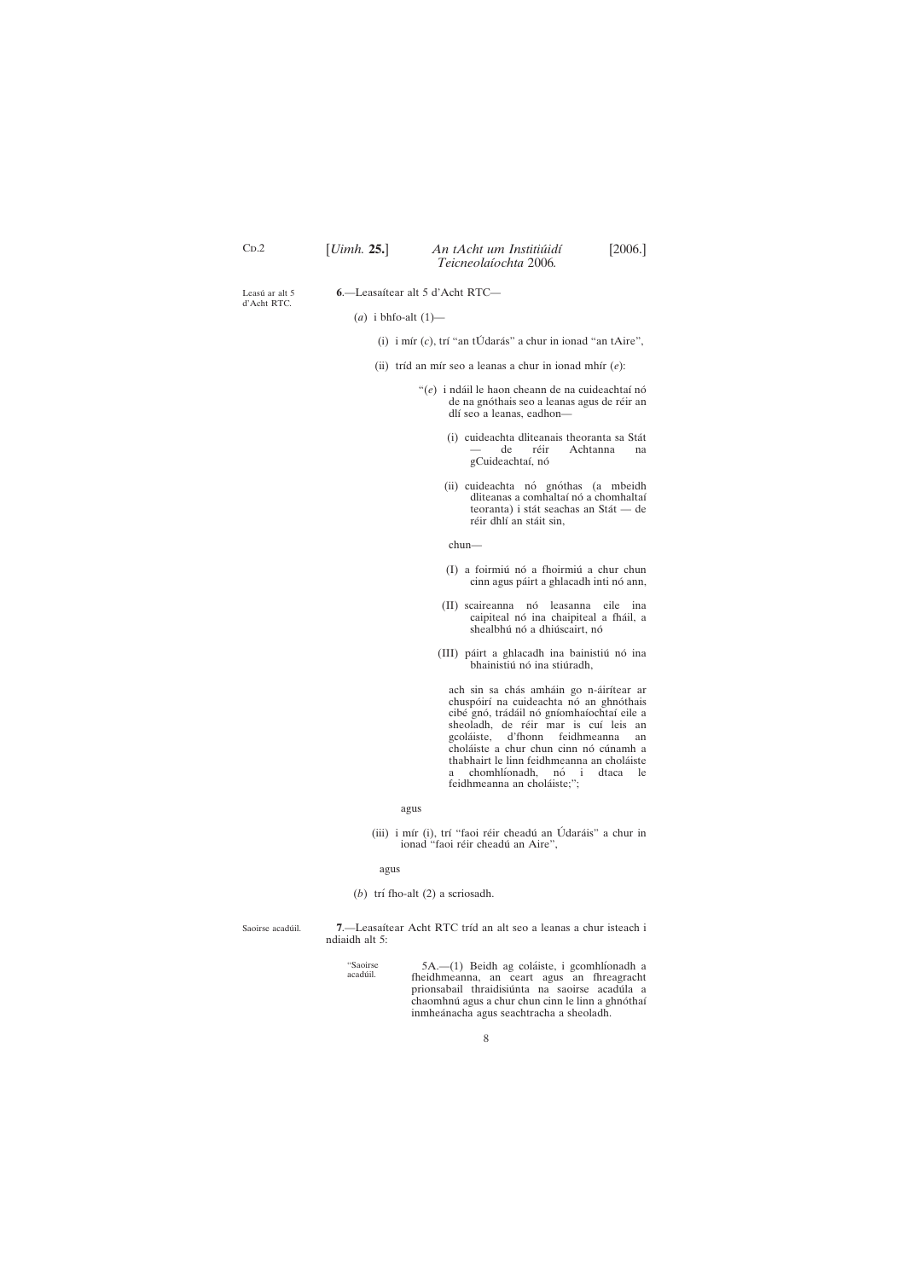<span id="page-7-0"></span>

| CD.2 | [ <i>Uimh.</i> 25.] | An tAcht um Institiúidí | [2006.] |
|------|---------------------|-------------------------|---------|
|      |                     | Teicneolaíochta 2006.   |         |

Leasú ar alt 5 d'Acht RTC. **6**.—Leasaı´tear alt 5 d'Acht RTC—

(*a*) i bhfo-alt (1)—

- (i) i mír  $(c)$ , trí "an tÚ darás" a chur in ionad "an tAire",
- (ii) tríd an mír seo a leanas a chur in ionad mhír (*e*):
	- "(e) i ndáil le haon cheann de na cuideachtaí nó de na gnóthais seo a leanas agus de réir an dlí seo a leanas, eadhon—
		- (i) cuideachta dliteanais theoranta sa Sta´t de réir Achtanna na gCuideachtaí, nó
		- (ii) cuideachta nó gnóthas (a mbeidh dliteanas a comhaltaí nó a chomhaltaí teoranta) i stát seachas an Stát — de réir dhlí an stáit sin,

chun—

- (I) a foirmiú nó a fhoirmiú a chur chun cinn agus páirt a ghlacadh inti nó ann,
- (II) scaireanna nó leasanna eile ina caipiteal nó ina chaipiteal a fháil, a shealbhú nó a dhiúscairt, nó
- (III) páirt a ghlacadh ina bainistiú nó ina bhainistiú nó ina stiúradh,

ach sin sa chás amháin go n-áirítear ar chuspóirí na cuideachta nó an ghnóthais cibé gnó, trádáil nó gníomhaíochtaí eile a sheoladh, de réir mar is cuí leis an gcoláiste, d'fhonn feidhmeanna an choláiste a chur chun cinn nó cúnamh a thabhairt le linn feidhmeanna an choláiste a chomhlíonadh, nó i dtaca le feidhmeanna an choláiste;";

- (*b*) trí fho-alt (2) a scriosadh.
- Saoirse acadúil. 7.—Leasaítear Acht RTC tríd an alt seo a leanas a chur isteach i ndiaidh alt 5:
	-

acadúil.

acadu´ il. 5A.—(1) Beidh ag cola´iste, i gcomhlı´onadh a fheidhmeanna, an ceart agus an fhreagracht prionsabail thraidisiúnta na saoirse acadúla a chaomhnú agus a chur chun cinn le linn a ghnóthaí inmheánacha agus seachtracha a sheoladh.

#### agus

(iii) i mír (i), trí "faoi réir cheadú an Údaráis" a chur in ionad "faoi réir cheadú an Aire",

agus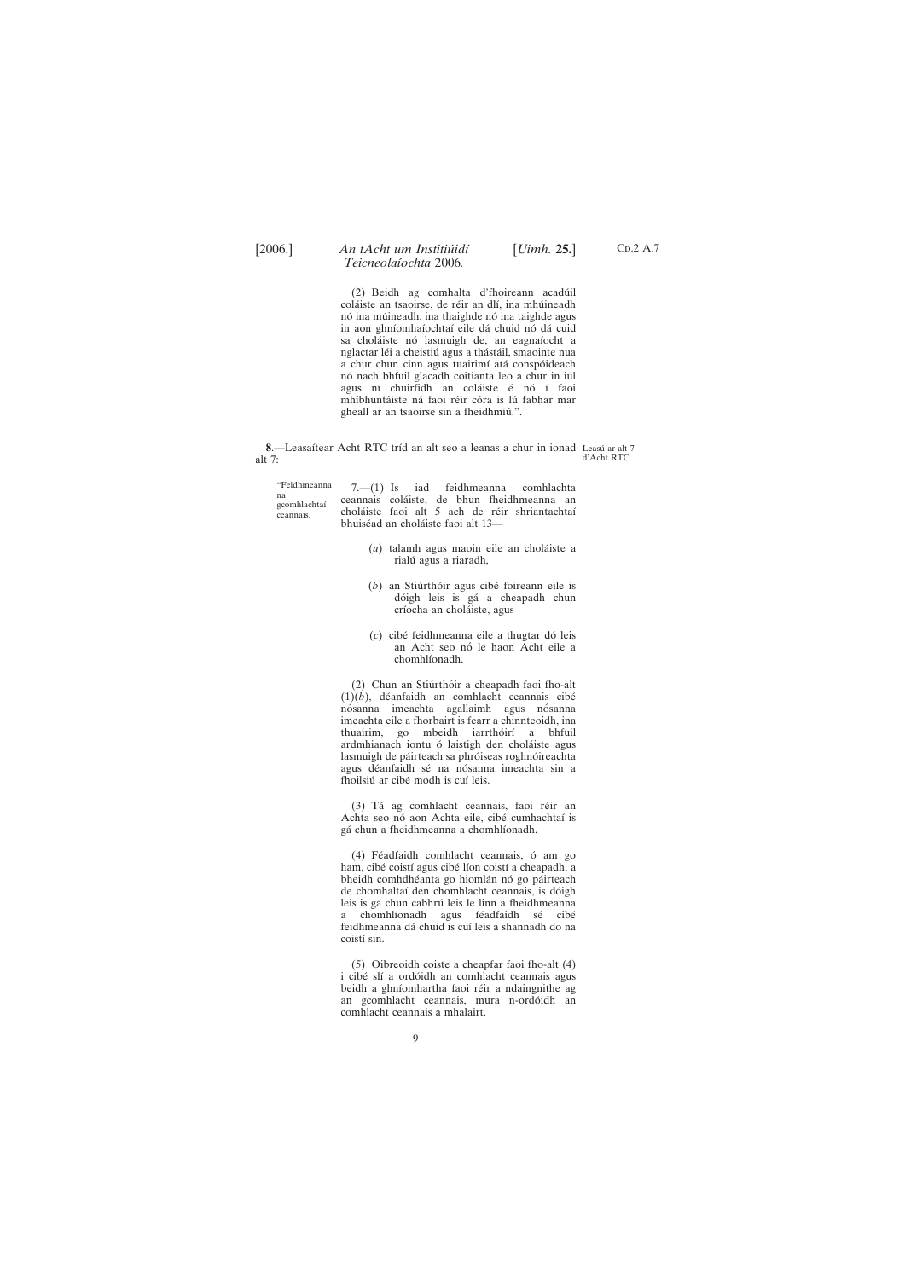<span id="page-8-0"></span>

(2) Beidh ag comhalta d'fhoireann acadúil coláiste an tsaoirse, de réir an dlí, ina mhúineadh nó ina múineadh, ina thaighde nó ina taighde agus in aon ghníomhaíochtaí eile dá chuid nó dá cuid sa choláiste nó lasmuigh de, an eagnaíocht a nglactar léi a cheistiú agus a thástáil, smaointe nua a chur chun cinn agus tuairimí atá conspóideach nó nach bhfuil glacadh coitianta leo a chur in iúl agus ní chuirfidh an coláiste é nó í faoi mhíbhuntáiste ná faoi réir córa is lú fabhar mar gheall ar an tsaoirse sin a fheidhmiú.".

"Feidhmeanna na gcomhlachtaı´ ceannais. 7.—(1) Is iad feidhmeanna comhlachta ceannais cola´iste, de bhun fheidhmeanna an choláiste faoi alt 5 ach de réir shriantachtaí bhuiséad an choláiste faoi alt 13-

- (*a*) talamh agus maoin eile an choláiste a rialú agus a riaradh,
- (*b*) an Stiúrthóir agus cibé foireann eile is dóigh leis is gá a cheapadh chun críocha an choláiste, agus
- (*c*) cibe´ feidhmeanna eile a thugtar do´ leis an Acht seo nó le haon Acht eile a chomhlíonadh.

(2) Chun an Stiúrthóir a cheapadh faoi fho-alt  $(1)(b)$ , déanfaidh an comhlacht ceannais cibé nósanna imeachta agallaimh agus nósanna imeachta eile a fhorbairt is fearr a chinnteoidh, ina thuairim, go mbeidh iarrthóirí a bhfuil ardmhianach iontu ó laistigh den choláiste agus lasmuigh de páirteach sa phróiseas roghnóireachta agus déanfaidh sé na nósanna imeachta sin a fhoilsiú ar cibé modh is cuí leis.

(3) Tá ag comhlacht ceannais, faoi réir an Achta seo nó aon Achta eile, cibé cumhachtaí is gá chun a fheidhmeanna a chomhlíonadh.

(4) Féadfaidh comhlacht ceannais, ó am go ham, cibé coistí agus cibé líon coistí a cheapadh, a bheidh comhdhéanta go hiomlán nó go páirteach de chomhaltaí den chomhlacht ceannais, is dóigh leis is gá chun cabhrú leis le linn a fheidhmeanna a chomhlíonadh agus féadfaidh sé cibé feidhmeanna dá chuid is cuí leis a shannadh do na coistí sin.

i cibé slí a ordóidh an comhlacht ceannais agus beidh a ghníomhartha faoi réir a ndaingnithe ag an gcomhlacht ceannais, mura n-ordóidh an comhlacht ceannais a mhalairt.

**8**.—Leasaítear Acht RTC tríd an alt seo a leanas a chur in ionad Leasú ar alt 7 alt 7: d'Acht RTC.

(5) Oibreoidh coiste a cheapfar faoi fho-alt (4)

C<sub>D</sub>.2 A.7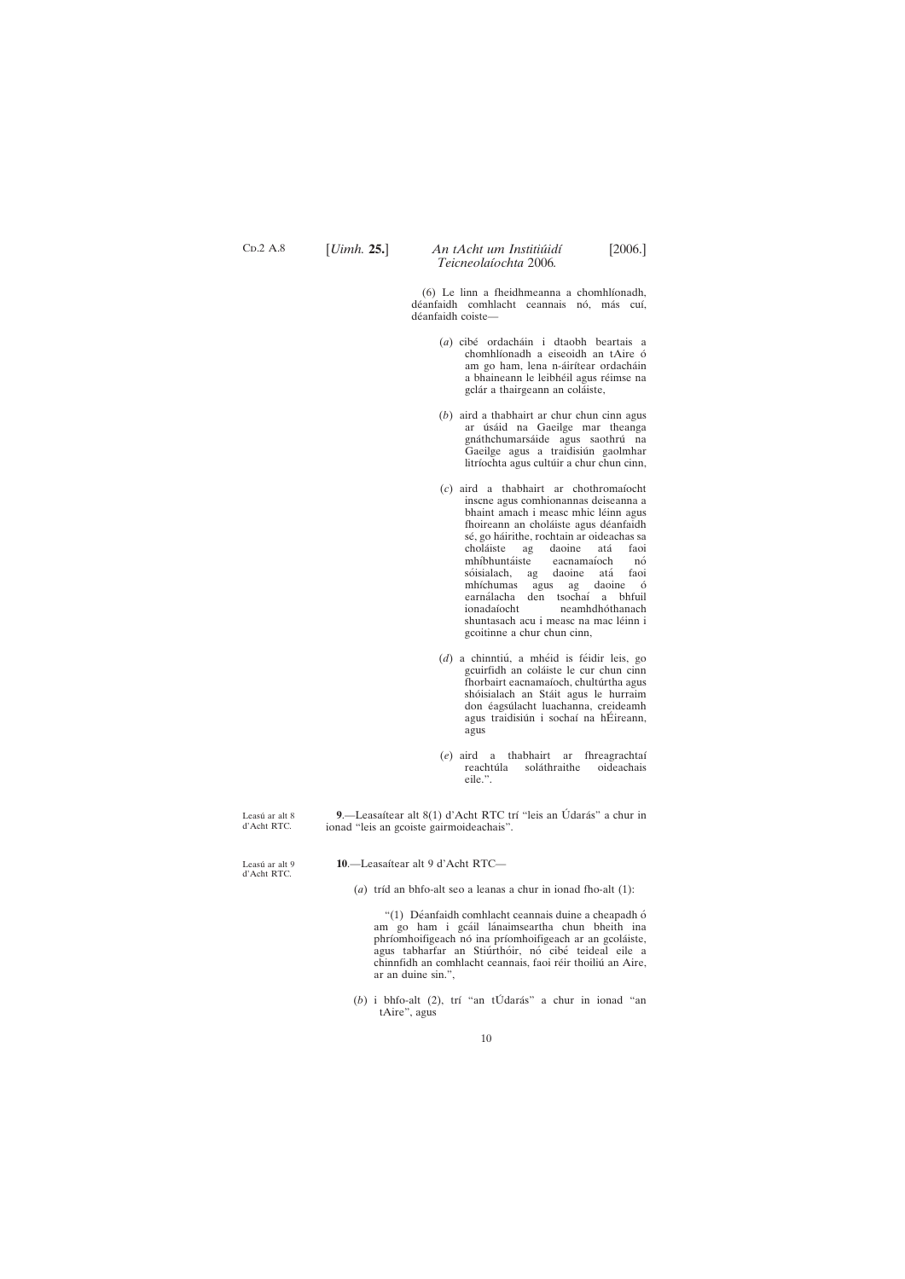Leasú ar alt 8 d'Acht RTC.

Leasú ar alt 9 d'Acht RTC.

10.-Leasaítear alt 9 d'Acht RTC-

(*a*) tríd an bhfo-alt seo a leanas a chur in ionad fho-alt (1):

" $(1)$  Déanfaidh comhlacht ceannais duine a cheapadh ó am go ham i gcáil lánaimseartha chun bheith ina phríomhoifigeach nó ina príomhoifigeach ar an gcoláiste, agus tabharfar an Stiúrthóir, nó cibé teideal eile a chinnfidh an comhlacht ceannais, faoi réir thoiliú an Aire,

10

<span id="page-9-0"></span> $CD.2$  A.8

## [*Uimh.* **25.**] [2006.] *An tAcht um Institiu´idı´ Teicneolaı´ochta* 2006*.*

(6) Le linn a fheidhmeanna a chomhlíonadh, déanfaidh comhlacht ceannais nó, más cuí, déanfaidh coiste-

**9.**—Leasaítear alt 8(1) d'Acht RTC trí "leis an Údarás" a chur in ionad "leis an gcoiste gairmoideachais".

- (*a*) cibe´ ordacha´in i dtaobh beartais a chomhlíonadh a eiseoidh an tAire ó am go ham, lena n-áirítear ordacháin a bhaineann le leibhéil agus réimse na gclár a thairgeann an coláiste,
- (*b*) aird a thabhairt ar chur chun cinn agus ar úsáid na Gaeilge mar theanga gnáthchumarsáide agus saothrú na Gaeilge agus a traidisiún gaolmhar litríochta agus cultúir a chur chun cinn,
- (*c*) aird a thabhairt ar chothromaı´ocht inscne agus comhionannas deiseanna a bhaint amach i measc mhic léinn agus fhoireann an choláiste agus déanfaidh sé, go háirithe, rochtain ar oideachas sa<br>choláiste ag daoine atá faoi choláiste ag daoine atá faoi<br>mhíbhuntáiste eacnamaíoch nó eacnamaíoch nó<br>daoine atá faoi sóisialach, ag daoine atá faoi mhíchumas agus ag daoine ó earnálacha den tsochaí a bhfuil ionadaíocht neamhdhóthanach shuntasach acu i measc na mac léinn i gcoitinne a chur chun cinn,
- (d) a chinntiú, a mhéid is féidir leis, go gcuirfidh an coláiste le cur chun cinn fhorbairt eacnamaíoch, chultúrtha agus shóisialach an Stáit agus le hurraim don éagsúlacht luachanna, creideamh agus traidisiún i sochaí na hÉireann, agus
- (*e*) aird a thabhairt ar fhreagrachtaı´ reachtúla soláthraithe eile.".

(b) i bhfo-alt (2), trí "an tÚdarás" a chur in ionad "an tAire", agus

ar an duine sin.",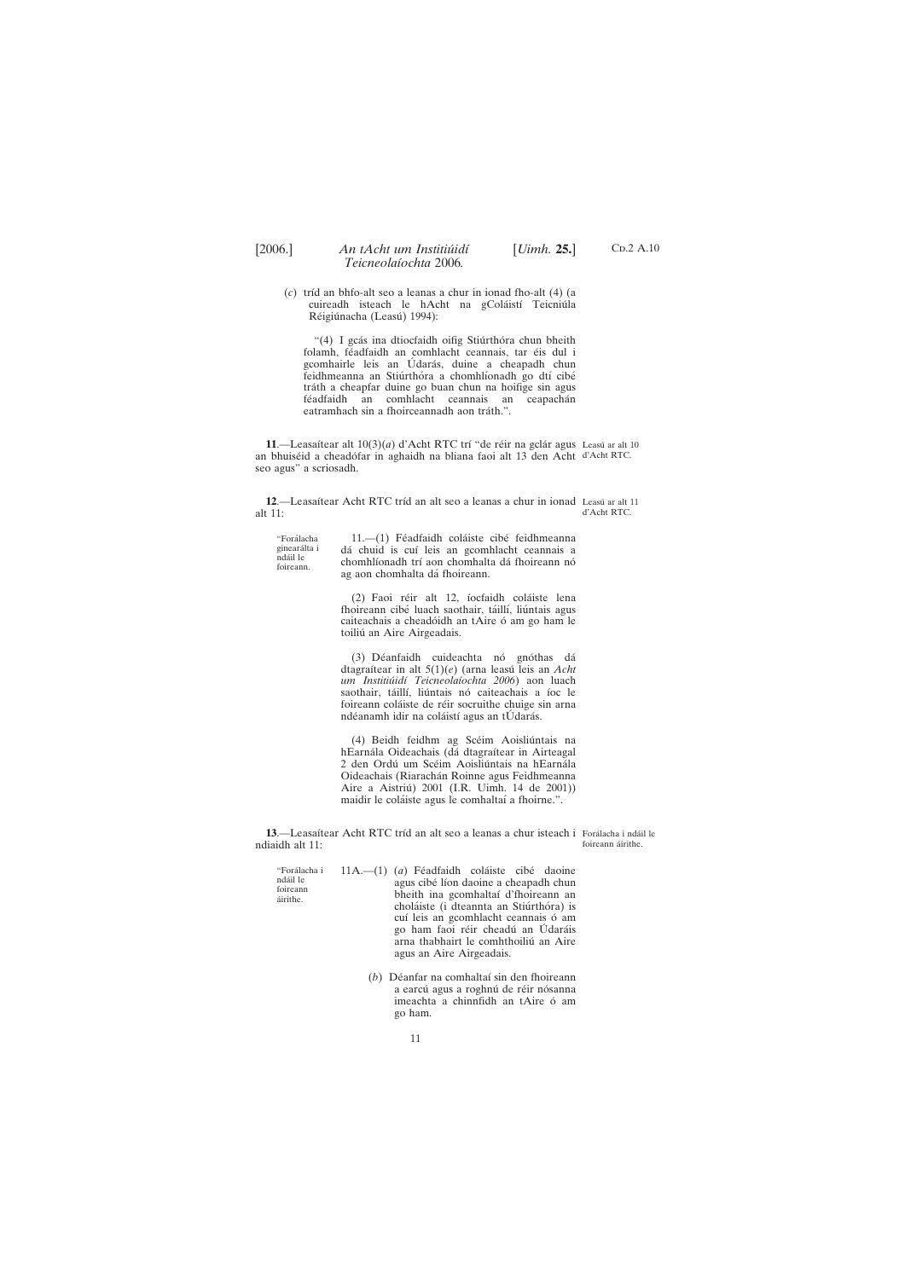- $CD.2$  A.10
- <span id="page-10-0"></span>(*c*) trı´d an bhfo-alt seo a leanas a chur in ionad fho-alt (4) (a cuireadh isteach le hAcht na gColáistí Teicniúla Réigiúnacha (Leasú) 1994):

"(4) I gcás ina dtiocfaidh oifig Stiúrthóra chun bheith folamh, féadfaidh an comhlacht ceannais, tar éis dul i gcomhairle leis an Údarás, duine a cheapadh chun feidhmeanna an Stiúrthóra a chomhlíonadh go dtí cibé tráth a cheapfar duine go buan chun na hoifige sin agus féadfaidh an comhlacht ceannais an ceapachán eatramhach sin a fhoirceannadh aon tráth.".

11.—Leasaítear alt  $10(3)(a)$  d'Acht RTC trí "de réir na gclár agus Leasú ar alt 10 an bhuiséid a cheadófar in aghaidh na bliana faoi alt 13 den Acht d'Acht RTC. seo agus" a scriosadh.

"Forálacha ginearálta i nda´il le foireann.

11.-(1) Féadfaidh coláiste cibé feidhmeanna dá chuid is cuí leis an gcomhlacht ceannais a chomhlíonadh trí aon chomhalta dá fhoireann nó ag aon chomhalta dá fhoireann.

(2) Faoi réir alt 12, íocfaidh coláiste lena fhoireann cibé luach saothair, táillí, liúntais agus caiteachais a cheadóidh an tAire ó am go ham le toiliú an Aire Airgeadais.

(3) Déanfaidh cuideachta nó gnóthas dá dtagraı´tear in alt 5(1)(*e*) (arna leasu´ leis an *Acht um Institiu´idı´ Teicneolaı´ochta 2006*) aon luach saothair, táillí, liúntais nó caiteachais a íoc le foireann coláiste de réir socruithe chuige sin arna ndéanamh idir na coláistí agus an tÚdarás.

(4) Beidh feidhm ag Scéim Aoisliúntais na hEarnála Oideachais (dá dtagraítear in Airteagal 2 den Ordú um Scéim Aoisliúntais na hEarnála Oideachais (Riarachán Roinne agus Feidhmeanna Aire a Aistriú) 2001 (I.R. Uimh. 14 de 2001)) maidir le coláiste agus le comhaltaí a fhoirne.".

**13**.—Leasaítear Acht RTC tríd an alt seo a leanas a chur isteach i Forálacha i ndáil le ndiaidh alt 11: foireann áirithe.

| "Forálacha i         | $11A$ — $(1)$ (a) Féadfaidh coláiste cibé daoine |  |
|----------------------|--------------------------------------------------|--|
| ndáil le             | agus cibé líon daoine a cheapadh chun            |  |
| foireann<br>áirithe. | bheith ina gcomhaltaí d'fhoireann an             |  |
|                      | choláiste (i dteannta an Stiúrthóra) is          |  |
|                      | cuí leis an gcomhlacht ceannais ó am             |  |
|                      | go ham faoi réir cheadú an Udaráis               |  |
|                      | arna thabhairt le comhthoiliú an Aire            |  |
|                      | agus an Aire Airgeadais.                         |  |

(*b*) Déanfar na comhaltaí sin den fhoireann a earcú agus a roghnú de réir nósanna imeachta a chinnfidh an tAire ó am go ham.

12.—Leasaítear Acht RTC tríd an alt seo a leanas a chur in ionad Leasú ar alt 11 alt 11: d'Acht RTC.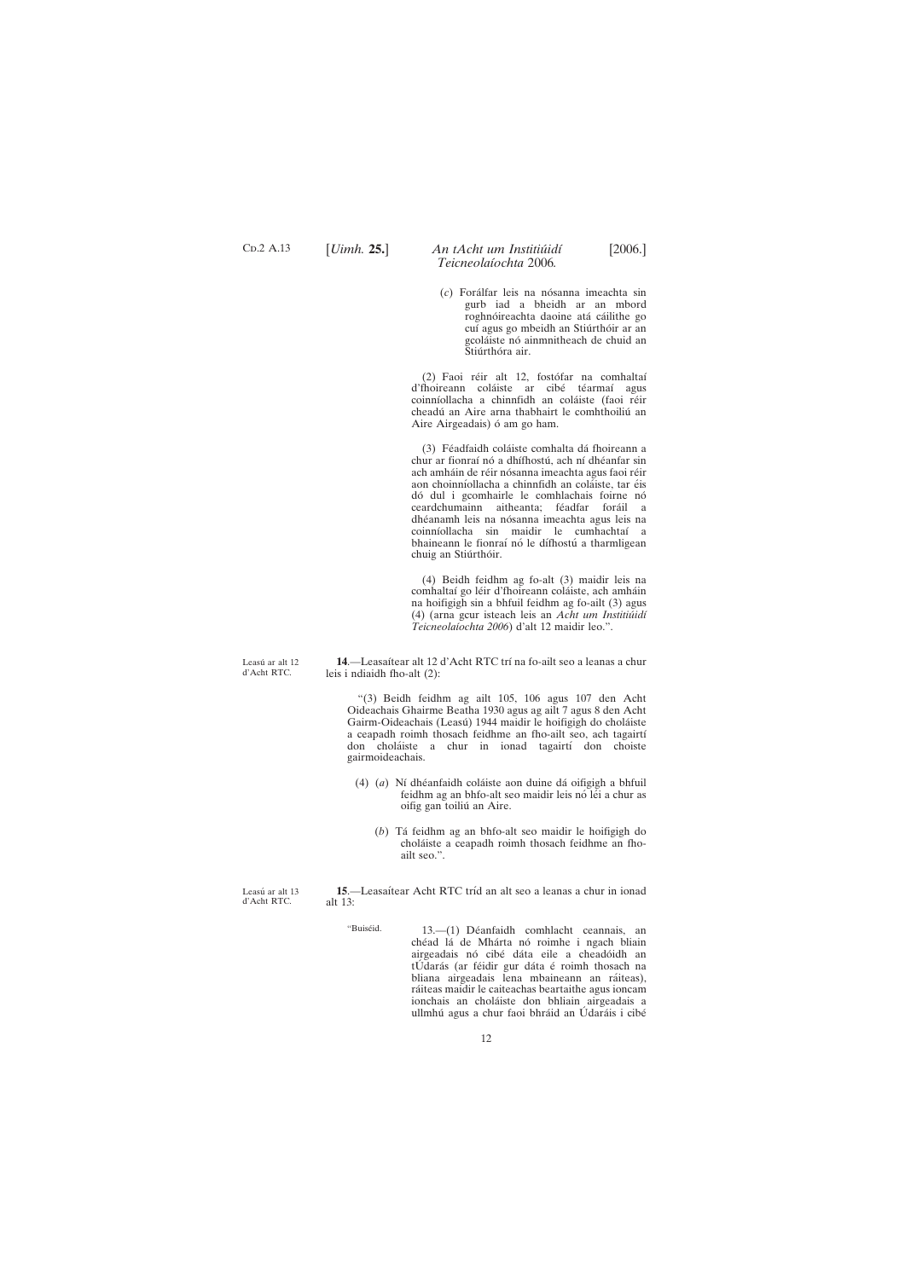Leasú ar alt 12 d'Acht RTC.

Leasú ar alt 13 d'Acht RTC.

12

<span id="page-11-0"></span>C<sub>D</sub>.2 A.13

## [*Uimh.* **25.**] [2006.] *An tAcht um Institiu´idı´ Teicneolaı´ochta* 2006*.*

- 
- (*c*) Forálfar leis na nósanna imeachta sin gurb iad a bheidh ar an mbord roghnóireachta daoine atá cáilithe go cuí agus go mbeidh an Stiúrthóir ar an gcoláiste nó ainmnitheach de chuid an Stiúrthóra air.

(2) Faoi réir alt 12, fostófar na comhaltaí d'fhoireann coláiste ar cibé téarmaí agus coinníollacha a chinnfidh an coláiste (faoi réir cheadú an Aire arna thabhairt le comhthoiliú an Aire Airgeadais) ó am go ham.

(3) Féadfaidh coláiste comhalta dá fhoireann a chur ar fionraí nó a dhífhostú, ach ní dhéanfar sin ach amháin de réir nósanna imeachta agus faoi réir aon choinníollacha a chinnfidh an coláiste, tar éis dó dul i gcomhairle le comhlachais foirne nó ceardchumainn aitheanta; féadfar foráil a dhéanamh leis na nósanna imeachta agus leis na coinnı´ollacha sin maidir le cumhachtaı´ a bhaineann le fionraí nó le dífhostú a tharmligean chuig an Stiúrthóir.

14.—Leasaítear alt 12 d'Acht RTC trí na fo-ailt seo a leanas a chur leis i ndiaidh fho-alt (2):

**15.**—Leasaítear Acht RTC tríd an alt seo a leanas a chur in ionad alt 13:

> "Buiséid. 13.—(1) Déanfaidh comhlacht ceannais, an chéad lá de Mhárta nó roimhe i ngach bliain airgeadais nó cibé dáta eile a cheadóidh an

tÚdarás (ar féidir gur dáta é roimh thosach na bliana airgeadais lena mbaineann an ráiteas), ráiteas maidir le caiteachas beartaithe agus ioncam ionchais an choláiste don bhliain airgeadais a ullmhú agus a chur faoi bhráid an Údaráis i cibé

(4) Beidh feidhm ag fo-alt (3) maidir leis na comhaltaí go léir d'fhoireann coláiste, ach amháin na hoifigigh sin a bhfuil feidhm ag fo-ailt (3) agus (4) (arna gcur isteach leis an *Acht um Institiu´idı´ Teicneolaı´ochta 2006*) d'alt 12 maidir leo.".

"(3) Beidh feidhm ag ailt 105, 106 agus 107 den Acht Oideachais Ghairme Beatha 1930 agus ag ailt 7 agus 8 den Acht Gairm-Oideachais (Leasú) 1944 maidir le hoifigigh do choláiste a ceapadh roimh thosach feidhme an fho-ailt seo, ach tagairtí don choláiste a chur in ionad tagairtí don choiste gairmoideachais.

- (4) (*a*) Nı´ dhe´anfaidh cola´iste aon duine da´ oifigigh a bhfuil feidhm ag an bhfo-alt seo maidir leis nó léi a chur as oifig gan toiliú an Aire.
	- (*b*) Ta´ feidhm ag an bhfo-alt seo maidir le hoifigigh do chola´iste a ceapadh roimh thosach feidhme an fhoailt seo.".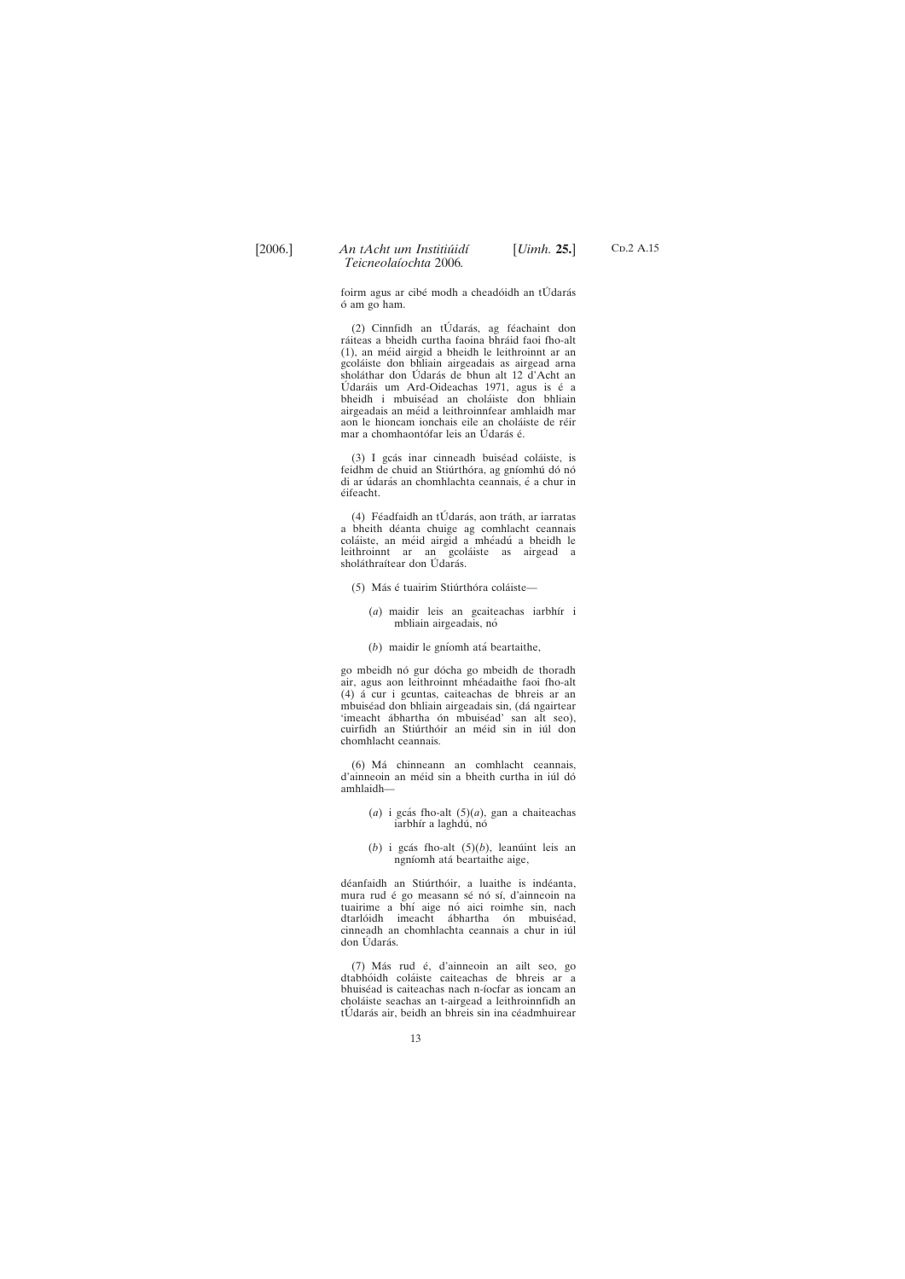C<sub>D</sub>.2 A.15

foirm agus ar cibé modh a cheadóidh an tÚ darás o´ am go ham.

 $(2)$  Cinnfidh an tÚdarás, ag féachaint don ráiteas a bheidh curtha faoina bhráid faoi fho-alt (1), an me´id airgid a bheidh le leithroinnt ar an gcola´iste don bhliain airgeadais as airgead arna sholáthar don Údarás de bhun alt 12 d'Acht an Údaráis um Ard-Oideachas 1971, agus is é a bheidh i mbuiséad an choláiste don bhliain airgeadais an méid a leithroinnfear amhlaidh mar aon le hioncam ionchais eile an choláiste de réir mar a chomhaontófar leis an Údarás é.

(3) I gcás inar cinneadh buiséad coláiste, is feidhm de chuid an Stiúrthóra, ag gníomhú dó nó di ar údarás an chomhlachta ceannais, é a chur in éifeacht.

(4) Féadfaidh an tÚdarás, aon tráth, ar iarratas a bheith déanta chuige ag comhlacht ceannais coláiste, an méid airgid a mhéadú a bheidh le leithroinnt ar an gcoláiste as airgead a sholáthraítear don Údarás.

- (5) Más é tuairim Stiúrthóra coláiste—
	- (*a*) maidir leis an gcaiteachas iarbhír i mbliain airgeadais, nó
	- (*b*) maidir le gníomh atá beartaithe,

go mbeidh nó gur dócha go mbeidh de thoradh air, agus aon leithroinnt mhéadaithe faoi fho-alt (4) a´ cur i gcuntas, caiteachas de bhreis ar an mbuiséad don bhliain airgeadais sin, (dá ngairtear 'imeacht ábhartha ón mbuiséad' san alt seo), cuirfidh an Stiúrthóir an méid sin in iúl don chomhlacht ceannais.

(6) Ma´ chinneann an comhlacht ceannais, d'ainneoin an méid sin a bheith curtha in iúl dó amhlaidh—

- $(a)$  i gcás fho-alt  $(5)(a)$ , gan a chaiteachas iarbhír a laghdú, nó
- $(b)$  i gcás fho-alt  $(5)(b)$ , leanu $(i)$  leis an ngníomh atá beartaithe aige,

déanfaidh an Stiúrthóir, a luaithe is indéanta, mura rud é go measann sé nó sí, d'ainneoin na tuairime a bhí aige nó aici roimhe sin, nach dtarlóidh imeacht ábhartha ón mbuiséad, cinneadh an chomhlachta ceannais a chur in iúl don Udarás.

(7) Más rud é, d'ainneoin an ailt seo, go dtabhóidh coláiste caiteachas de bhreis ar a bhuiséad is caiteachas nach n-íocfar as ioncam an chola´iste seachas an t-airgead a leithroinnfidh an tÚdarás air, beidh an bhreis sin ina céadmhuirear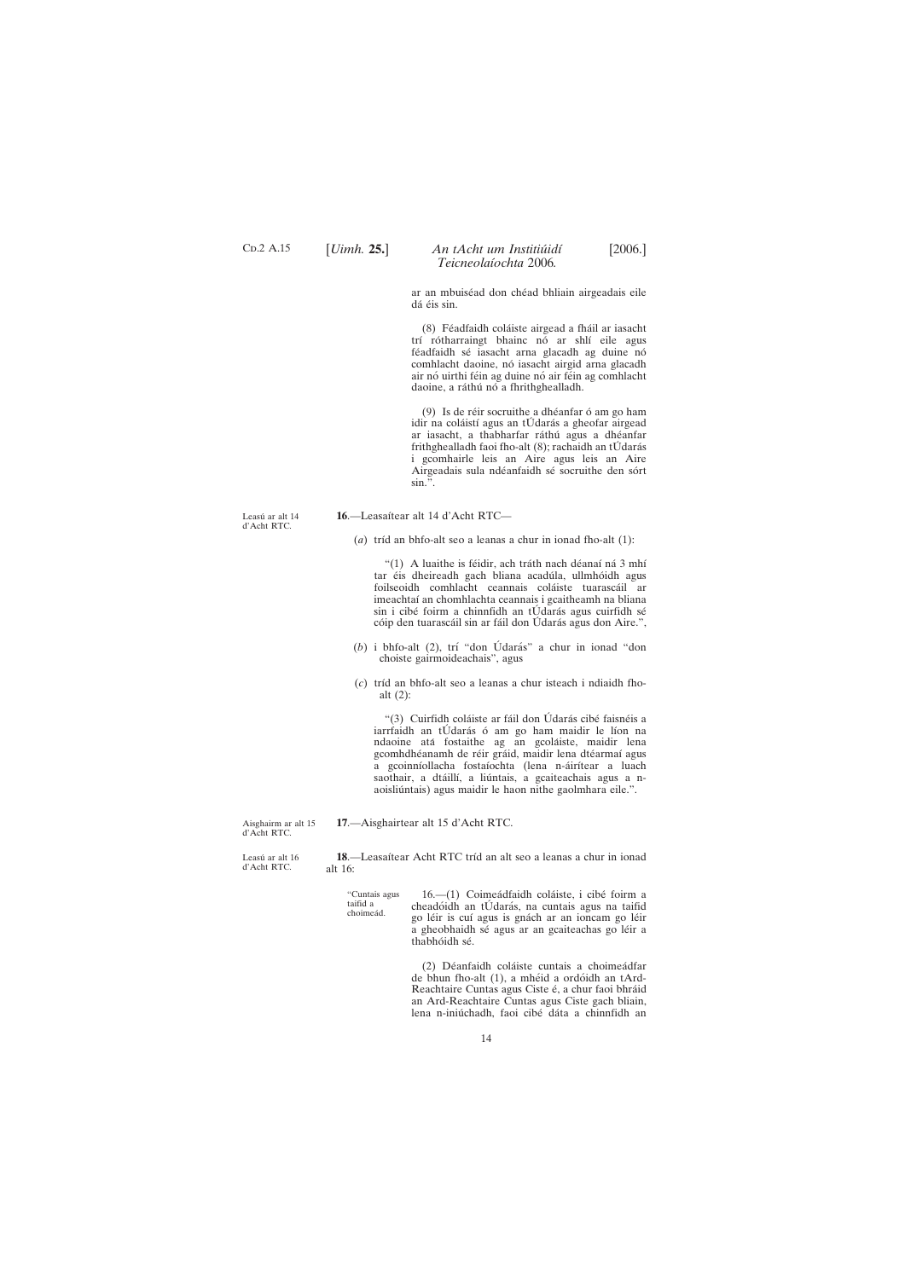Leasú ar alt 14 d'Acht RTC.

d'Acht RTC.

# 16.-Leasaítear alt 14 d'Acht RTC-

 $(a)$  tríd an bhfo-alt seo a leanas a chur in ionad fho-alt  $(1)$ :

"(1) A luaithe is féidir, ach tráth nach déanaí ná 3 mhí tar éis dheireadh gach bliana acadúla, ullmhóidh agus foilseoidh comhlacht ceannais coláiste tuarascáil ar imeachtaí an chomhlachta ceannais i gcaitheamh na bliana sin i cibé foirm a chinnfidh an tÚ darás agus cuirfidh sé cóip den tuarascáil sin ar fáil don Údarás agus don Aire.",

14

<span id="page-13-0"></span>C<sub>D</sub>.2 A.15

## [*Uimh.* **25.**] [2006.] *An tAcht um Institiu´idı´ Teicneolaı´ochta* 2006*.*

ar an mbuiséad don chéad bhliain airgeadais eile dá éis sin.

(8) Féadfaidh coláiste airgead a fháil ar iasacht trí rótharraingt bhainc nó ar shlí eile agus féadfaidh sé iasacht arna glacadh ag duine nó comhlacht daoine, nó iasacht airgid arna glacadh air nó uirthi féin ag duine nó air féin ag comhlacht daoine, a ráthú nó a fhrithghealladh.

 $(9)$  Is de réir socruithe a dhéanfar ó am go ham idir na coláistí agus an tÚdarás a gheofar airgead ar iasacht, a thabharfar ráthú agus a dhéanfar frithghealladh faoi fho-alt  $(8)$ ; rachaidh an tÚ darás i gcomhairle leis an Aire agus leis an Aire Airgeadais sula ndéanfaidh sé socruithe den sórt  $\sin \frac{1}{2}$ .

- (b) i bhfo-alt (2), trí "don Údarás" a chur in ionad "don choiste gairmoideachais", agus
- (*c*) trı´d an bhfo-alt seo a leanas a chur isteach i ndiaidh fhoalt (2):

"(3) Cuirfidh coláiste ar fáil don Údarás cibé faisnéis a iarrfaidh an tÚdarás ó am go ham maidir le líon na ndaoine atá fostaithe ag an gcoláiste, maidir lena gcomhdhéanamh de réir gráid, maidir lena dtéarmaí agus a gcoinníollacha fostaíochta (lena n-áirítear a luach saothair, a dtáillí, a liúntais, a gcaiteachais agus a naoisliúntais) agus maidir le haon nithe gaolmhara eile.".

Aisghairm ar alt 15 d'Acht RTC. **17**.—Aisghairtear alt 15 d'Acht RTC.

Leasú ar alt 16 18.—Leasaítear Acht RTC tríd an alt seo a leanas a chur in ionad alt 16:

> "Cuntais agus taifid a choimeád. 16.—(1) Coimeádfaidh coláiste, i cibé foirm a cheadóidh an tÚdarás, na cuntais agus na taifid go léir is cuí agus is gnách ar an ioncam go léir a gheobhaidh sé agus ar an gcaiteachas go léir a thabhóidh sé.

(2) Déanfaidh coláiste cuntais a choimeádfar de bhun fho-alt (1), a mhéid a ordóidh an tArd-Reachtaire Cuntas agus Ciste é, a chur faoi bhráid an Ard-Reachtaire Cuntas agus Ciste gach bliain, lena n-iniú chadh, faoi cibé dáta a chinnfidh an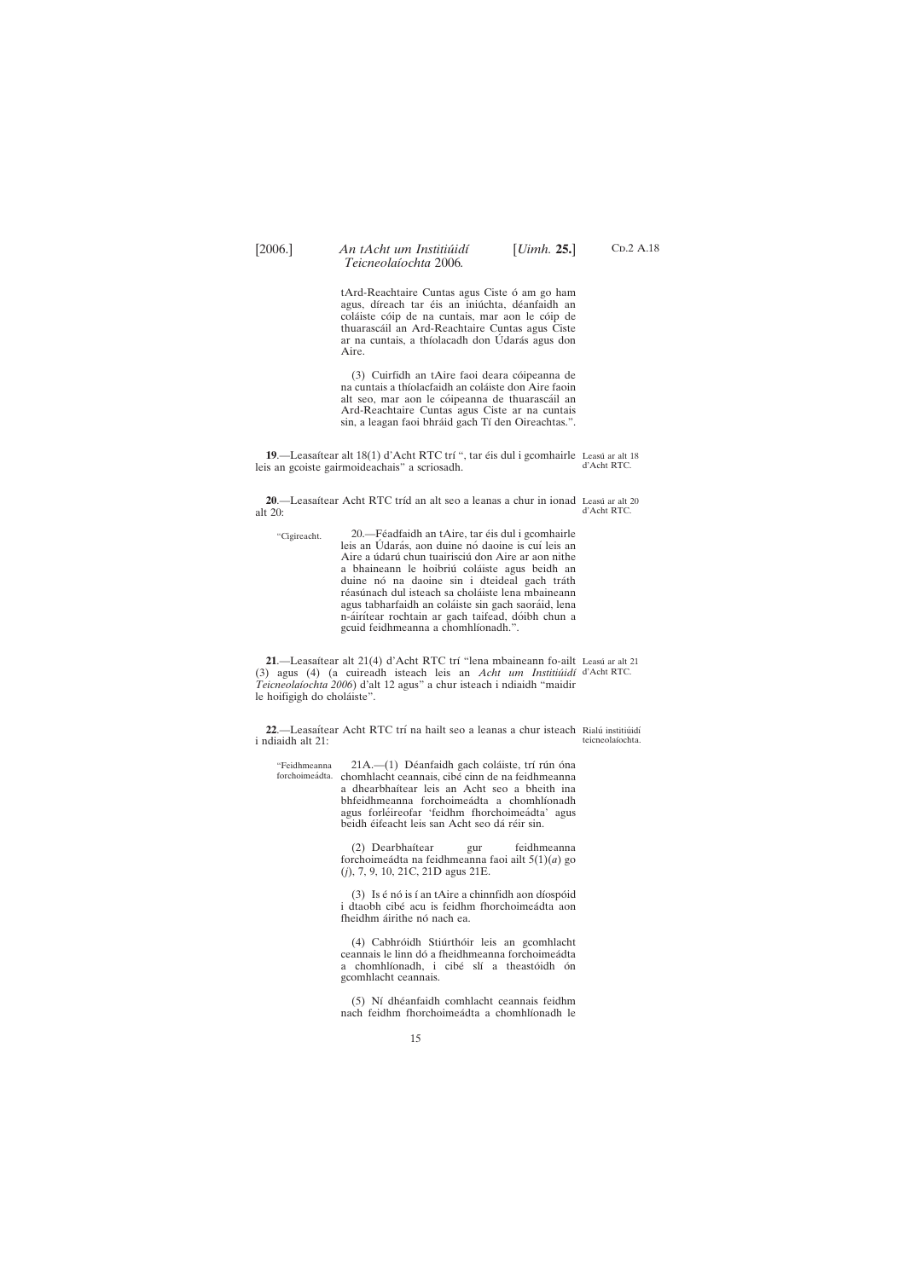<span id="page-14-0"></span>

tArd-Reachtaire Cuntas agus Ciste ó am go ham agus, díreach tar éis an iniúchta, déanfaidh an coláiste cóip de na cuntais, mar aon le cóip de thuarasca´il an Ard-Reachtaire Cuntas agus Ciste ar na cuntais, a thíolacadh don Údarás agus don Aire.

(3) Cuirfidh an tAire faoi deara cóipeanna de na cuntais a thíolacfaidh an coláiste don Aire faoin alt seo, mar aon le cóipeanna de thuarascáil an Ard-Reachtaire Cuntas agus Ciste ar na cuntais sin, a leagan faoi bhráid gach Tí den Oireachtas.".

"Feidhmeanna forchoimeádta. chomhlacht ceannais, cibé cinn de na feidhmeanna 21A.-(1) Déanfaidh gach coláiste, trí rún óna a dhearbhaítear leis an Acht seo a bheith ina bhfeidhmeanna forchoimeádta a chomhlíonadh agus forléireofar 'feidhm fhorchoimeádta' agus beidh éifeacht leis san Acht seo dá réir sin.

> (2) Dearbhaítear gur feidhmeanna forchoimea´dta na feidhmeanna faoi ailt 5(1)(*a*) go (*j*), 7, 9, 10, 21C, 21D agus 21E.

> (3) Is  $\acute{\text{e}}$  nó is í an tAire a chinnfidh aon díospóid i dtaobh cibé acu is feidhm fhorchoimeádta aon fheidhm áirithe nó nach ea.

> (4) Cabhróidh Stiúrthóir leis an gcomhlacht ceannais le linn dó a fheidhmeanna forchoimeádta a chomhlíonadh, i cibé slí a theastóidh ón gcomhlacht ceannais.

C<sub>D</sub>.2 A.18

(5) Ní dhéanfaidh comhlacht ceannais feidhm nach feidhm fhorchoimeádta a chomhlíonadh le

**19**.—Leasaítear alt 18(1) d'Acht RTC trí ", tar éis dul i gcomhairle Leasú ar alt 18 leis an gcoiste gairmoideachais" a scriosadh. d'Acht RTC.

**20**.—Leasaítear Acht RTC tríd an alt seo a leanas a chur in ionad Leasú ar alt 20 alt 20: d'Acht RTC.

"Cigireacht. 20.—Féadfaidh an tAire, tar éis dul i gcomhairle leis an Údarás, aon duine nó daoine is cuí leis an Aire a údarú chun tuairisciú don Aire ar aon nithe a bhaineann le hoibriú coláiste agus beidh an duine nó na daoine sin i dteideal gach tráth réasúnach dul isteach sa choláiste lena mbaineann agus tabharfaidh an coláiste sin gach saoráid, lena n-áirítear rochtain ar gach taifead, dóibh chun a gcuid feidhmeanna a chomhlíonadh.".

**21.—Leasaítear alt 21(4) d'Acht RTC trí "lena mbaineann fo-ailt Leasú ar alt 21** (3) agus (4) (a cuireadh isteach leis an *Acht um Institiu´idı´* d'Acht RTC. *Teicneolaı´ochta 2006*) d'alt 12 agus" a chur isteach i ndiaidh "maidir le hoifigigh do choláiste".

22.—Leasaítear Acht RTC trí na hailt seo a leanas a chur isteach Rialú institiúidí i ndiaidh alt 21: teicneolaíochta.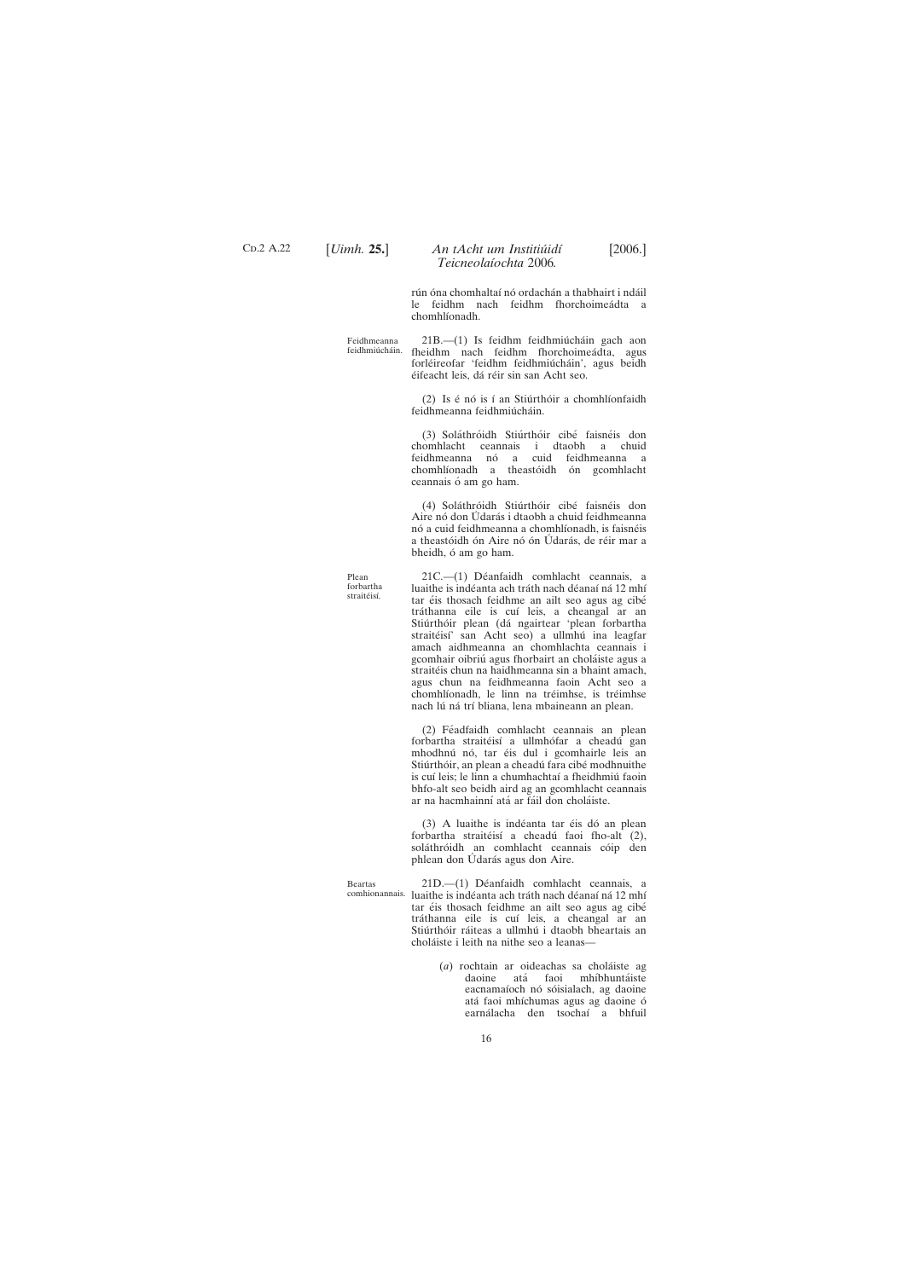C<sub>D</sub>.2 A.22

## [*Uimh.* **25.**] [2006.] *An tAcht um Institiu´idı´ Teicneolaı´ochta* 2006*.*

rún óna chomhaltaí nó ordachán a thabhairt i ndáil le feidhm nach feidhm fhorchoimeádta a chomhlíonadh.

Feidhmeanna feidhmiúcháin.

 $21B$ .  $- (1)$  Is feidhm feidhmiúcháin gach aon fheidhm nach feidhm fhorchoimeádta, agus forléireofar 'feidhm feidhmiúcháin', agus beidh éifeacht leis, dá réir sin san Acht seo.

 $(2)$  Is é nó is í an Stiúrthóir a chomhlíonfaidh feidhmeanna feidhmiúcháin.

(3) Soláthróidh Stiúrthóir cibé faisnéis don chomhlacht ceannais i dtaobh a chuid feidhmeanna nó a cuid feidhmeanna a chomhlíonadh a theastóidh ón gcomhlacht ceannais ó am go ham.

(4) Soláthróidh Stiúrthóir cibé faisnéis don Aire nó don Údarás i dtaobh a chuid feidhmeanna nó a cuid feidhmeanna a chomhlíonadh, is faisnéis a theastóidh ón Aire nó ón Údarás, de réir mar a bheidh, ó am go ham.

Plean forbartha straitéisí.

21C.—(1) Déanfaidh comhlacht ceannais, a luaithe is indéanta ach tráth nach déanaí ná 12 mhí tar éis thosach feidhme an ailt seo agus ag cibé tráthanna eile is cuí leis, a cheangal ar an Stiúrthóir plean (dá ngairtear 'plean forbartha straitéisí' san Acht seo) a ullmhú ina leagfar amach aidhmeanna an chomhlachta ceannais i gcomhair oibriú agus fhorbairt an choláiste agus a straitéis chun na haidhmeanna sin a bhaint amach, agus chun na feidhmeanna faoin Acht seo a chomhlíonadh, le linn na tréimhse, is tréimhse nach lú ná trí bliana, lena mbaineann an plean.

(2) Féadfaidh comhlacht ceannais an plean forbartha straitéisí a ullmhófar a cheadú gan mhodhnú nó, tar éis dul i gcomhairle leis an Stiúrthóir, an plean a cheadú fara cibé modhnuithe is cuí leis; le linn a chumhachtaí a fheidhmiú faoin bhfo-alt seo beidh aird ag an gcomhlacht ceannais ar na hacmhainní atá ar fáil don choláiste.

(3) A luaithe is indéanta tar éis dó an plean forbartha straitéisí a cheadú faoi fho-alt (2), soláthróidh an comhlacht ceannais cóip den phlean don Udarás agus don Aire.

> (*a*) rochtain ar oideachas sa chola´iste ag daoine atá faoi mhíbhuntáiste eacnamaíoch nó sóisialach, ag daoine atá faoi mhíchumas agus ag daoine ó earnálacha den tsochaí a bhfuil

Beartas

comhionannais. luaithe is indéanta ach tráth nach déanaí ná 12 mhí 21D.—(1) Déanfaidh comhlacht ceannais, a tar éis thosach feidhme an ailt seo agus ag cibé tráthanna eile is cuí leis, a cheangal ar an Stiúrthóir ráiteas a ullmhú i dtaobh bheartais an choláiste i leith na nithe seo a leanas-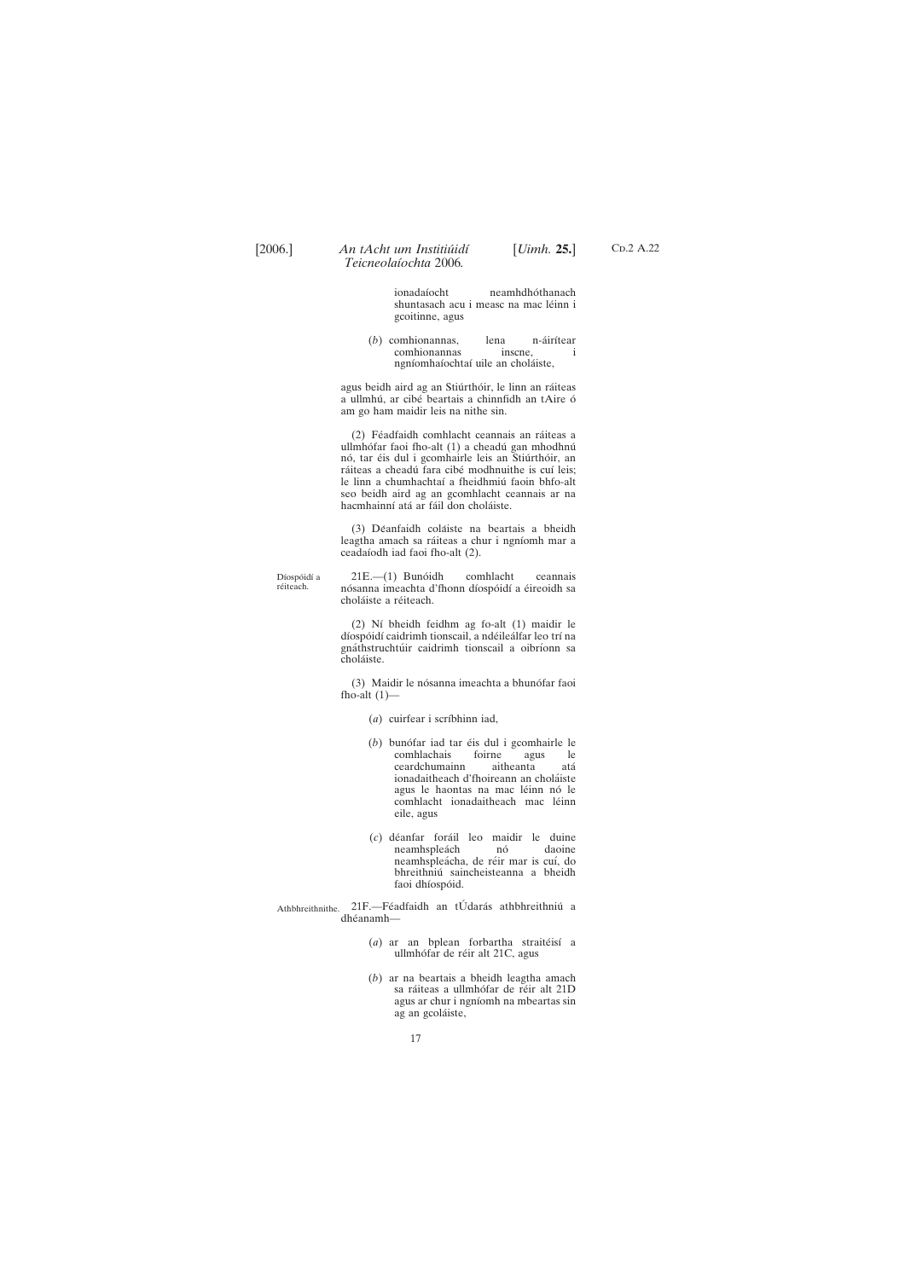$CD.2 A.22$ 

ionadaíocht neamhdhóthanach shuntasach acu i measc na mac léinn i gcoitinne, agus

(*b*) comhionannas, lena n-áirítear comhionannas inscne, i ngníomhaíochtaí uile an choláiste,

agus beidh aird ag an Stiúrthóir, le linn an ráiteas a ullmhú, ar cibé beartais a chinnfidh an tAire ó am go ham maidir leis na nithe sin.

(2) Féadfaidh comhlacht ceannais an ráiteas a ullmhófar faoi fho-alt (1) a cheadú gan mhodhnú nó, tar éis dul i gcomhairle leis an Stiúrthóir, an ráiteas a cheadú fara cibé modhnuithe is cuí leis; le linn a chumhachtaí a fheidhmiú faoin bhfo-alt seo beidh aird ag an gcomhlacht ceannais ar na hacmhainní atá ar fáil don choláiste.

(3) Déanfaidh coláiste na beartais a bheidh leagtha amach sa ráiteas a chur i ngníomh mar a ceadaı´odh iad faoi fho-alt (2).

Díospóidí a réiteach. 21E.—(1) Bunóidh comhlacht ceannais nósanna imeachta d'fhonn díospóidí a éireoidh sa choláiste a réiteach.

> (2) Ní bheidh feidhm ag fo-alt (1) maidir le díospóidí caidrimh tionscail, a ndéileálfar leo trí na gnáthstruchtúir caidrimh tionscail a oibríonn sa choláiste.

> (3) Maidir le nósanna imeachta a bhunófar faoi fho-alt  $(1)$ —

> > (*a*) cuirfear i scríbhinn iad,

- (*b*) bunófar iad tar éis dul i gcomhairle le comhlachais foirne agus le foirne agus le ceardchumainn aitheanta ata´ ionadaitheach d'fhoireann an choláiste agus le haontas na mac léinn nó le comhlacht ionadaitheach mac léinn eile, agus
- (*c*) de´anfar fora´il leo maidir le duine neamhspleách nó daoine neamhspleácha, de réir mar is cuí, do bhreithniu´ saincheisteanna a bheidh faoi dhíospóid.

Athbhreithnithe. 21F.-Féadfaidh an tÚdarás athbhreithniú a dhéanamh-

> (*a*) ar an bplean forbartha straitéisí a ullmhófar de réir alt 21C, agus

> (*b*) ar na beartais a bheidh leagtha amach sa ráiteas a ullmhófar de réir alt 21D agus ar chur i ngnı´omh na mbeartas sin ag an gcoláiste,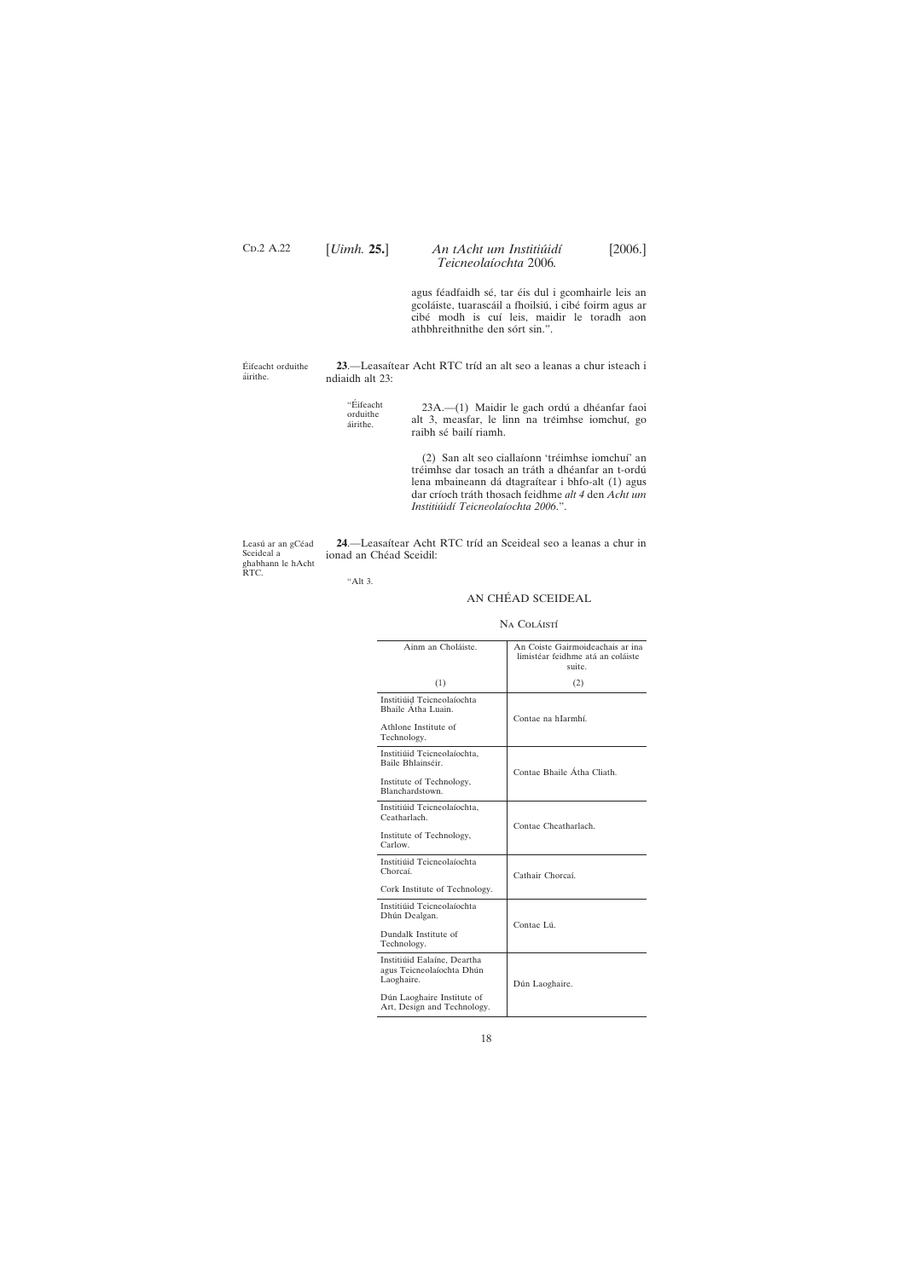Leasú ar an gCéad Sceideal a ghabhann le hAcht RTC.

24.—Leasaítear Acht RTC tríd an Sceideal seo a leanas a chur in ionad an Chéad Sceidil:

18

<span id="page-17-0"></span> $CD.2 A.22$ 

# [*Uimh.* **25.**] [2006.] *An tAcht um Institiu´idı´ Teicneolaı´ochta* 2006*.*

agus féadfaidh sé, tar éis dul i gcomhairle leis an gcoláiste, tuarascáil a fhoilsiú, i cibé foirm agus ar cibé modh is cuí leis, maidir le toradh aon athbhreithnithe den sórt sin.".

Éifeacht orduithe áirithe.

23.—Leasaítear Acht RTC tríd an alt seo a leanas a chur isteach i ndiaidh alt 23:

"Éifeacht orduithe áirithe. 23A.-(1) Maidir le gach ordú a dhéanfar faoi alt 3, measfar, le linn na tréimhse iomchuí, go raibh sé bailí riamh.

> (2) San alt seo ciallaíonn 'tréimhse iomchuí' an tréimhse dar tosach an tráth a dhéanfar an t-ordú lena mbaineann dá dtagraítear i bhfo-alt (1) agus dar crı´och tra´th thosach feidhme *alt 4* den *Acht um Institiu´idı´ Teicneolaı´ochta 2006*.".

"Alt 3.

## AN CHÉAD SCEIDEAL

#### Na Coláistí

| Ainm an Choláiste.                               | An Coiste Gairmoideachais ar ina<br>limistéar feidhme atá an coláiste<br>suite. |  |
|--------------------------------------------------|---------------------------------------------------------------------------------|--|
| (1)                                              | (2)                                                                             |  |
| Institiúid Teicneolaíochta<br>Bhaile Átha Luain. |                                                                                 |  |
| Athlone Institute of<br>Technology.              | Contae na hIarmhí.                                                              |  |
| Institiúid Teicneolaíochta.<br>Baile Bhlainséir. | Contae Bhaile Átha Cliath.                                                      |  |
| Institute of Technology,<br>Blanchardstown.      |                                                                                 |  |
| Institiúid Teicneolaíochta,<br>Ceatharlach.      |                                                                                 |  |
| Institute of Technology,<br>Carlow.              | Contae Cheatharlach.                                                            |  |
| Institiúid Teicneolaíochta<br>Chorcaí.           | Cathair Chorcaí.                                                                |  |
| Cork Institute of Technology.                    |                                                                                 |  |
| Institiúid Teicneolaíochta<br>Dhún Dealgan.      | Contae Lú.                                                                      |  |
| Dundalk Institute of<br>Technology.              |                                                                                 |  |
| Institiúid Ealaíne, Deartha                      |                                                                                 |  |

| agus Teicneolaíochta Dhún<br>Laoghaire.                   | Dún Laoghaire. |
|-----------------------------------------------------------|----------------|
| Dún Laoghaire Institute of<br>Art, Design and Technology. |                |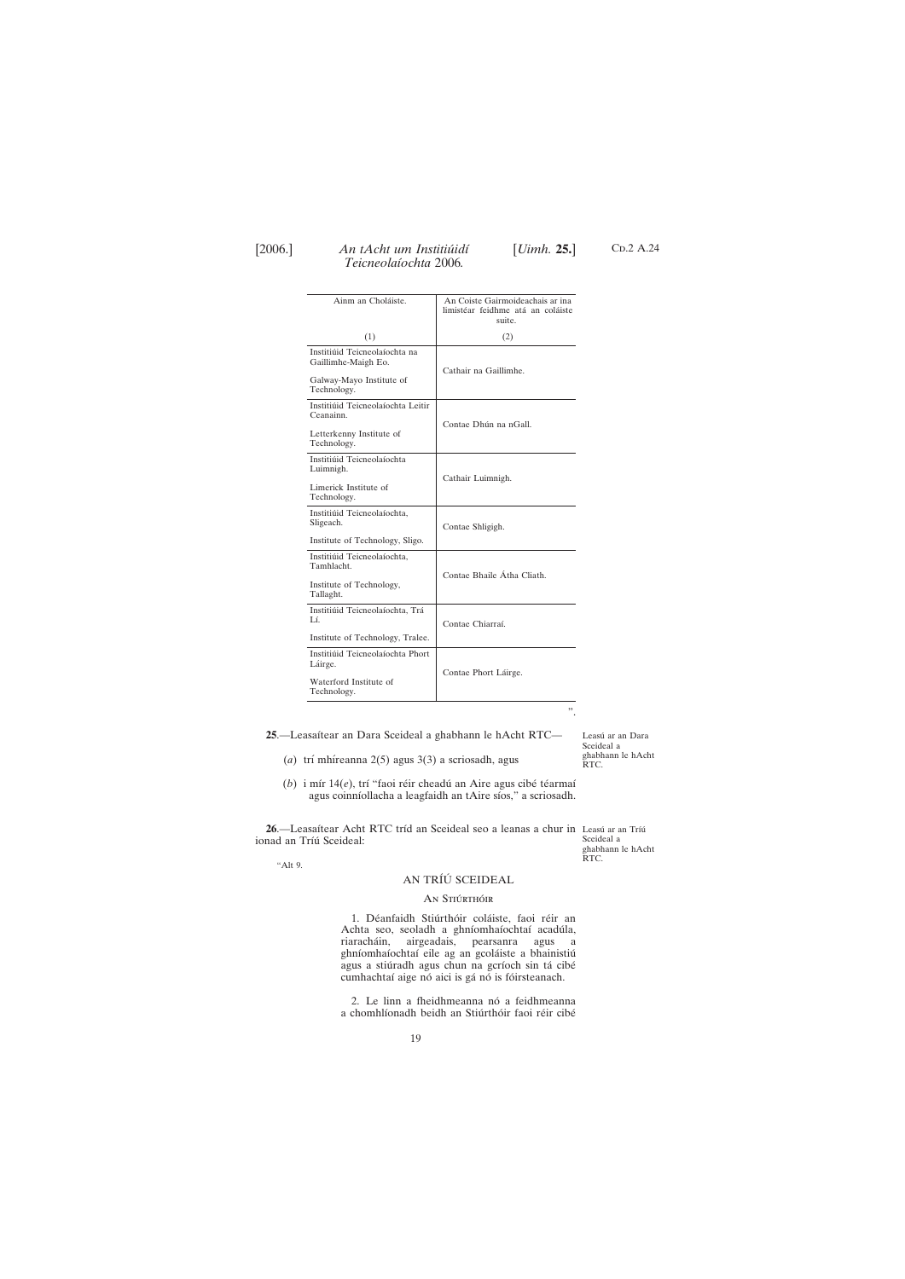<span id="page-18-0"></span>

Ainm an Choláiste. An Coiste Gairmoideachais ar ina limistéar feidhme atá an coláiste suite.  $(1)$  (2) Institiúid Teicneolaíochta na Gaillimhe-Maigh Eo. Cathair na Gaillimhe. Galway-Mayo Institute of Technology. Institiúid Teicneolaíochta Leitir Ceanainn. Contae Dhún na nGall. Letterkenny Institute of Technology. Institiúid Teicneolaíochta Luimnigh. Cathair Luimnigh. Limerick Institute of Technology. Institiúid Teicneolaíochta, Sligeach. Contae Shligigh. Institute of Technology, Sligo. Institiúid Teicneolaíochta, Tamhlacht. Contae Bhaile Átha Cliath. Institute of Technology, Tallaght. Institiúid Teicneolaíochta, Trá Lí. Contae Chiarraí. Institute of Technology, Tralee. Institiúid Teicneolaíochta Phort Láirge. Contae Phort Láirge. Waterford Institute of Technology. ".

25.-Leasaítear an Dara Sceideal a ghabhann le hAcht RTC-

Leasú ar an Dara Sceideal a ghabhann le hAcht RTC.

(*a*) trí mhíreanna 2(5) agus 3(3) a scriosadh, agus

(*b*) i mír 14(*e*), trí "faoi réir cheadú an Aire agus cibé téarmaí agus coinníollacha a leagfaidh an tAire síos," a scriosadh.

**26**.—Leasaítear Acht RTC tríd an Sceideal seo a leanas a chur in Leasú ar an Tríú ionad an Tríú Sceideal: Sceideal a

"Alt 9.

19

ghabhann le hAcht RTC.

## AN TRÍÚ SCEIDEAL

#### AN STIÚRTHÓIR

1. Déanfaidh Stiúrthóir coláiste, faoi réir an Achta seo, seoladh a ghníomhaíochtaí acadúla, riaracha´in, airgeadais, pearsanra agus a ghníomhaíochtaí eile ag an gcoláiste a bhainistiú C<sub>D</sub>.2 A.24

agus a stiúradh agus chun na gcríoch sin tá cibé cumhachtaí aige nó aici is gá nó is fóirsteanach.

2. Le linn a fheidhmeanna nó a feidhmeanna a chomhlíonadh beidh an Stiúrthóir faoi réir cibé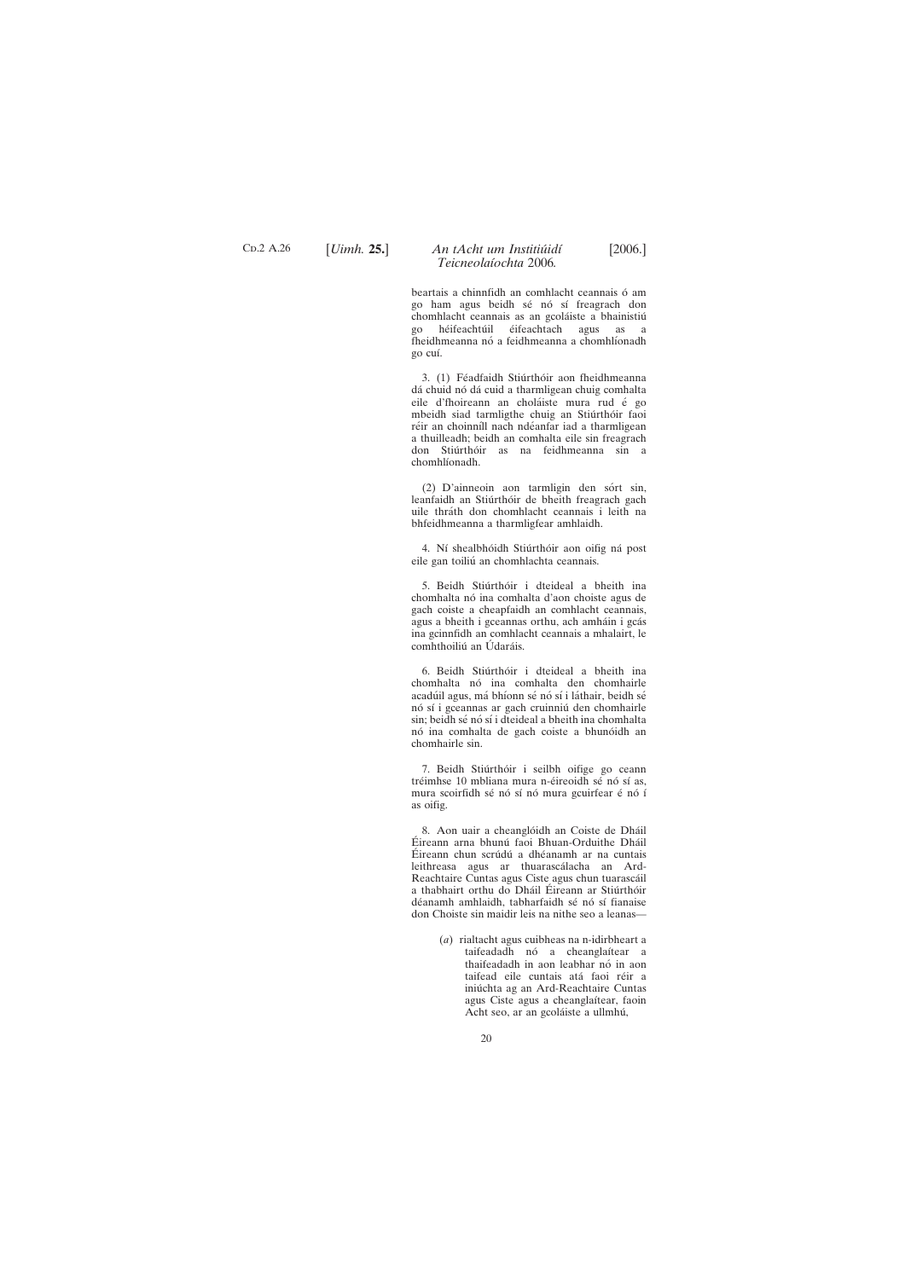C<sub>D</sub>.2 A.26

## [*Uimh.* **25.**] [2006.] *An tAcht um Institiu´idı´ Teicneolaı´ochta* 2006*.*

beartais a chinnfidh an comhlacht ceannais ó am go ham agus beidh sé nó sí freagrach don chomhlacht ceannais as an gcoláiste a bhainistiú go héifeachtúil éifeachtach agus as a fheidhmeanna nó a feidhmeanna a chomhlíonadh go cuı´.

3. (1) Féadfaidh Stiúrthóir aon fheidhmeanna dá chuid nó dá cuid a tharmligean chuig comhalta eile d'fhoireann an choláiste mura rud é go mbeidh siad tarmligthe chuig an Stiúrthóir faoi réir an choinníll nach ndéanfar iad a tharmligean a thuilleadh; beidh an comhalta eile sin freagrach don Stiúrthóir as na feidhmeanna sin a chomhlíonadh.

(2) D'ainneoin aon tarmligin den sórt sin, leanfaidh an Stiúrthóir de bheith freagrach gach uile thráth don chomhlacht ceannais i leith na bhfeidhmeanna a tharmligfear amhlaidh.

4. Ní shealbhóidh Stiúrthóir aon oifig ná post eile gan toiliu´ an chomhlachta ceannais.

5. Beidh Stiúrthóir i dteideal a bheith ina chomhalta nó ina comhalta d'aon choiste agus de gach coiste a cheapfaidh an comhlacht ceannais, agus a bheith i gceannas orthu, ach amháin i gcás ina gcinnfidh an comhlacht ceannais a mhalairt, le comhthoiliú an Údaráis.

6. Beidh Stiúrthóir i dteideal a bheith ina chomhalta nó ina comhalta den chomhairle acadúil agus, má bhíonn sé nó sí i láthair, beidh sé nó sí i gceannas ar gach cruinniú den chomhairle sin; beidh sé nó sí i dteideal a bheith ina chomhalta nó ina comhalta de gach coiste a bhunóidh an chomhairle sin.

7. Beidh Stiúrthóir i seilbh oifige go ceann tréimhse 10 mbliana mura n-éireoidh sé nó sí as, mura scoirfidh sé nó sí nó mura gcuirfear é nó í as oifig.

8. Aon uair a cheanglóidh an Coiste de Dháil Éireann arna bhunú faoi Bhuan-Orduithe Dháil Éireann chun scrúdú a dhéanamh ar na cuntais leithreasa agus ar thuarascálacha an Ard-Reachtaire Cuntas agus Ciste agus chun tuarascáil a thabhairt orthu do Dháil Éireann ar Stiúrthóir déanamh amhlaidh, tabharfaidh sé nó sí fianaise don Choiste sin maidir leis na nithe seo a leanas—

> (*a*) rialtacht agus cuibheas na n-idirbheart a taifeadadh nó a cheanglaítear a thaifeadadh in aon leabhar nó in aon taifead eile cuntais atá faoi réir a iniúchta ag an Ard-Reachtaire Cuntas agus Ciste agus a cheanglaítear, faoin Acht seo, ar an gcoláiste a ullmhú,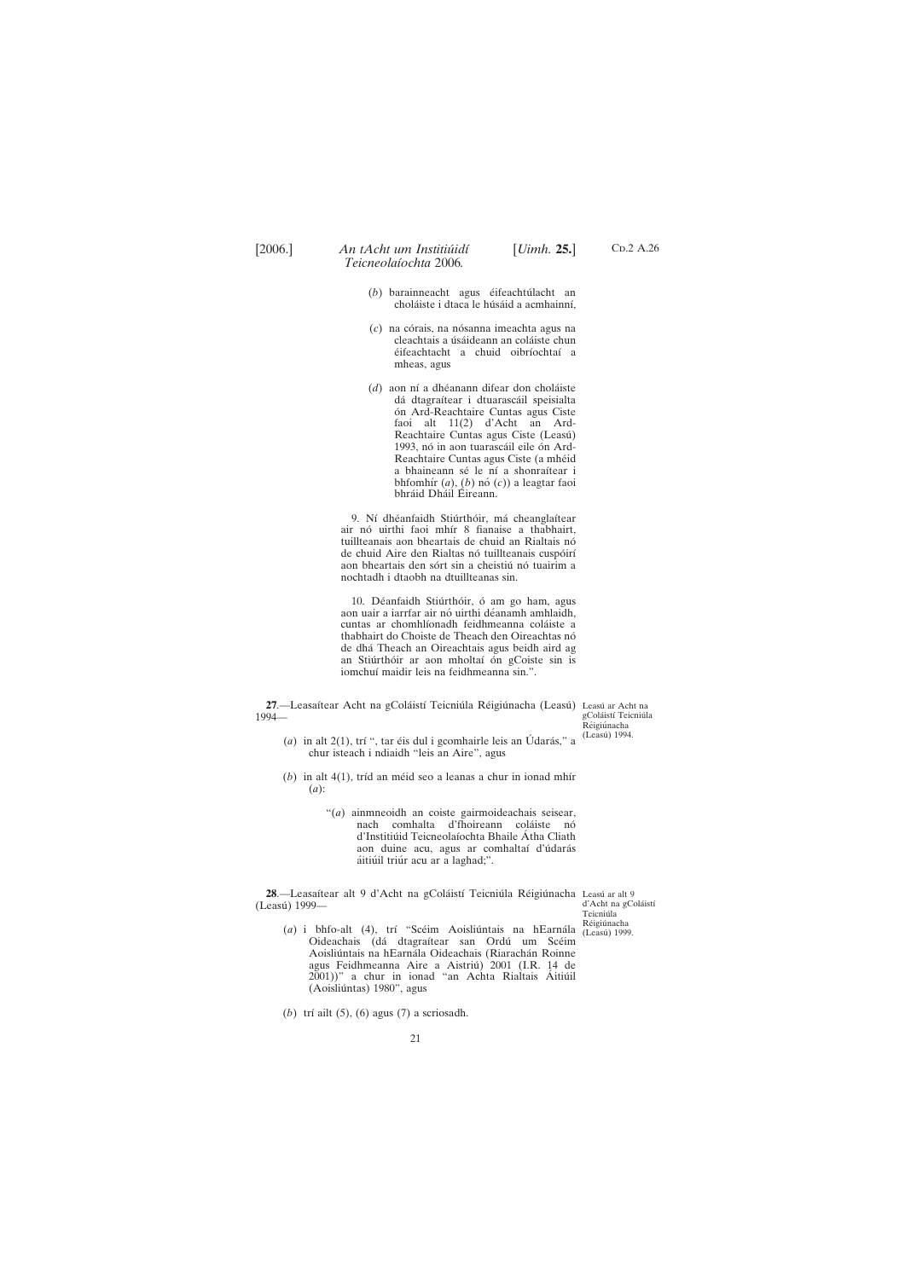<span id="page-20-0"></span>

- C<sub>D</sub>.2 A.26
- (*b*) barainneacht agus éifeachtúlacht an choláiste i dtaca le húsáid a acmhainní,
- (*c*) na córais, na nósanna imeachta agus na cleachtais a úsáideann an coláiste chun éifeachtacht a chuid oibríochtaí a mheas, agus
- (*d*) aon ní a dhéanann difear don choláiste dá dtagraítear i dtuarascáil speisialta ón Ard-Reachtaire Cuntas agus Ciste faoi alt 11(2) d'Acht an Ard-Reachtaire Cuntas agus Ciste (Leasú) 1993, nó in aon tuarascáil eile ón Ard-Reachtaire Cuntas agus Ciste (a mhéid a bhaineann sé le ní a shonraítear i bhfomhír  $(a)$ ,  $(b)$  nó  $(c)$ ) a leagtar faoi bhráid Dháil Éireann.

9. Ní dhéanfaidh Stiúrthóir, má cheanglaítear air nó uirthi faoi mhír 8 fianaise a thabhairt, tuillteanais aon bheartais de chuid an Rialtais nó de chuid Aire den Rialtas nó tuillteanais cuspóirí aon bheartais den sórt sin a cheistiú nó tuairim a nochtadh i dtaobh na dtuillteanas sin.

10. Déanfaidh Stiúrthóir, ó am go ham, agus aon uair a iarrfar air nó uirthi déanamh amhlaidh, cuntas ar chomhlíonadh feidhmeanna coláiste a thabhairt do Choiste de Theach den Oireachtas nó de dha´ Theach an Oireachtais agus beidh aird ag an Stiúrthóir ar aon mholtaí ón gCoiste sin is iomchuí maidir leis na feidhmeanna sin.".

**27.—Leasaítear Acht na gColáistí Teicniúla Réigiúnacha (Leasú) Leasú ar Acht na** 1994—

gColáistí Teicniúla Réigiúnacha (Leasú) 1994.

- (*a*) in alt 2(1), trí ", tar éis dul i gcomhairle leis an Údarás," a chur isteach i ndiaidh "leis an Aire", agus
- $(b)$  in alt  $4(1)$ , tríd an méid seo a leanas a chur in ionad mhír (*a*):
	- "(*a*) ainmneoidh an coiste gairmoideachais seisear, nach comhalta d'fhoireann coláiste nó d'Institiúid Teicneolaíochta Bhaile Átha Cliath aon duine acu, agus ar comhaltaí d'údarás áitiúil triúr acu ar a laghad;".

**28**.—Leasaítear alt 9 d'Acht na gColáistí Teicniúla Réigiúnacha Leasú ar alt 9 (Leasú) 1999—

d'Acht na gColáistí Teicniúla Réigiúnacha

(*a*) i bhfo-alt (4), trí "Scéim Aoisliúntais na hEarnála (Leasú) 1999. Oideachais (dá dtagraítear san Ordú um Scéim Aoisliúntais na hEarnála Oideachais (Riarachán Roinne agus Feidhmeanna Aire a Aistriú) 2001 (I.R. 14 de

2001))" a chur in ionad "an Achta Rialtais Áitiúil (Aoisliúntas) 1980", agus

(*b*) trí ailt (5), (6) agus (7) a scriosadh.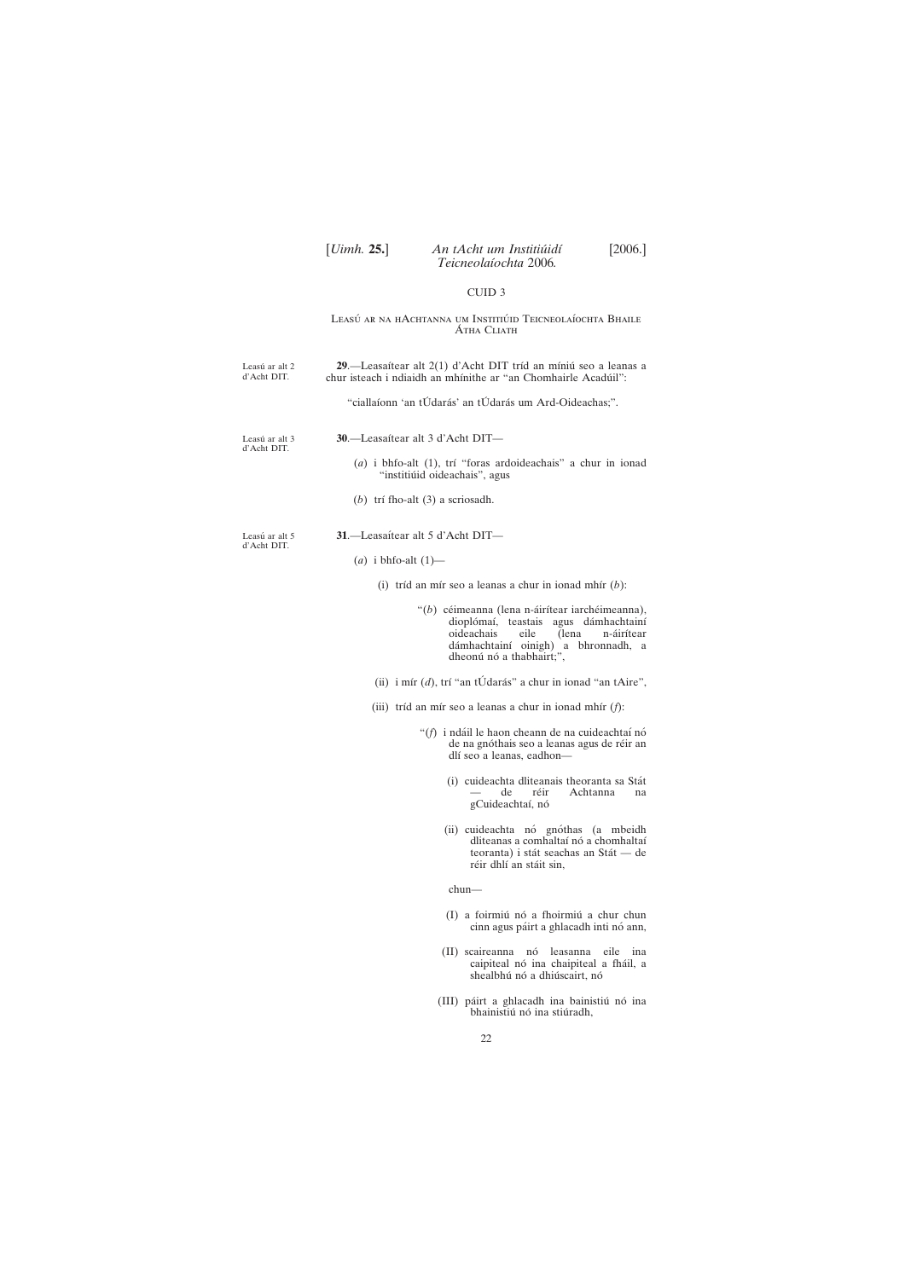# <span id="page-21-0"></span>[*Uimh.* **25.**] [2006.] *An tAcht um Institiu´idı´ Teicneolaı´ochta* 2006*.*

# CUID 3

#### Leasú ar na hAchtanna um Institiúid Teicneolaíochta Bhaile Átha Cliath

| Leasú ar alt 2<br>d'Acht DIT. | 29.—Leasaítear alt 2(1) d'Acht DIT tríd an míniú seo a leanas a<br>chur isteach i ndiaidh an mhínithe ar "an Chomhairle Acadúil":                                                                           |
|-------------------------------|-------------------------------------------------------------------------------------------------------------------------------------------------------------------------------------------------------------|
|                               | "ciallaíonn 'an tÚdarás' an tÚdarás um Ard-Oideachas;".                                                                                                                                                     |
| Leasú ar alt 3<br>d'Acht DIT. | 30.-Leasaítear alt 3 d'Acht DIT-                                                                                                                                                                            |
|                               | $(a)$ i bhfo-alt $(1)$ , trí "foras ardoideachais" a chur in ionad<br>"institiúid oideachais", agus                                                                                                         |
|                               | (b) trí fho-alt $(3)$ a scriosadh.                                                                                                                                                                          |
| Leasú ar alt 5<br>d'Acht DIT. | 31.—Leasaítear alt 5 d'Acht DIT—                                                                                                                                                                            |
|                               | (a) i bhfo-alt $(1)$ —                                                                                                                                                                                      |
|                               | (i) tríd an mír seo a leanas a chur in ionad mhír $(b)$ :                                                                                                                                                   |
|                               | " $(b)$ céimeanna (lena n-áirítear iarchéimeanna),<br>dioplómaí, teastais agus dámhachtainí<br>oideachais<br>eile<br>(lena<br>n-áirítear<br>dámhachtainí oinigh) a bhronnadh, a<br>dheonú nó a thabhairt;", |
|                               | (ii) i mír $(d)$ , trí "an tÚdarás" a chur in ionad "an tAire",                                                                                                                                             |
|                               | (iii) tríd an mír seo a leanas a chur in ionad mhír $(f)$ :                                                                                                                                                 |
|                               | "(f) i ndáil le haon cheann de na cuideachtaí nó<br>de na gnóthais seo a leanas agus de réir an<br>dlí seo a leanas, eadhon-                                                                                |
|                               | (i) cuideachta dliteanais theoranta sa Stát<br>réir<br>Achtanna<br>de<br>na<br>gCuideachtaí, nó                                                                                                             |
|                               | (ii) cuideachta nó gnóthas (a mbeidh<br>dliteanas a comhaltaí nó a chomhaltaí<br>teoranta) i stát seachas an Stát — de<br>réir dhlí an stáit sin,                                                           |
|                               | $chun-$                                                                                                                                                                                                     |
|                               | (I) a foirmiú nó a fhoirmiú a chur chun                                                                                                                                                                     |

(II) scaireanna nó leasanna eile ina caipiteal nó ina chaipiteal a fháil, a

shealbhú nó a dhiúscairt, nó

cinn agus páirt a ghlacadh inti nó ann,

(III) páirt a ghlacadh ina bainistiú nó ina bhainistiú nó ina stiúradh,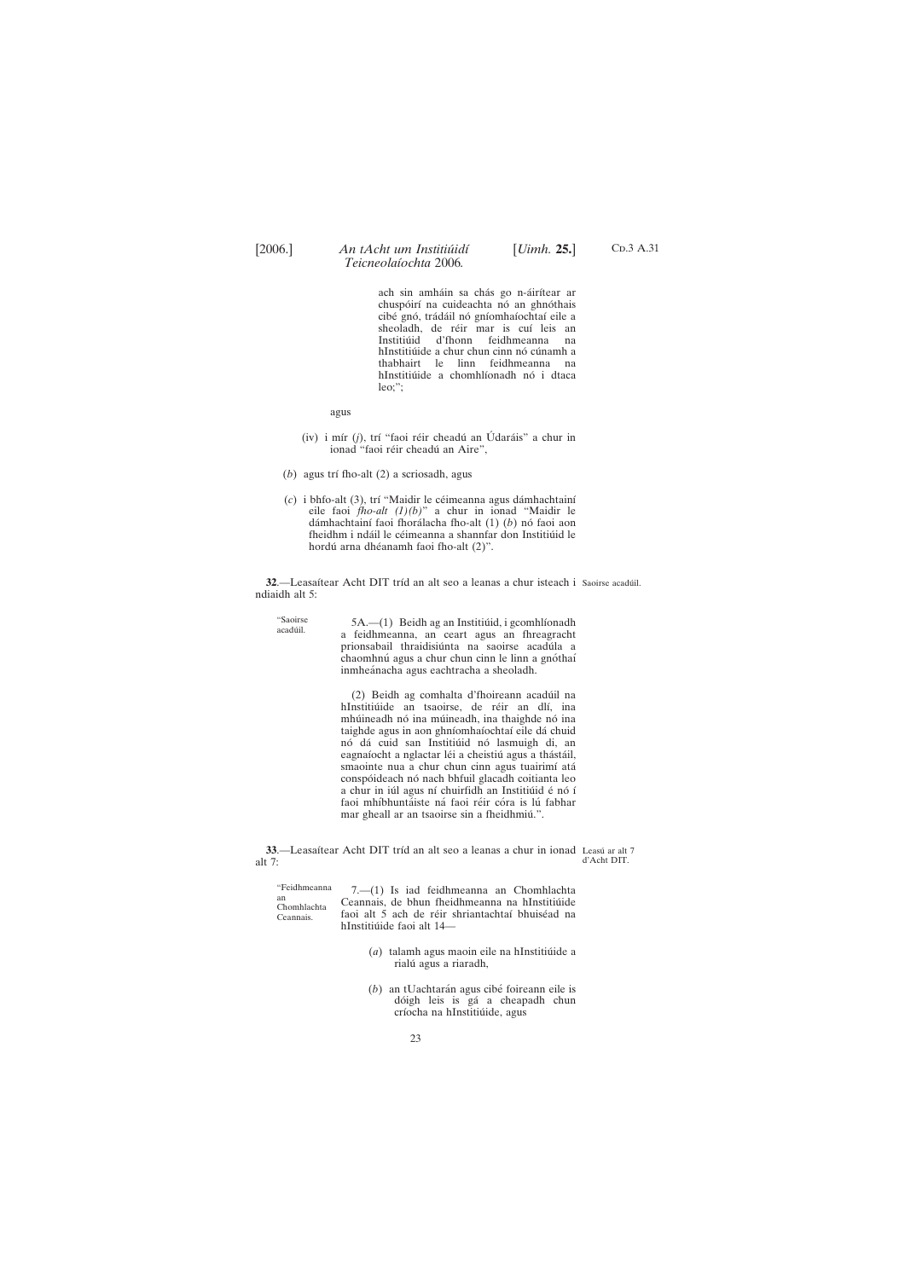<span id="page-22-0"></span>

C<sub>D</sub>.3 A.31

ach sin amháin sa chás go n-áirítear ar chuspóirí na cuideachta nó an ghnóthais cibé gnó, trádáil nó gníomhaíochtaí eile a sheoladh, de réir mar is cuí leis an Institiúid d'fhonn feidhmeanna na hInstitiúide a chur chun cinn nó cúnamh a thabhairt le linn feidhmeanna na hInstitiúide a chomhlíonadh nó i dtaca leo;";

agus

- (iv) i mír (*j*), trí "faoi réir cheadú an Údaráis" a chur in ionad "faoi réir cheadú an Aire",
- (*b*) agus trí fho-alt (2) a scriosadh, agus
- (c) i bhfo-alt (3), trí "Maidir le céimeanna agus dámhachtainí eile faoi *fho-alt (1)(b)*" a chur in ionad "Maidir le dámhachtainí faoi fhorálacha fho-alt (1) (b) nó faoi aon fheidhm i ndáil le céimeanna a shannfar don Institiúid le hordú arna dhéanamh faoi fho-alt (2)".

**32.—Leasaítear Acht DIT tríd an alt seo a leanas a chur isteach i Saoirse acadúil.** ndiaidh alt 5:

> (2) Beidh ag comhalta d'fhoireann acadu´il na hInstitiúide an tsaoirse, de réir an dlí, ina mhúineadh nó ina múineadh, ina thaighde nó ina taighde agus in aon ghníomhaíochtaí eile dá chuid nó dá cuid san Institiúid nó lasmuigh di, an eagnaíocht a nglactar léi a cheistiú agus a thástáil, smaointe nua a chur chun cinn agus tuairimí atá conspóideach nó nach bhfuil glacadh coitianta leo a chur in iúl agus ní chuirfidh an Institiúid é nó í faoi mhíbhuntáiste ná faoi réir córa is lú fabhar mar gheall ar an tsaoirse sin a fheidhmiú.".

"Feidhmeanna an Chomhlachta Ceannais. 7.—(1) Is iad feidhmeanna an Chomhlachta Ceannais, de bhun fheidhmeanna na hInstitiúide faoi alt 5 ach de réir shriantachtaí bhuiséad na hInstitiúide faoi alt 14-

> (*a*) talamh agus maoin eile na hInstitiúide a rialú agus a riaradh,

(*b*) an tUachtarán agus cibé foireann eile is dóigh leis is gá a cheapadh chun críocha na hInstitiúide, agus

"Saoirse

"Saoirse  $5A$ .—(1) Beidh ag an Institiúid, i gcomhlíonadh acadúil. a feidhmeanna, an ceart agus an fhreagracht prionsabail thraidisiúnta na saoirse acadúla a chaomhnú agus a chur chun cinn le linn a gnóthaí inmheánacha agus eachtracha a sheoladh.

**33.**—Leasaítear Acht DIT tríd an alt seo a leanas a chur in ionad Leasú ar alt 7 alt 7: d'Acht DIT.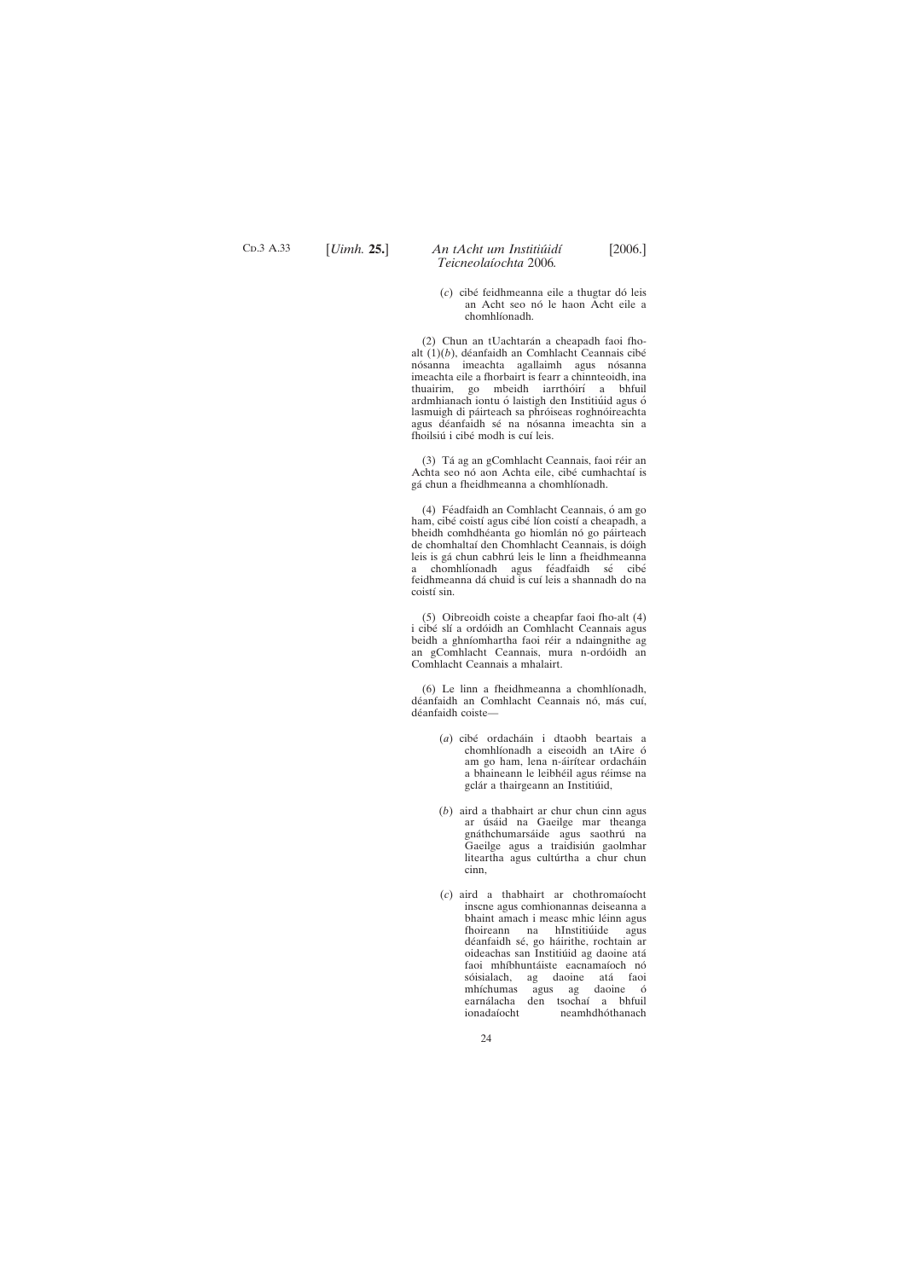(*c*) cibe´ feidhmeanna eile a thugtar do´ leis an Acht seo nó le haon Acht eile a chomhlíonadh.

(2) Chun an tUachtarán a cheapadh faoi fhoalt  $(1)(b)$ , déanfaidh an Comhlacht Ceannais cibé nósanna imeachta agallaimh agus nósanna imeachta eile a fhorbairt is fearr a chinnteoidh, ina thuairim, go mbeidh iarrthóirí a bhfuil ardmhianach iontu ó laistigh den Institiúid agus ó lasmuigh di páirteach sa phróiseas roghnóireachta agus déanfaidh sé na nósanna imeachta sin a fhoilsiú i cibé modh is cuí leis.

(3) Tá ag an gComhlacht Ceannais, faoi réir an Achta seo nó aon Achta eile, cibé cumhachtaí is gá chun a fheidhmeanna a chomhlíonadh.

(4) Féadfaidh an Comhlacht Ceannais, ó am go ham, cibé coistí agus cibé líon coistí a cheapadh, a bheidh comhdhéanta go hiomlán nó go páirteach de chomhaltaí den Chomhlacht Ceannais, is dóigh leis is gá chun cabhrú leis le linn a fheidhmeanna a chomhlíonadh agus féadfaidh sé cibé feidhmeanna dá chuid is cuí leis a shannadh do na coistí sin.

C<sub>D</sub>.3 A.33

# [*Uimh.* **25.**] [2006.] *An tAcht um Institiu´idı´ Teicneolaı´ochta* 2006*.*

(5) Oibreoidh coiste a cheapfar faoi fho-alt (4) i cibé slí a ordóidh an Comhlacht Ceannais agus beidh a ghníomhartha faoi réir a ndaingnithe ag an gComhlacht Ceannais, mura n-ordóidh an Comhlacht Ceannais a mhalairt.

(6) Le linn a fheidhmeanna a chomhlíonadh, déanfaidh an Comhlacht Ceannais nó, más cuí, déanfaidh coiste-

- (*a*) cibé ordacháin i dtaobh beartais a chomhlíonadh a eiseoidh an tAire ó am go ham, lena n-áirítear ordacháin a bhaineann le leibhéil agus réimse na gclár a thairgeann an Institiúid,
- (*b*) aird a thabhairt ar chur chun cinn agus ar úsáid na Gaeilge mar theanga gnáthchumarsáide agus saothrú na Gaeilge agus a traidisiún gaolmhar liteartha agus cultúrtha a chur chun cinn,
- (*c*) aird a thabhairt ar chothromaı´ocht inscne agus comhionannas deiseanna a bhaint amach i measc mhic léinn agus fhoireann na hInstitiúide agus déanfaidh sé, go háirithe, rochtain ar oideachas san Institiúid ag daoine atá faoi mhíbhuntáiste eacnamaíoch nó

sóisialach, ag daoine atá faoi mhíchumas agus ag daoine ó earnálacha den tsochaí a bhfuil ionadaíocht neamhdhóthanach neamhdhóthanach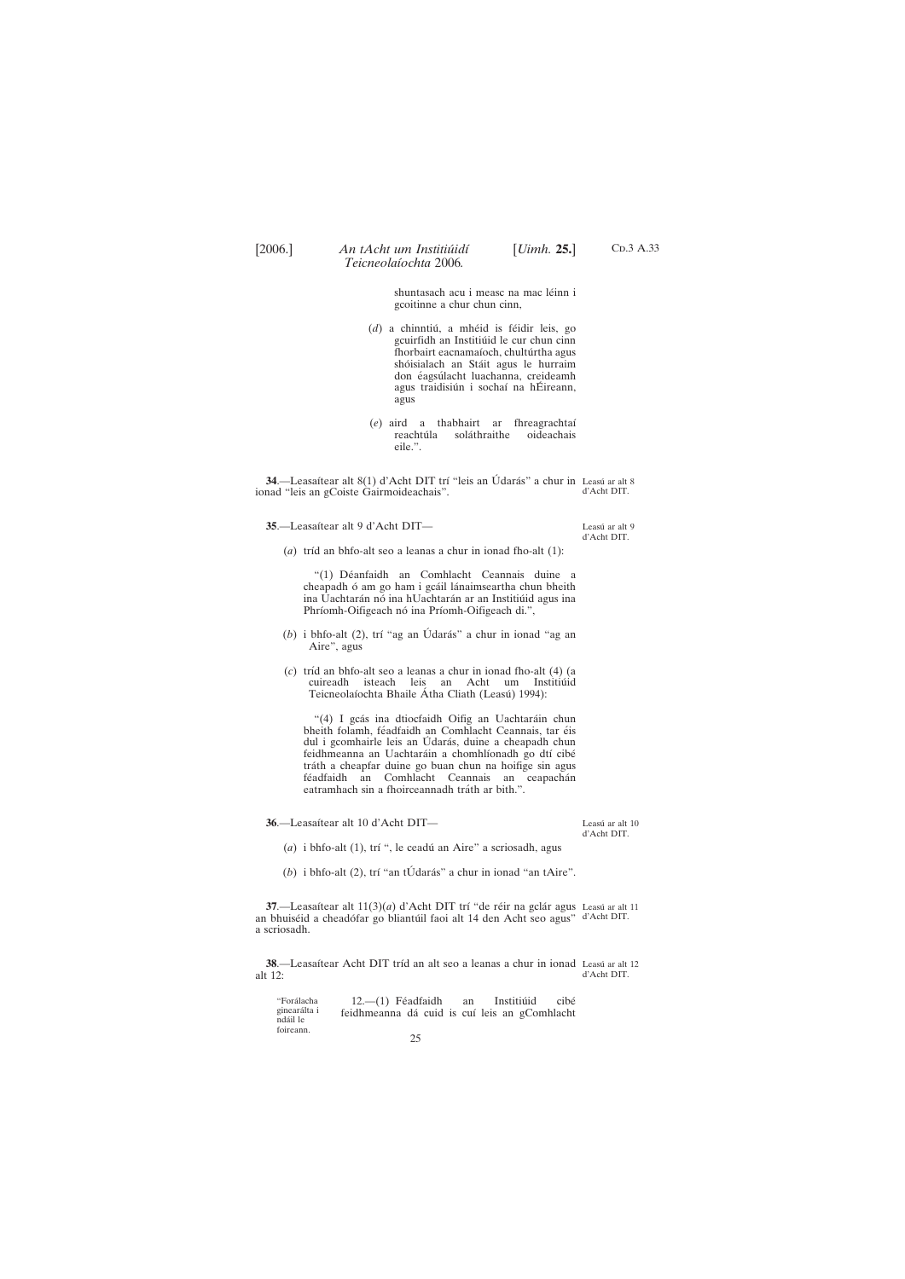<span id="page-24-0"></span>

C<sub>D</sub>.3 A.33

shuntasach acu i measc na mac léinn i gcoitinne a chur chun cinn,

- (d) a chinntiú, a mhéid is féidir leis, go gcuirfidh an Institiúid le cur chun cinn fhorbairt eacnamaíoch, chultúrtha agus shóisialach an Stáit agus le hurraim don éagsúlacht luachanna, creideamh agus traidisiún i sochaí na hÉireann, agus
- (*e*) aird a thabhairt ar fhreagrachtaı´ reachtúla soláthraithe oideachais eile.".

**37.**—Leasaítear alt 11(3)(*a*) d'Acht DIT trí "de réir na gclár agus Leasú ar alt 11 an bhuiséid a cheadófar go bliantúil faoi alt 14 den Acht seo agus" d'Acht DIT. a scriosadh.

**38**.—Leasaítear Acht DIT tríd an alt seo a leanas a chur in ionad Leasú ar alt 12

"Forálacha ginearálta i nda´il le foireann.  $12.-(1)$  Féadfaidh an Institiúid cibé feidhmeanna dá cuid is cuí leis an gComhlacht 25

**34.**—Leasaítear alt 8(1) d'Acht DIT trí "leis an Údarás" a chur in Leasú ar alt 8 ionad "leis an gCoiste Gairmoideachais". d'Acht DIT.

35.—Leasaítear alt 9 d'Acht DIT—

Leasú ar alt 9 d'Acht DIT.

(*a*) tríd an bhfo-alt seo a leanas a chur in ionad fho-alt (1):

"(1) Déanfaidh an Comhlacht Ceannais duine a cheapadh ó am go ham i gcáil lánaimseartha chun bheith ina Uachtarán nó ina hUachtarán ar an Institiúid agus ina Phríomh-Oifigeach nó ina Príomh-Oifigeach di.",

- (b) i bhfo-alt (2), trí "ag an Údarás" a chur in ionad "ag an Aire", agus
- (*c*) trı´d an bhfo-alt seo a leanas a chur in ionad fho-alt (4) (a cuireadh isteach leis an Acht um Institiúid Teicneolaíochta Bhaile Átha Cliath (Leasú) 1994):

"(4) I gcás ina dtiocfaidh Oifig an Uachtaráin chun bheith folamh, féadfaidh an Comhlacht Ceannais, tar éis dul i gcomhairle leis an Údarás, duine a cheapadh chun feidhmeanna an Uachtaráin a chomhlíonadh go dtí cibé tráth a cheapfar duine go buan chun na hoifige sin agus féadfaidh an Comhlacht Ceannais an ceapachán eatramhach sin a fhoirceannadh tráth ar bith.".

36.—Leasaítear alt 10 d'Acht DIT—

Leasú ar alt $10\,$ d'Acht DIT.

- (*a*) i bhfo-alt (1), trí ", le ceadú an Aire" a scriosadh, agus
- (b) i bhfo-alt (2), trí "an tÚdarás" a chur in ionad "an tAire".

alt 12: d'Acht DIT.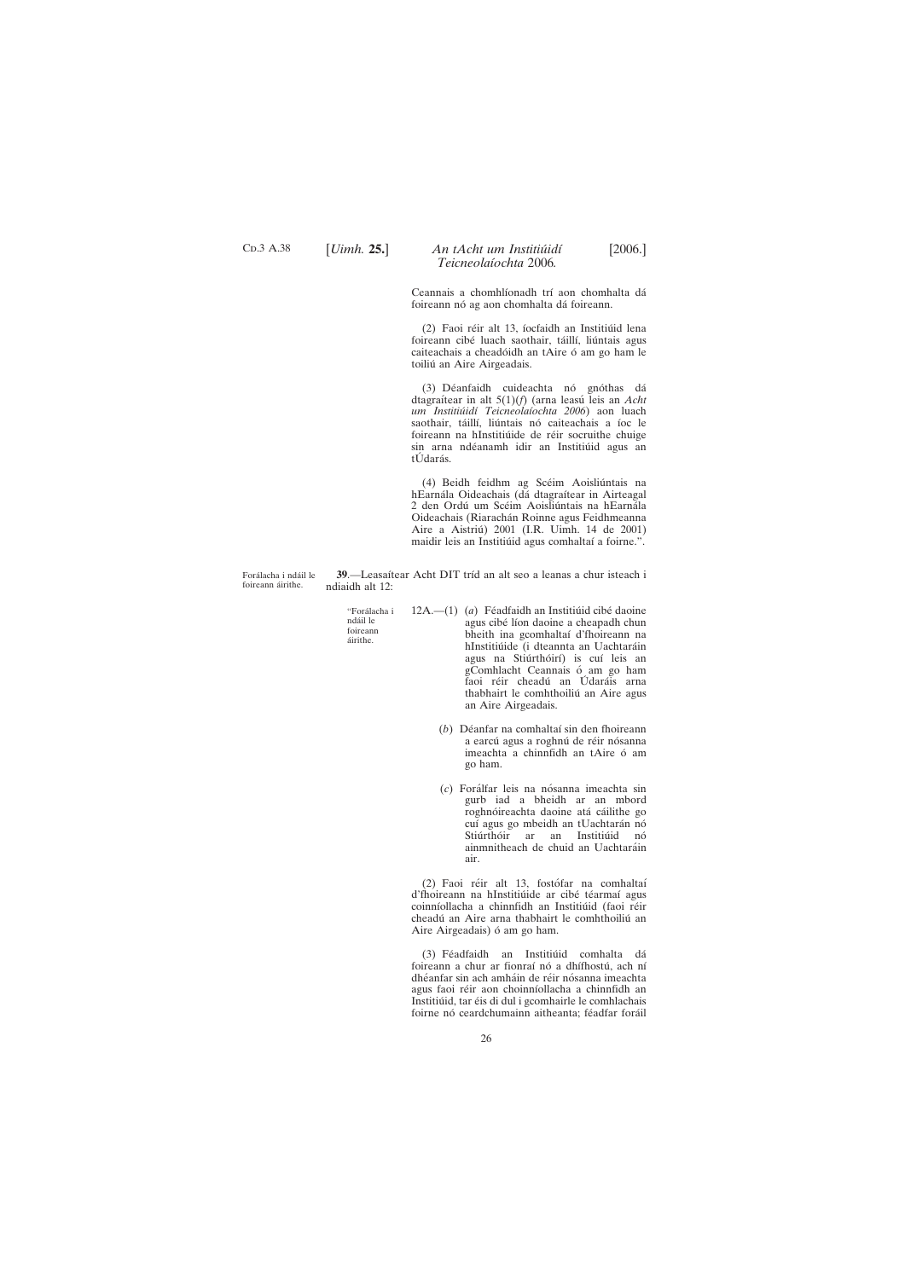<span id="page-25-0"></span>C<sub>D</sub>.3 A.38

## [*Uimh.* **25.**] [2006.] *An tAcht um Institiu´idı´ Teicneolaı´ochta* 2006*.*

Ceannais a chomhlíonadh trí aon chomhalta dá foireann nó ag aon chomhalta dá foireann.

(2) Faoi réir alt 13, íocfaidh an Institiúid lena foireann cibé luach saothair, táillí, liúntais agus caiteachais a cheadóidh an tAire ó am go ham le toiliú an Aire Airgeadais.

(3) Déanfaidh cuideachta nó gnóthas dá dtagraı´tear in alt 5(1)(*f*) (arna leasu´ leis an *Acht um Institiu´idı´ Teicneolaı´ochta 2006*) aon luach saothair, táillí, liúntais nó caiteachais a íoc le foireann na hInstitiúide de réir socruithe chuige sin arna ndéanamh idir an Institiúid agus an tÚdarás.

(4) Beidh feidhm ag Scéim Aoisliúntais na hEarnála Oideachais (dá dtagraítear in Airteagal 2 den Ordú um Scéim Aoisliúntais na hEarnála Oideachais (Riarachán Roinne agus Feidhmeanna Aire a Aistriú) 2001 (I.R. Uimh. 14 de 2001) maidir leis an Institiúid agus comhaltaí a foirne.".

Forálacha i ndáil le foireann áirithe.

**39.**—Leasaítear Acht DIT tríd an alt seo a leanas a chur isteach i ndiaidh alt 12:

"Forálacha i ndáil le foireann áirithe. 12A.—(1) (a) Féadfaidh an Institiúid cibé daoine agus cibé líon daoine a cheapadh chun bheith ina gcomhaltaí d'fhoireann na hInstitiúide (i dteannta an Uachtaráin agus na Stiúrthóirí) is cuí leis an gComhlacht Ceannais ó am go ham faoi réir cheadú an Údaráis arna

> (*b*) Déanfar na comhaltaí sin den fhoireann a earcú agus a roghnú de réir nósanna imeachta a chinnfidh an tAire ó am go ham.

thabhairt le comhthoiliú an Aire agus

an Aire Airgeadais.

(*c*) Fora´lfar leis na no´sanna imeachta sin gurb iad a bheidh ar an mbord roghnóireachta daoine atá cáilithe go cuí agus go mbeidh an tUachtarán nó Stiúrthóir ar an Institiúid nó ainmnitheach de chuid an Uachtaráin air.

(2) Faoi réir alt 13, fostófar na comhaltaí d'fhoireann na hInstitiúide ar cibé téarmaí agus coinníollacha a chinnfidh an Institiúid (faoi réir cheadú an Aire arna thabhairt le comhthoiliú an Aire Airgeadais) ó am go ham.

(3) Féadfaidh an Institiúid comhalta dá foireann a chur ar fionraí nó a dhífhostú, ach ní dhéanfar sin ach amháin de réir nósanna imeachta agus faoi réir aon choinníollacha a chinnfidh an Institiúid, tar éis di dul i gcomhairle le comhlachais foirne nó ceardchumainn aitheanta; féadfar foráil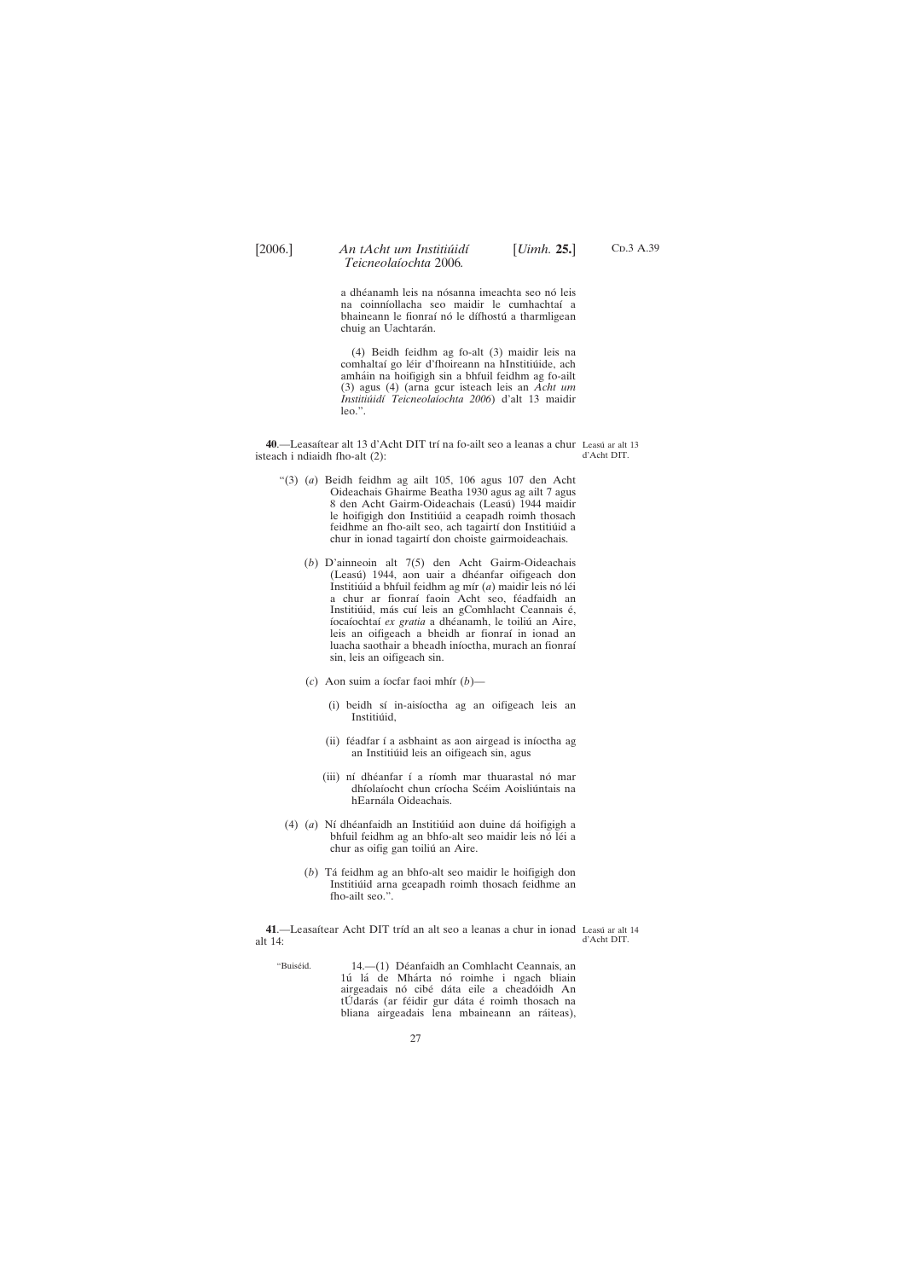<span id="page-26-0"></span>

C<sub>D</sub>.3 A.39

a dhéanamh leis na nósanna imeachta seo nó leis na coinnı´ollacha seo maidir le cumhachtaı´ a bhaineann le fionraí nó le dífhostú a tharmligean chuig an Uachtarán.

(4) Beidh feidhm ag fo-alt (3) maidir leis na comhaltaí go léir d'fhoireann na hInstitiúide, ach amháin na hoifigigh sin a bhfuil feidhm ag fo-ailt (3) agus (4) (arna gcur isteach leis an *Acht um Institiu´idı´ Teicneolaı´ochta 2006*) d'alt 13 maidir leo.".

**40**.—Leasaítear alt 13 d'Acht DIT trí na fo-ailt seo a leanas a chur Leasú ar alt 13 isteach i ndiaidh fho-alt (2): d'Acht DIT.

**41**.—Leasaítear Acht DIT tríd an alt seo a leanas a chur in ionad Leasú ar alt 14 alt 14: d'Acht DIT.

'Buiséid. 14.—(1) Déanfaidh an Comhlacht Ceannais, an

1ú lá de Mhárta nó roimhe i ngach bliain airgeadais nó cibé dáta eile a cheadóidh An tÚdarás (ar féidir gur dáta é roimh thosach na bliana airgeadais lena mbaineann an ráiteas),

- "(3) (*a*) Beidh feidhm ag ailt 105, 106 agus 107 den Acht Oideachais Ghairme Beatha 1930 agus ag ailt 7 agus 8 den Acht Gairm-Oideachais (Leasú) 1944 maidir le hoifigigh don Institiúid a ceapadh roimh thosach feidhme an fho-ailt seo, ach tagairtí don Institiúid a chur in ionad tagairtí don choiste gairmoideachais.
	- (*b*) D'ainneoin alt 7(5) den Acht Gairm-Oideachais (Leasú) 1944, aon uair a dhéanfar oifigeach don Institiúid a bhfuil feidhm ag mír (*a*) maidir leis nó léi a chur ar fionraí faoin Acht seo, féadfaidh an Institiúid, más cuí leis an gComhlacht Ceannais é, íocaíochtaí ex gratia a dhéanamh, le toiliú an Aire, leis an oifigeach a bheidh ar fionraí in ionad an luacha saothair a bheadh iníoctha, murach an fionraí sin, leis an oifigeach sin.
	- (*c*) Aon suim a íocfar faoi mhír  $(b)$ 
		- (i) beidh sí in-aisíoctha ag an oifigeach leis an Institiúid,
		- (ii) féadfar í a asbhaint as aon airgead is iníoctha ag an Institiúid leis an oifigeach sin, agus
		- (iii) ní dhéanfar í a ríomh mar thuarastal nó mar dhíolaíocht chun críocha Scéim Aoisliúntais na hEarnála Oideachais.
- (4) (a) Ní dhéanfaidh an Institiúid aon duine dá hoifigigh a bhfuil feidhm ag an bhfo-alt seo maidir leis nó léi a chur as oifig gan toiliú an Aire.
	- (*b*) Ta´ feidhm ag an bhfo-alt seo maidir le hoifigigh don Institiúid arna gceapadh roimh thosach feidhme an fho-ailt seo.".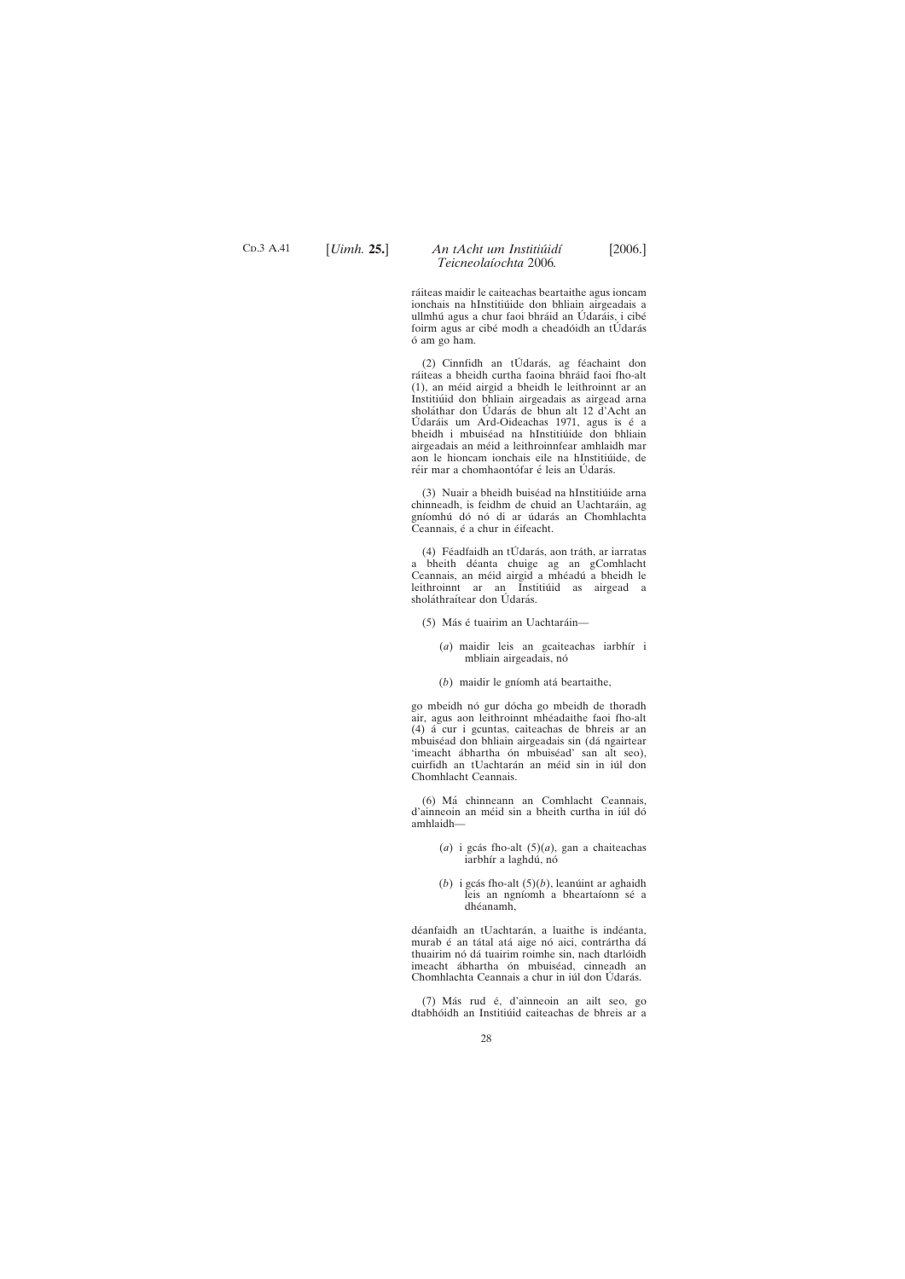C<sub>D</sub>.3 A.41

# [*Uimh.* **25.**] [2006.] *An tAcht um Institiu´idı´ Teicneolaı´ochta* 2006*.*

ráiteas maidir le caiteachas beartaithe agus ioncam ionchais na hInstitiúide don bhliain airgeadais a ullmhú agus a chur faoi bhráid an Údaráis, i cibé foirm agus ar cibé modh a cheadóidh an tÚdarás o´ am go ham.

(2) Cinnfidh an tÚdarás, ag féachaint don ráiteas a bheidh curtha faoina bhráid faoi fho-alt (1), an me´id airgid a bheidh le leithroinnt ar an Institiúid don bhliain airgeadais as airgead arna sholáthar don Údarás de bhun alt 12 d'Acht an Údaráis um Ard-Oideachas 1971, agus is é a bheidh i mbuiséad na hInstitiúide don bhliain airgeadais an méid a leithroinnfear amhlaidh mar aon le hioncam ionchais eile na hInstitiúide, de réir mar a chomhaontófar é leis an Údarás.

(3) Nuair a bheidh buiséad na hInstitiúide arna chinneadh, is feidhm de chuid an Uachtaráin, ag gníomhú dó nó di ar údarás an Chomhlachta Ceannais, é a chur in éifeacht.

(4) Féadfaidh an tÚdarás, aon tráth, ar iarratas a bheith déanta chuige ag an gComhlacht Ceannais, an méid airgid a mhéadú a bheidh le leithroinnt ar an Institiúid as airgead a sholáthraítear don Údarás.

- (5) Más é tuairim an Uachtaráin-
	- (*a*) maidir leis an gcaiteachas iarbhír i mbliain airgeadais, nó
	- (*b*) maidir le gníomh atá beartaithe,

go mbeidh nó gur dócha go mbeidh de thoradh air, agus aon leithroinnt mhéadaithe faoi fho-alt (4) a´ cur i gcuntas, caiteachas de bhreis ar an mbuiséad don bhliain airgeadais sin (dá ngairtear 'imeacht ábhartha ón mbuiséad' san alt seo), cuirfidh an tUachtarán an méid sin in iúl don Chomhlacht Ceannais.

(6) Ma´ chinneann an Comhlacht Ceannais, d'ainneoin an méid sin a bheith curtha in iúl dó amhlaidh—

- $(a)$  i gcás fho-alt  $(5)(a)$ , gan a chaiteachas iarbhír a laghdú, nó
- (*b*) i gcás fho-alt  $(5)(b)$ , leanúint ar aghaidh leis an ngníomh a bheartaíonn sé a dhéanamh,

déanfaidh an tUachtarán, a luaithe is indéanta, murab é an tátal atá aige nó aici, contrártha dá thuairim nó dá tuairim roimhe sin, nach dtarlóidh imeacht ábhartha ón mbuiséad, cinneadh an Chomhlachta Ceannais a chur in iúl don Udarás.

(7) Más rud é, d'ainneoin an ailt seo, go dtabhóidh an Institiúid caiteachas de bhreis ar a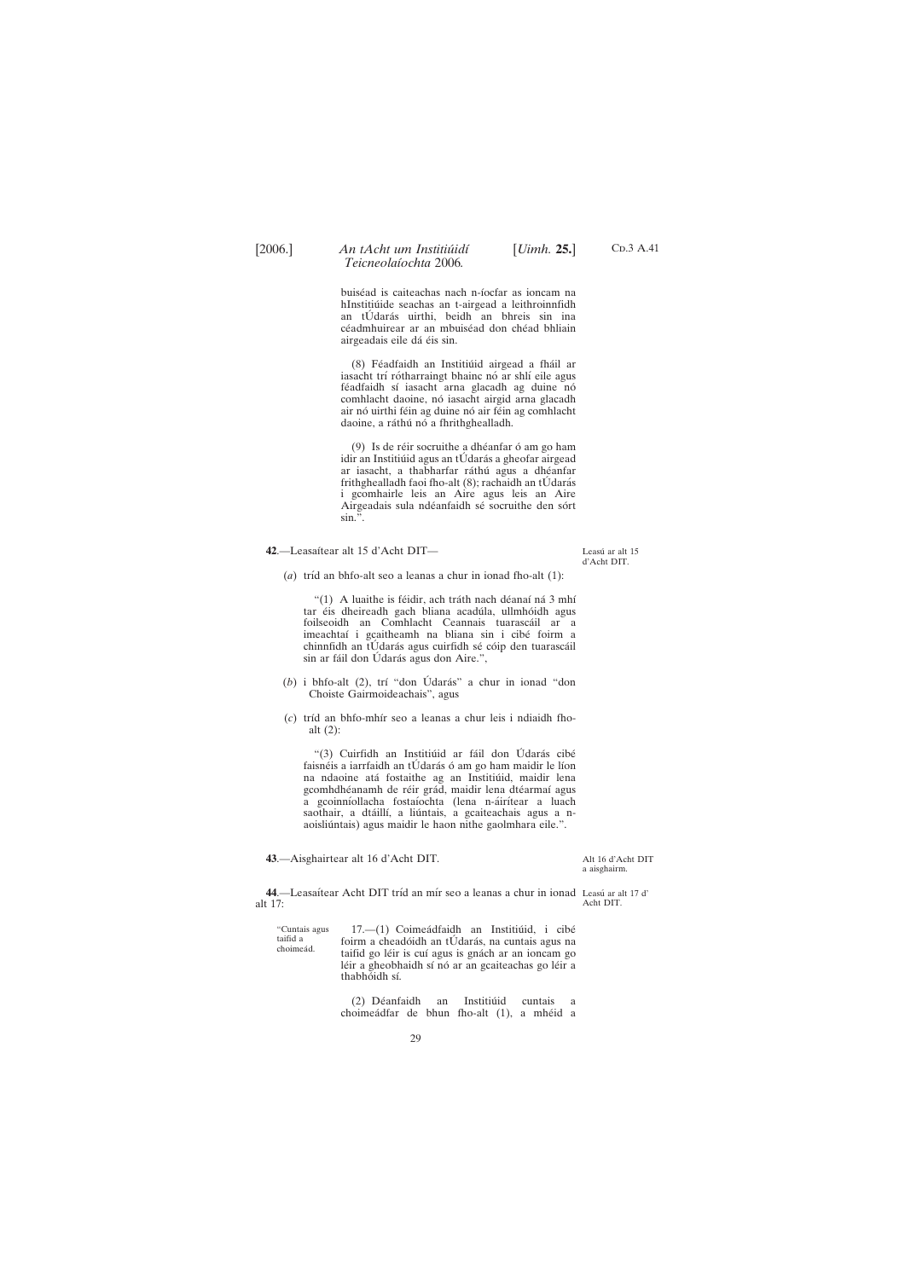<span id="page-28-0"></span>

C<sub>D</sub>.3 A.41

buiséad is caiteachas nach n-íocfar as ioncam na hInstitiúide seachas an t-airgead a leithroinnfidh an tÚdarás uirthi, beidh an bhreis sin ina céadmhuirear ar an mbuiséad don chéad bhliain airgeadais eile dá éis sin.

(8) Féadfaidh an Institiúid airgead a fháil ar iasacht trí rótharraingt bhainc nó ar shlí eile agus féadfaidh sí iasacht arna glacadh ag duine nó comhlacht daoine, nó iasacht airgid arna glacadh air nó uirthi féin ag duine nó air féin ag comhlacht daoine, a ráthú nó a fhrithghealladh.

 $(9)$  Is de réir socruithe a dhéanfar ó am go ham idir an Institiúid agus an tÚdarás a gheofar airgead ar iasacht, a thabharfar ráthú agus a dhéanfar frithghealladh faoi fho-alt  $(8)$ ; rachaidh an tÚ darás i gcomhairle leis an Aire agus leis an Aire Airgeadais sula ndéanfaidh sé socruithe den sórt sin.".

- (b) i bhfo-alt (2), trí "don Údarás" a chur in ionad "don Choiste Gairmoideachais", agus
- (*c*) trı´d an bhfo-mhı´r seo a leanas a chur leis i ndiaidh fhoalt (2):

"(3) Cuirfidh an Institiúid ar fáil don Údarás cibé faisnéis a iarrfaidh an tUdarás ó am go ham maidir le líon na ndaoine atá fostaithe ag an Institiúid, maidir lena gcomhdhéanamh de réir grád, maidir lena dtéarmaí agus a gcoinníollacha fostaíochta (lena n-áirítear a luach saothair, a dtáillí, a liúntais, a gcaiteachais agus a naoisliúntais) agus maidir le haon nithe gaolmhara eile.".

**42**.—Leasaı´tear alt 15 d'Acht DIT—

"Cuntais agus taifid a choimeád.  $17.$ — $(1)$  Coimeádfaidh an Institiúid, i cibé foirm a cheadóidh an tÚdarás, na cuntais agus na taifid go léir is cuí agus is gnách ar an ioncam go

léir a gheobhaidh sí nó ar an gcaiteachas go léir a thabhóidh sí.

(2) Déanfaidh an Institiúid cuntais a choimeádfar de bhun fho-alt (1), a mhéid a

Leasú ar alt 15 d'Acht DIT.

(*a*) tríd an bhfo-alt seo a leanas a chur in ionad fho-alt (1):

"(1) A luaithe is féidir, ach tráth nach déanaí ná 3 mhí tar éis dheireadh gach bliana acadúla, ullmhóidh agus foilseoidh an Comhlacht Ceannais tuarascáil ar a imeachtaí i gcaitheamh na bliana sin i cibé foirm a chinnfidh an tÚdarás agus cuirfidh sé cóip den tuarascáil sin ar fáil don Údarás agus don Aire.",

**44**.—Leasaítear Acht DIT tríd an mír seo a leanas a chur in ionad Leasú ar alt 17 d' alt 17: Acht DIT.

**43**.—Aisghairtear alt 16 d'Acht DIT.

29

#### Alt 16 d'Acht DIT a aisghairm.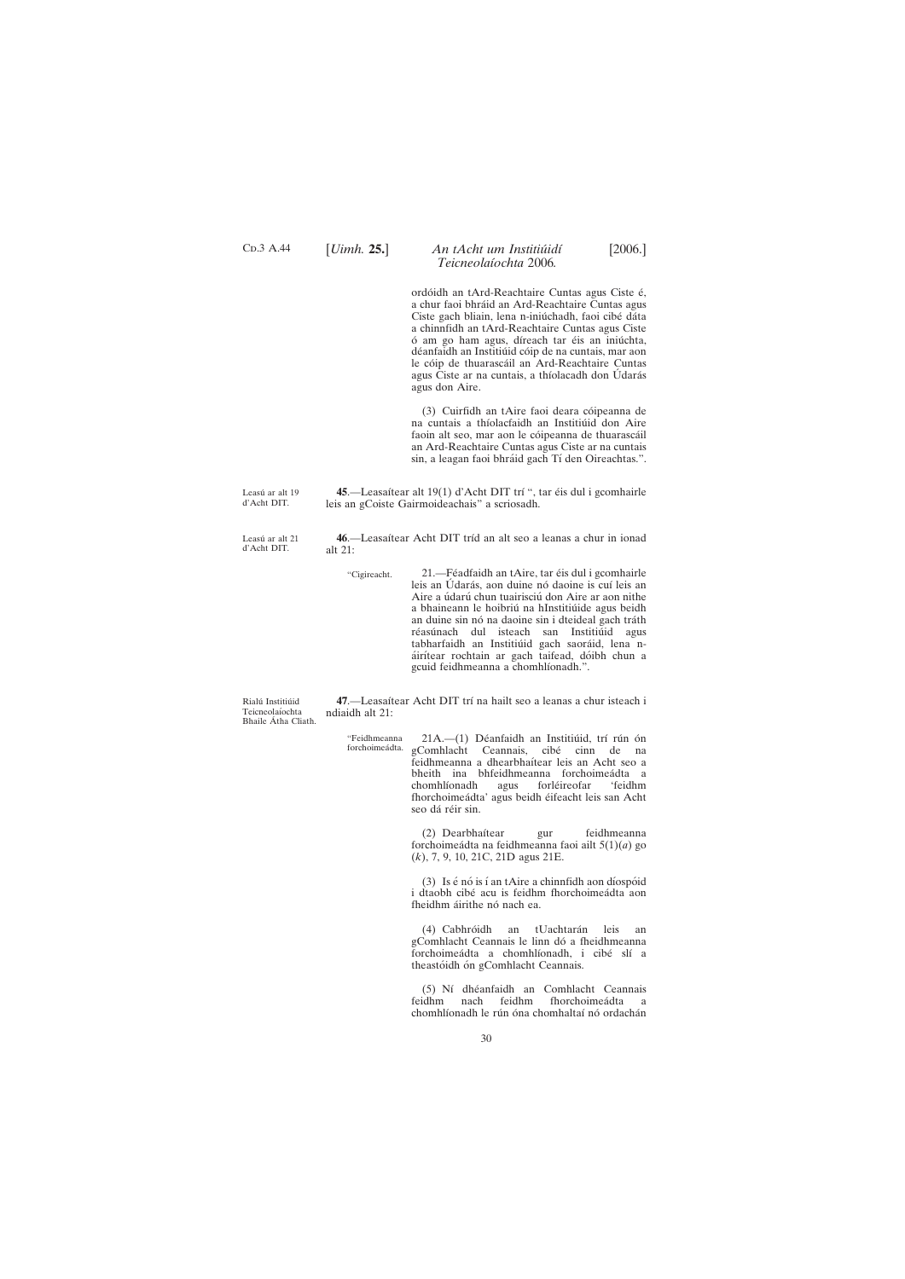Leasú ar alt 21 d'Acht DIT.

30

<span id="page-29-0"></span>C<sub>D</sub>.3 A.44

## [*Uimh.* **25.**] [2006.] *An tAcht um Institiu´idı´ Teicneolaı´ochta* 2006*.*

ordóidh an tArd-Reachtaire Cuntas agus Ciste é, a chur faoi bhra´id an Ard-Reachtaire Cuntas agus Ciste gach bliain, lena n-iniú chadh, faoi cibé dáta a chinnfidh an tArd-Reachtaire Cuntas agus Ciste ó am go ham agus, díreach tar éis an iniúchta, déanfaidh an Institiúid cóip de na cuntais, mar aon le cóip de thuarascáil an Ard-Reachtaire Cuntas agus Ciste ar na cuntais, a thíolacadh don Údarás agus don Aire.

(3) Cuirfidh an tAire faoi deara cóipeanna de na cuntais a thíolacfaidh an Institiúid don Aire faoin alt seo, mar aon le cóipeanna de thuarascáil an Ard-Reachtaire Cuntas agus Ciste ar na cuntais sin, a leagan faoi bhráid gach Tí den Oireachtas.".

Leasú ar alt 19 d'Acht DIT. 45.—Leasaítear alt 19(1) d'Acht DIT trí ", tar éis dul i gcomhairle leis an gCoiste Gairmoideachais" a scriosadh.

> 46.—Leasaítear Acht DIT tríd an alt seo a leanas a chur in ionad alt 21:

> > "Cigireacht. 21.—Féadfaidh an tAire, tar éis dul i gcomhairle leis an Údarás, aon duine nó daoine is cuí leis an Aire a údarú chun tuairisciú don Aire ar aon nithe a bhaineann le hoibriú na hInstitiúide agus beidh an duine sin nó na daoine sin i dteideal gach tráth réasúnach dul isteach san Institiúid agus tabharfaidh an Institiúid gach saoráid, lena náirítear rochtain ar gach taifead, dóibh chun a gcuid feidhmeanna a chomhlíonadh.".

Rialú Institiúid Teicneolaíochta Bhaile Átha Cliath.

47.—Leasaítear Acht DIT trí na hailt seo a leanas a chur isteach i ndiaidh alt 21:

"Feidhmeanna 21A.—(1) Déanfaidh an Institiúid, trí rún ón gComhlacht Ceannais, cibé cinn de na feidhmeanna a dhearbhaı´tear leis an Acht seo a bheith ina bhfeidhmeanna forchoimeádta a chomhlíonadh agus forléireofar 'feidhm fhorchoimeádta' agus beidh éifeacht leis san Acht seo dá réir sin.

> (2) Dearbhaítear gur feidhmeanna forchoimea´dta na feidhmeanna faoi ailt 5(1)(*a*) go (*k*), 7, 9, 10, 21C, 21D agus 21E.

> (3) Is  $\acute{\text{e}}$  nó is í an tAire a chinnfidh aon díospóid i dtaobh cibé acu is feidhm fhorchoimeádta aon fheidhm áirithe nó nach ea.

(4) Cabhróidh an tUachtarán leis an gComhlacht Ceannais le linn dó a fheidhmeanna forchoimeádta a chomhlíonadh, i cibé slí a theastóidh ón gComhlacht Ceannais.

(5) Nı´ dhe´anfaidh an Comhlacht Ceannais feidhm nach feidhm fhorchoimeádta a chomhlíonadh le rún óna chomhaltaí nó ordachán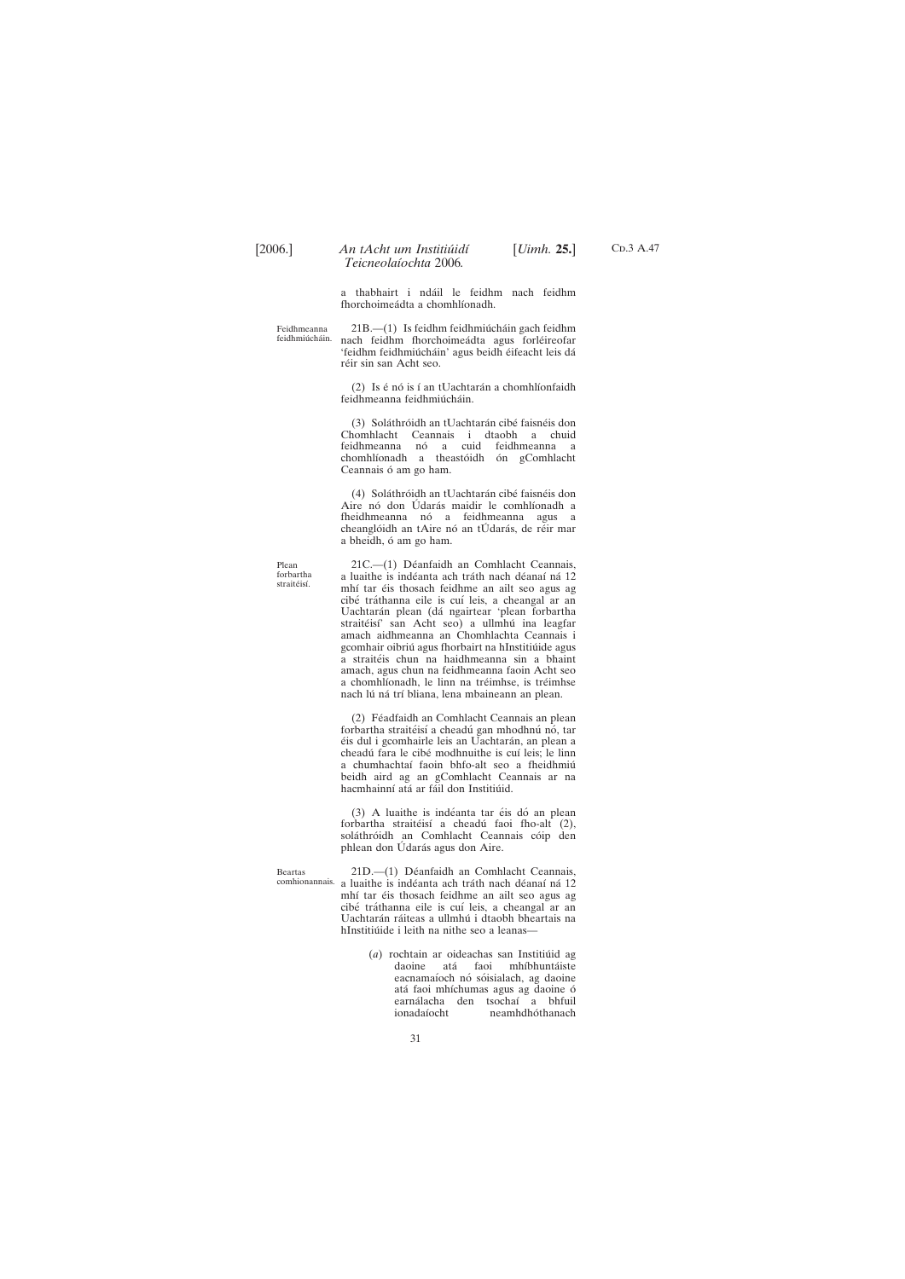C<sub>D</sub>.3 A.47

a thabhairt i ndáil le feidhm nach feidhm fhorchoimeádta a chomhlíonadh.

Feidhmeanna feidhmiúcháin.  $21B$ .— $(1)$  Is feidhm feidhmiú cháin gach feidhm nach feidhm fhorchoimeádta agus forléireofar 'feidhm feidhmiúcháin' agus beidh éifeacht leis dá réir sin san Acht seo.

> (2) Is é nó is í an tUachtarán a chomhlíonfaidh feidhmeanna feidhmiúcháin.

> (3) Soláthróidh an tUachtarán cibé faisnéis don Chomhlacht Ceannais i dtaobh a chuid feidhmeanna nó a cuid feidhmeanna a chomhlíonadh a theastóidh ón gComhlacht Ceannais ó am go ham.

> (4) Soláthróidh an tUachtarán cibé faisnéis don Aire nó don Údarás maidir le comhlíonadh a fheidhmeanna nó a feidhmeanna agus a cheanglóidh an tAire nó an tÚdarás, de réir mar a bheidh, ó am go ham.

Plean forbartha straitéisí

21C.-(1) Déanfaidh an Comhlacht Ceannais, a luaithe is indéanta ach tráth nach déanaí ná 12 mhí tar éis thosach feidhme an ailt seo agus ag cibé tráthanna eile is cuí leis, a cheangal ar an Uachtarán plean (dá ngairtear 'plean forbartha straitéisí' san Acht seo) a ullmhú ina leagfar amach aidhmeanna an Chomhlachta Ceannais i gcomhair oibriú agus fhorbairt na hInstitiúide agus a straitéis chun na haidhmeanna sin a bhaint amach, agus chun na feidhmeanna faoin Acht seo a chomhlíonadh, le linn na tréimhse, is tréimhse nach lú ná trí bliana, lena mbaineann an plean.

(2) Féadfaidh an Comhlacht Ceannais an plean forbartha straitéisí a cheadú gan mhodhnú nó, tar éis dul i gcomhairle leis an Uachtarán, an plean a cheadú fara le cibé modhnuithe is cuí leis; le linn a chumhachtaí faoin bhfo-alt seo a fheidhmiú beidh aird ag an gComhlacht Ceannais ar na hacmhainní atá ar fáil don Institiúid.

 $(3)$  A luaithe is indéanta tar éis dó an plean forbartha straitéisí a cheadú faoi fho-alt (2), soláthróidh an Comhlacht Ceannais cóip den phlean don Údarás agus don Aire.

comhionannais. a luaithe is indéanta ach tráth nach déanaí ná 12 21D.-(1) Déanfaidh an Comhlacht Ceannais, mhí tar éis thosach feidhme an ailt seo agus ag cibé tráthanna eile is cuí leis, a cheangal ar an Uachtarán ráiteas a ullmhú i dtaobh bheartais na hInstitiúide i leith na nithe seo a leanas—

(*a*) rochtain ar oideachas san Institiúid ag

daoine ata´ faoi mhı´bhunta´iste eacnamaíoch nó sóisialach, ag daoine atá faoi mhíchumas agus ag daoine ó earnálacha den tsochaí a bhfuil<br>ionadaíocht neamhdhóthanach neamhdhóthanach

Beartas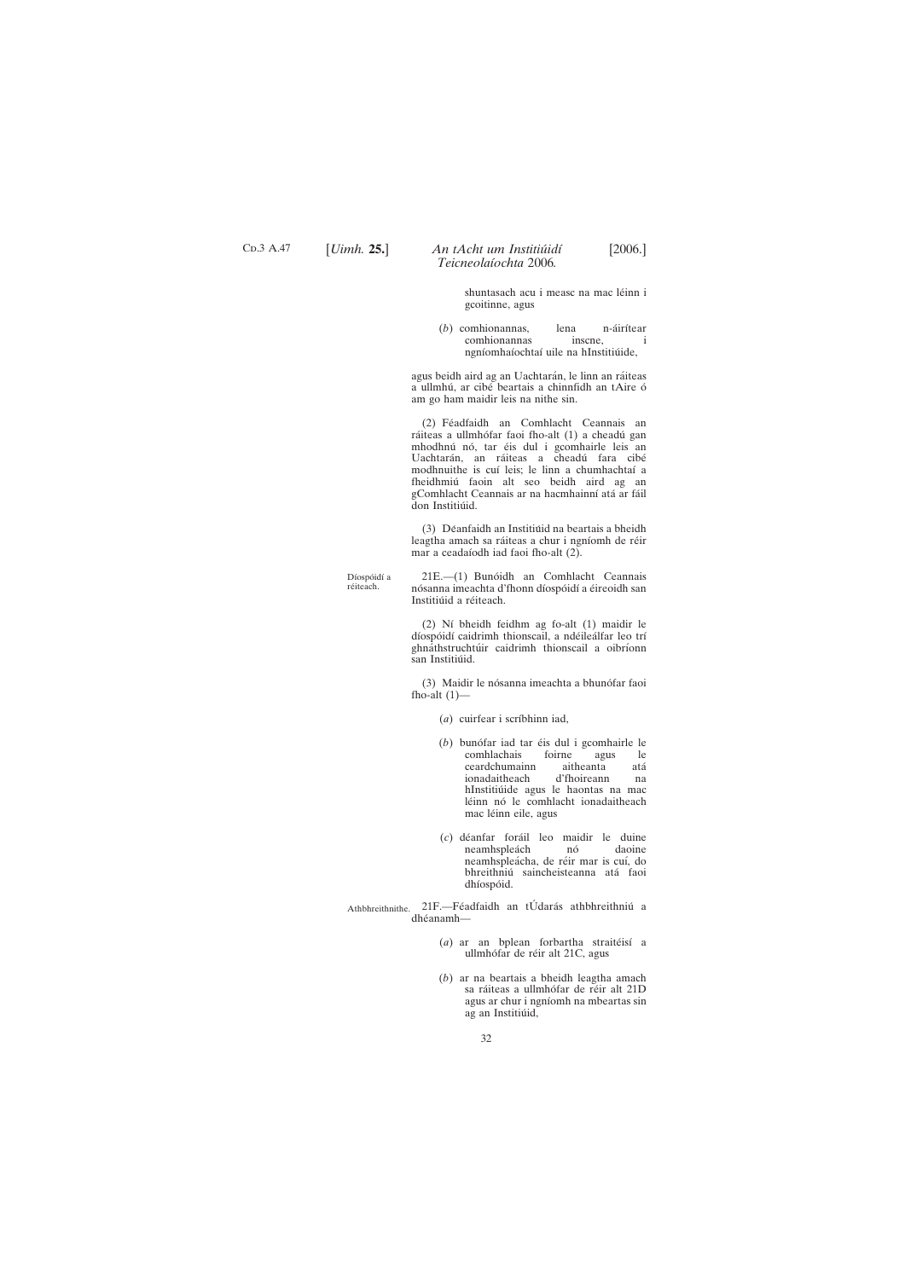C<sub>D</sub>.3 A.47

## [*Uimh.* **25.**] [2006.] *An tAcht um Institiu´idı´ Teicneolaı´ochta* 2006*.*

shuntasach acu i measc na mac léinn i gcoitinne, agus

(*b*) comhionannas, lena n-áirítear comhionannas inscne, i ngníomhaíochtaí uile na hInstitiúide,

agus beidh aird ag an Uachtarán, le linn an ráiteas a ullmhú, ar cibé beartais a chinnfidh an tAire ó am go ham maidir leis na nithe sin.

(2) Féadfaidh an Comhlacht Ceannais an ráiteas a ullmhófar faoi fho-alt (1) a cheadú gan mhodhnú nó, tar éis dul i gcomhairle leis an Uachtarán, an ráiteas a cheadú fara cibé modhnuithe is cuí leis; le linn a chumhachtaí a fheidhmiu´ faoin alt seo beidh aird ag an gComhlacht Ceannais ar na hacmhainní atá ar fáil don Institiúid.

(3) Déanfaidh an Institiúid na beartais a bheidh leagtha amach sa ráiteas a chur i ngníomh de réir mar a ceadaíodh iad faoi fho-alt (2).

Díospóidí a réiteach.

21E.—(1) Bunóidh an Comhlacht Ceannais nósanna imeachta d'fhonn díospóidí a éireoidh san Institiúid a réiteach.

(2) Ní bheidh feidhm ag fo-alt (1) maidir le díospóidí caidrimh thionscail, a ndéileálfar leo trí ghnáthstruchtúir caidrimh thionscail a oibríonn san Institiúid.

(3) Maidir le nósanna imeachta a bhunófar faoi fho-alt  $(1)$ —

(*a*) cuirfear i scríbhinn iad,

- (*b*) bunófar iad tar éis dul i gcomhairle le<br>comhlachais foirne agus le comhlachais foirne agus le ceardchumainn aitheanta ata´ ionadaitheach d'fhoireann na hInstitiúide agus le haontas na mac léinn nó le comhlacht ionadaitheach mac léinn eile, agus
- (*c*) de´anfar fora´il leo maidir le duine neamhspleách nó daoine neamhspleácha, de réir mar is cuí, do bhreithniú saincheisteanna atá faoi dhíospóid.

Athbhreithnithe. 21F.-Féadfaidh an tÚdarás athbhreithniú a dhéanamh-

> (*a*) ar an bplean forbartha straitéisí a ullmhófar de réir alt 21C, agus

(*b*) ar na beartais a bheidh leagtha amach sa ráiteas a ullmhófar de réir alt 21D agus ar chur i ngníomh na mbeartas sin ag an Institiúid,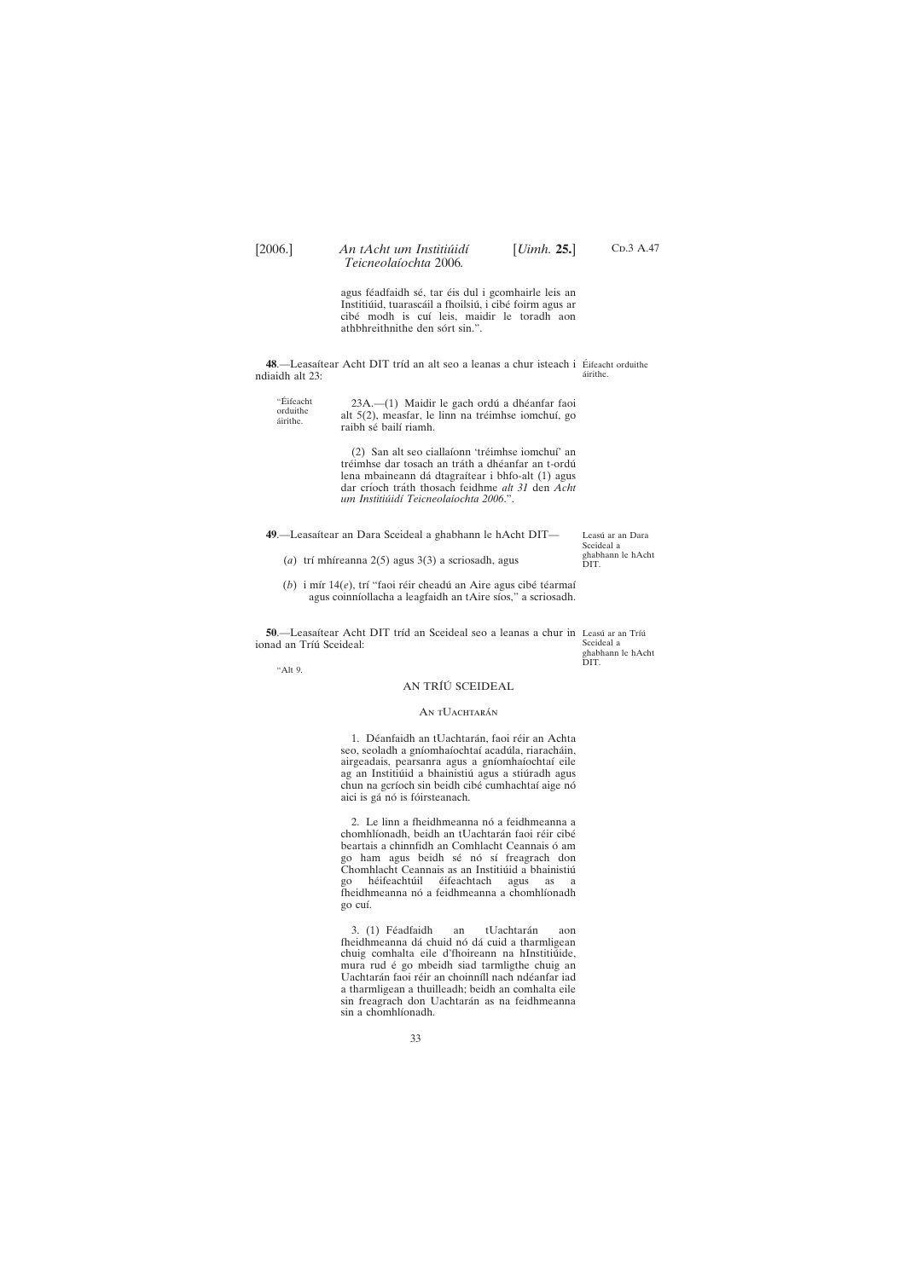agus féadfaidh sé, tar éis dul i gcomhairle leis an Institiúid, tuarascáil a fhoilsiú, i cibé foirm agus ar cibé modh is cuí leis, maidir le toradh aon athbhreithnithe den sórt sin.".

<span id="page-32-0"></span>**48.**—Leasaítear Acht DIT tríd an alt seo a leanas a chur isteach i Éifeacht orduithe ndiaidh alt 23: áirithe.

| "Éifeacht | 23A.—(1) Maidir le gach ordú a dhéanfar faoi       |
|-----------|----------------------------------------------------|
| orduithe  | alt 5(2), measfar, le linn na tréimhse iomchuí, go |
| áirithe.  | raibh sé bailí riamh.                              |
|           |                                                    |

(2) San alt seo ciallaíonn 'tréimhse iomchuí' an tréimhse dar tosach an tráth a dhéanfar an t-ordú lena mbaineann dá dtagraítear i bhfo-alt (1) agus dar crı´och tra´th thosach feidhme *alt 31* den *Acht um Institiu´idı´ Teicneolaı´ochta 2006*.".

2. Le linn a fheidhmeanna nó a feidhmeanna a chomhlíonadh, beidh an tUachtarán faoi réir cibé beartais a chinnfidh an Comhlacht Ceannais ó am go ham agus beidh sé nó sí freagrach don Chomhlacht Ceannais as an Institiúid a bhainistiú go héifeachtúil éifeachtach agus as a fheidhmeanna nó a feidhmeanna a chomhlíonadh go cuı´.

3. (1) Féadfaidh an tUachtarán aon fheidhmeanna dá chuid nó dá cuid a tharmligean chuig comhalta eile d'fhoireann na hInstitiúide, mura rud é go mbeidh siad tarmligthe chuig an Uachtarán faoi réir an choinníll nach ndéanfar iad a tharmligean a thuilleadh; beidh an comhalta eile sin freagrach don Uachtarán as na feidhmeanna sin a chomhlíonadh.

C<sub>D</sub>.3 A.47

### "Alt 9.

### AN TRÍÚ SCEIDEAL

### AN TUACHTARÁN

1. Déanfaidh an tUachtarán, faoi réir an Achta seo, seoladh a gníomhaíochtaí acadúla, riaracháin, airgeadais, pearsanra agus a gníomhaíochtaí eile ag an Institiúid a bhainistiú agus a stiúradh agus chun na gcríoch sin beidh cibé cumhachtaí aige nó aici is gá nó is fóirsteanach.

**50**.—Leasaítear Acht DIT tríd an Sceideal seo a leanas a chur in Leasú ar an Tríú ionad an Tríú Sceideal: Sceideal a

| 49.—Leasaítear an Dara Sceideal a ghabhann le hAcht DIT— | Leasú ar an Dara<br>Sceideal a |
|----------------------------------------------------------|--------------------------------|
| (a) trí mhíreanna $2(5)$ agus $3(3)$ a scriosadh, agus   | ghabhann le hAcht<br>DIT.      |

(b) i mír 14(e), trí "faoi réir cheadú an Aire agus cibé téarmaí agus coinníollacha a leagfaidh an tAire síos," a scriosadh.

33

ghabhann le hAcht DIT.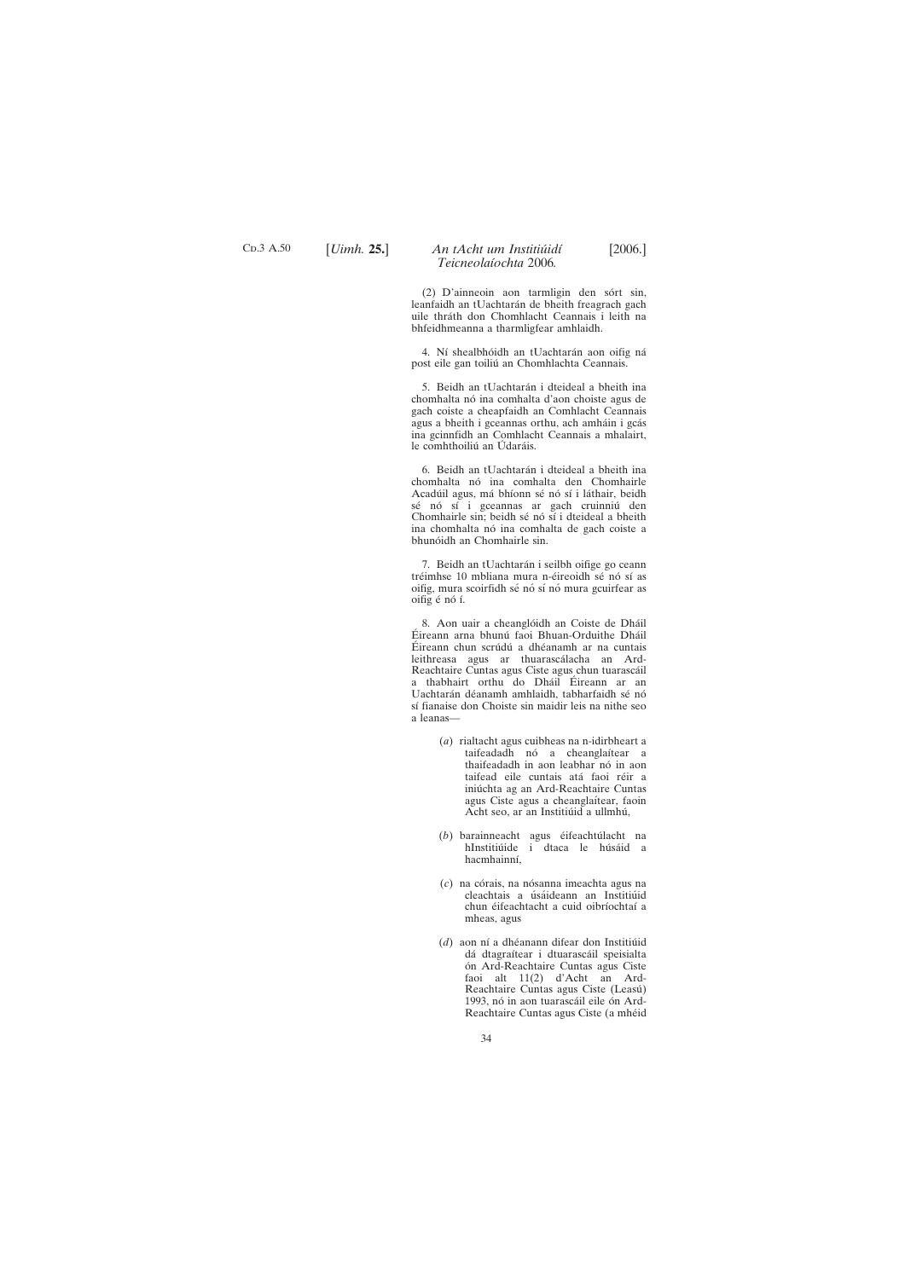C<sub>D</sub>.3 A.50

# [*Uimh.* **25.**] [2006.] *An tAcht um Institiu´idı´ Teicneolaı´ochta* 2006*.*

 $(2)$  D'ainneoin aon tarmligin den sórt sin, leanfaidh an tUachtarán de bheith freagrach gach uile thráth don Chomhlacht Ceannais i leith na bhfeidhmeanna a tharmligfear amhlaidh.

4. Ní shealbhóidh an tUachtarán aon oifig ná post eile gan toiliú an Chomhlachta Ceannais.

5. Beidh an tUachtarán i dteideal a bheith ina chomhalta nó ina comhalta d'aon choiste agus de gach coiste a cheapfaidh an Comhlacht Ceannais agus a bheith i gceannas orthu, ach amháin i gcás ina gcinnfidh an Comhlacht Ceannais a mhalairt, le comhthoiliú an Údaráis.

6. Beidh an tUachtarán i dteideal a bheith ina chomhalta nó ina comhalta den Chomhairle Acadúil agus, má bhíonn sé nó sí i láthair, beidh sé nó sí i gceannas ar gach cruinniú den Chomhairle sin; beidh sé nó sí i dteideal a bheith ina chomhalta nó ina comhalta de gach coiste a bhunóidh an Chomhairle sin.

7. Beidh an tUachtarán i seilbh oifige go ceann tréimhse 10 mbliana mura n-éireoidh sé nó sí as oifig, mura scoirfidh sé nó sí nó mura gcuirfear as oifig é nó í.

8. Aon uair a cheanglóidh an Coiste de Dháil Éireann arna bhunú faoi Bhuan-Orduithe Dháil Éireann chun scrúdú a dhéanamh ar na cuntais leithreasa agus ar thuarascálacha an Ard-Reachtaire Cuntas agus Ciste agus chun tuarascáil a thabhairt orthu do Dháil Éireann ar an Uachtarán déanamh amhlaidh, tabharfaidh sé nó sí fianaise don Choiste sin maidir leis na nithe seo a leanas—

- (*a*) rialtacht agus cuibheas na n-idirbheart a taifeadadh nó a cheanglaítear a thaifeadadh in aon leabhar nó in aon taifead eile cuntais atá faoi réir a iniú chta ag an Ard-Reachtaire Cuntas agus Ciste agus a cheanglaítear, faoin Acht seo, ar an Institiúid a ullmhú,
- (b) barainneacht agus éifeachtúlacht na hInstitiúide i dtaca le húsáid a hacmhainní,
- (*c*) na córais, na nósanna imeachta agus na cleachtais a úsáideann an Institiúid chun éifeachtacht a cuid oibríochtaí a mheas, agus
- (d) aon ní a dhéanann difear don Institiúid dá dtagraítear i dtuarascáil speisialta ón Ard-Reachtaire Cuntas agus Ciste

faoi alt 11(2) d'Acht an Ard-Reachtaire Cuntas agus Ciste (Leasú) 1993, nó in aon tuarascáil eile ón Ard-Reachtaire Cuntas agus Ciste (a mhéid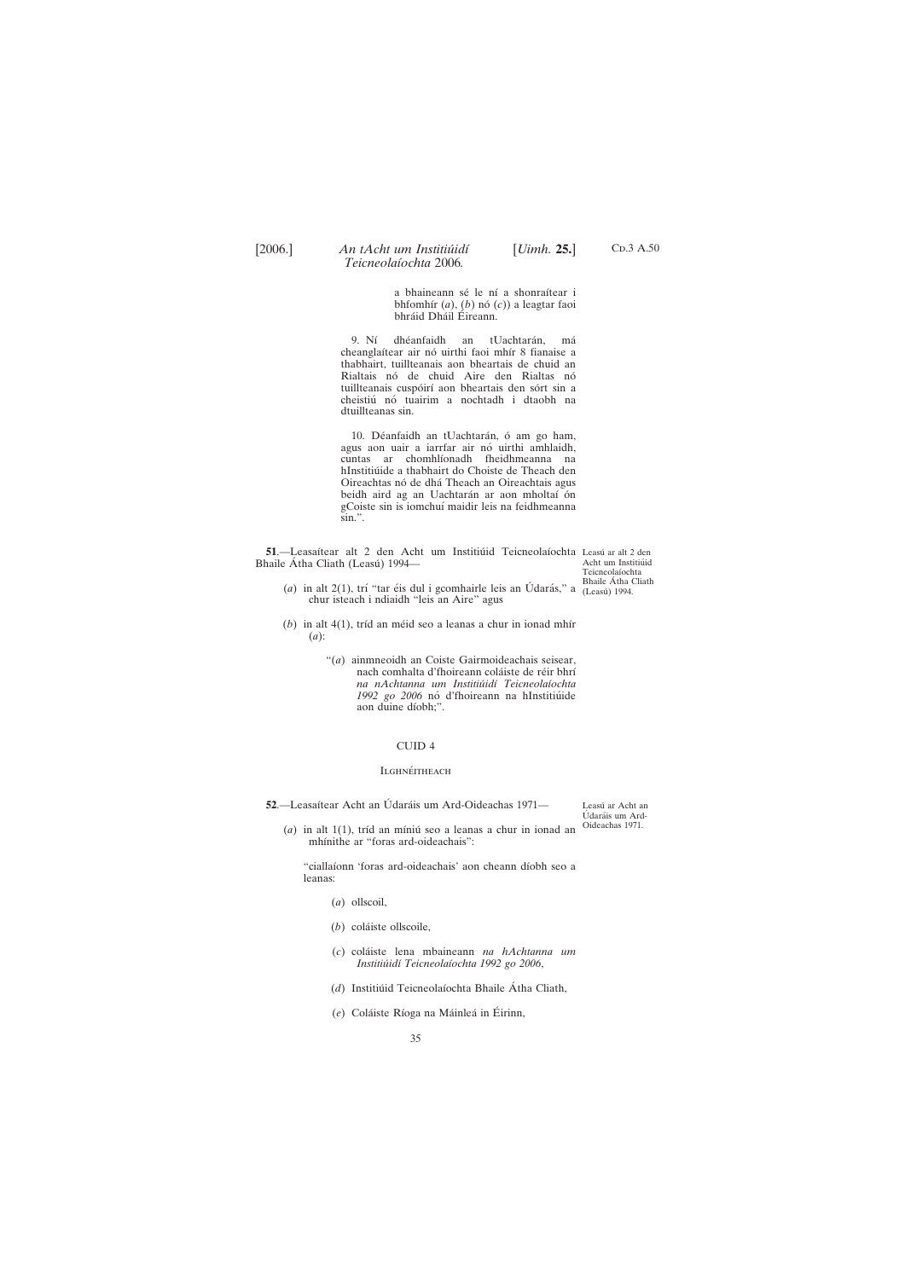C<sub>D</sub>.3 A.50

a bhaineann sé le ní a shonraítear i bhfomhír  $(a)$ ,  $(b)$  nó  $(c)$ ) a leagtar faoi bhráid Dháil Éireann.

<span id="page-34-0"></span>9. Ní dhéanfaidh an tUachtarán, má cheanglaítear air nó uirthi faoi mhír 8 fianaise a thabhairt, tuillteanais aon bheartais de chuid an Rialtais nó de chuid Aire den Rialtas nó tuillteanais cuspóirí aon bheartais den sórt sin a cheistiú nó tuairim a nochtadh i dtaobh na dtuillteanas sin.

10. Déanfaidh an tUachtarán, ó am go ham, agus aon uair a iarrfar air nó uirthi amhlaidh, cuntas ar chomhlíonadh fheidhmeanna na hInstitiúide a thabhairt do Choiste de Theach den Oireachtas nó de dhá Theach an Oireachtais agus beidh aird ag an Uachtarán ar aon mholtaí ón gCoiste sin is iomchuí maidir leis na feidhmeanna sin.".

**51.**—Leasaítear alt 2 den Acht um Institiúid Teicneolaíochta Leasú ar alt 2 den Bhaile Átha Cliath (Leasú) 1994—

Acht um Institiúid Teicneolaíochta Bhaile Átha Cliath

- (*a*) in alt 2(1), trí "tar éis dul i gcomhairle leis an Údarás," a  $\frac{\text{bla}}{\text{L}}$  (Leasú) 1994. chur isteach i ndiaidh "leis an Aire" agus
- $(b)$  in alt  $4(1)$ , tríd an méid seo a leanas a chur in ionad mhír (*a*):
	- "(*a*) ainmneoidh an Coiste Gairmoideachais seisear, nach comhalta d'fhoireann coláiste de réir bhrí *na nAchtanna um Institiu´idı´ Teicneolaı´ochta* 1992 go 2006 nó d'fhoireann na hInstitiúide aon duine díobh;".

"ciallaíonn 'foras ard-oideachais' aon cheann díobh seo a leanas:

Leasú ar Acht an Údaráis um Ard-Oideachas 1971.

 $(a)$  in alt 1(1), tríd an míniú seo a leanas a chur in ionad an mhínithe ar "foras ard-oideachais":

## CUID 4

#### **ILGHNÉITHEACH**

**52.**—Leasaítear Acht an Údaráis um Ard-Oideachas 1971—

- (*a*) ollscoil,
- (*b*) coláiste ollscoile,
- (*c*) cola´iste lena mbaineann *na hAchtanna um Institiu´idı´ Teicneolaı´ochta 1992 go 2006*,

(d) Institiúid Teicneolaíochta Bhaile Átha Cliath,

(e) Coláiste Ríoga na Máinleá in Éirinn,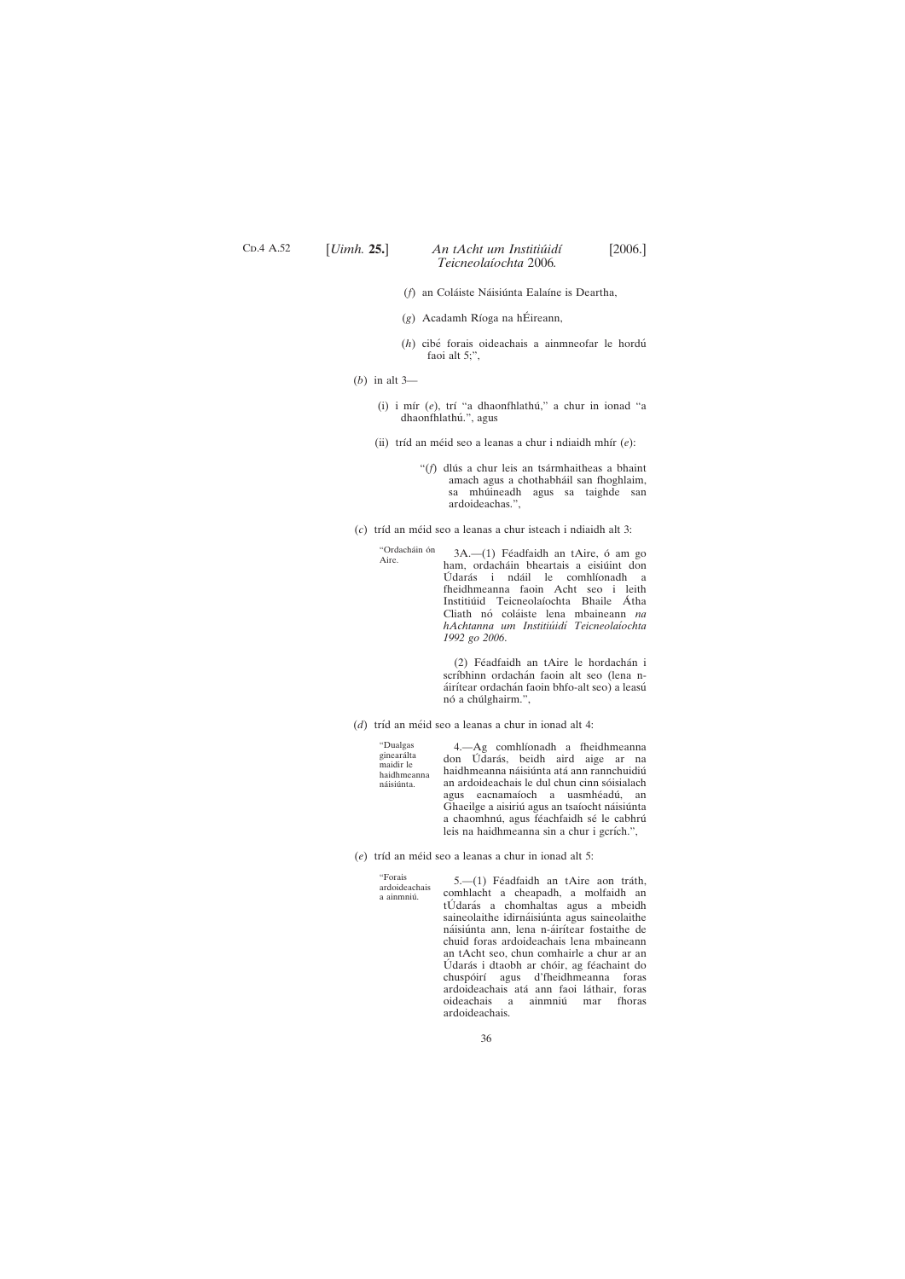# C<sub>D</sub>.4 A.52

## [*Uimh.* **25.**] [2006.] *An tAcht um Institiu´idı´ Teicneolaı´ochta* 2006*.*

- (*f*) an Coláiste Náisiúnta Ealaíne is Deartha,
- (g) Acadamh Ríoga na hÉireann,
- (*h*) cibe´ forais oideachais a ainmneofar le hordu´ faoi alt 5;",
- (*b*) in alt 3—
	- (i) i mír (e), trí "a dhaonfhlathú," a chur in ionad "a dhaonfhlathú.", agus
	- (ii) tríd an méid seo a leanas a chur i ndiaidh mhír (*e*):
		- "(f) dlús a chur leis an tsármhaitheas a bhaint amach agus a chothabháil san fhoghlaim, sa mhúineadh agus sa taighde san ardoideachas.",
- (*c*) trı´d an me´id seo a leanas a chur isteach i ndiaidh alt 3:
	- "Ordacháin ón<br>Aire.  $3A.$ — $(1)$  Féadfaidh an tAire, ó am go ham, ordacháin bheartais a eisiúint don Údarás i ndáil le comhlíonadh a fheidhmeanna faoin Acht seo i leith Institiúid Teicneolaíochta Bhaile Átha Cliath nó coláiste lena mbaineann na *hAchtanna um Institiu´idı´ Teicneolaı´ochta 1992 go 2006*.

(2) Féadfaidh an tAire le hordachán i scríbhinn ordachán faoin alt seo (lena náirítear ordachán faoin bhfo-alt seo) a leasú nó a chúlghairm.",

(*d*) tríd an méid seo a leanas a chur in ionad alt 4:

"Dualgas ginearálta maidir le haidhmeanna náisiúnta

4.—Ag comhlíonadh a fheidhmeanna don Údarás, beidh aird aige ar na haidhmeanna náisiúnta atá ann rannchuidiú an ardoideachais le dul chun cinn sóisialach agus eacnamaíoch a uasmhéadú, an Ghaeilge a aisiriú agus an tsaíocht náisiúnta a chaomhnú, agus féachfaidh sé le cabhrú leis na haidhmeanna sin a chur i gcrích.",

(*e*) tríd an méid seo a leanas a chur in ionad alt 5:

"Forais ardoideachais a ainmniú.

5.—(1) Féadfaidh an tAire aon tráth, comhlacht a cheapadh, a molfaidh an tÚdarás a chomhaltas agus a mbeidh saineolaithe idirnáisiúnta agus saineolaithe náisiúnta ann, lena n-áirítear fostaithe de chuid foras ardoideachais lena mbaineann an tAcht seo, chun comhairle a chur ar an Údarás i dtaobh ar chóir, ag féachaint do chuspóirí agus d'fheidhmeanna foras ardoideachais atá ann faoi láthair, foras oideachais a ainmniú mar fhoras ardoideachais.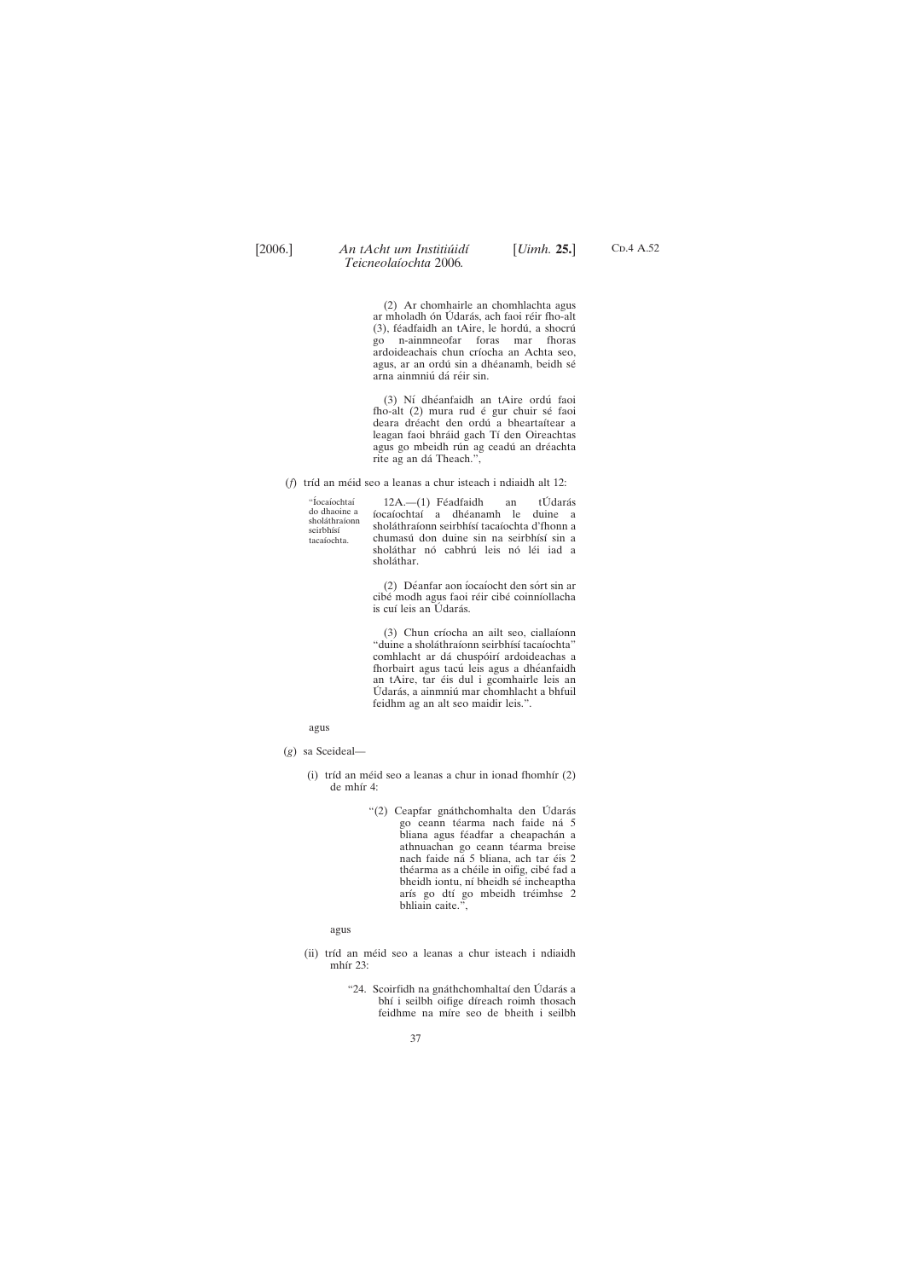> (2) Ar chomhairle an chomhlachta agus ar mholadh ón Údarás, ach faoi réir fho-alt (3), féadfaidh an tAire, le hordú, a shocrú go n-ainmneofar foras mar fhoras ardoideachais chun críocha an Achta seo, agus, ar an ordú sin a dhéanamh, beidh sé arna ainmniú dá réir sin.

C<sub>D</sub>.4 A.52

(3) Nı´ dhe´anfaidh an tAire ordu´ faoi fho-alt (2) mura rud é gur chuir sé faoi deara dréacht den ordú a bheartaítear a leagan faoi bhráid gach Tí den Oireachtas agus go mbeidh rún ag ceadú an dréachta rite ag an dá Theach.",

(*f*) tríd an méid seo a leanas a chur isteach i ndiaidh alt 12:

"Íocaíochtaí do dhaoine a shola´thraı´onn seirbhísí tacaíochta

 $12A$ .— $(1)$  Féadfaidh an tÚdarás ı´ocaı´ochtaı´ a dhe´anamh le duine a sholáthraíonn seirbhísí tacaíochta d'fhonn a chumasú don duine sin na seirbhísí sin a sholáthar nó cabhrú leis nó léi iad a sholáthar.

(2) Déanfar aon íocaíocht den sórt sin ar cibé modh agus faoi réir cibé coinníollacha is cuí leis an Údarás.

(3) Chun críocha an ailt seo, ciallaíonn "duine a sholáthraíonn seirbhísí tacaíochta" comhlacht ar dá chuspóirí ardoideachas a fhorbairt agus tacú leis agus a dhéanfaidh an tAire, tar éis dul i gcomhairle leis an Údarás, a ainmniú mar chomhlacht a bhfuil feidhm ag an alt seo maidir leis.".

agus

- (*g*) sa Sceideal—
	- (i) tríd an méid seo a leanas a chur in ionad fhomhír  $(2)$ de mhír 4:
		- "(2) Ceapfar gnáthchomhalta den Údarás go ceann téarma nach faide ná 5 bliana agus féadfar a cheapachán a athnuachan go ceann téarma breise nach faide ná 5 bliana, ach tar éis 2 théarma as a chéile in oifig, cibé fad a bheidh iontu, ní bheidh sé incheaptha arís go dtí go mbeidh tréimhse 2 bhliain caite.",

agus

(ii) tríd an méid seo a leanas a chur isteach i ndiaidh

mhir  $2.3$ :

"24. Scoirfidh na gnáthchomhaltaí den Údarás a bhí i seilbh oifige díreach roimh thosach feidhme na míre seo de bheith i seilbh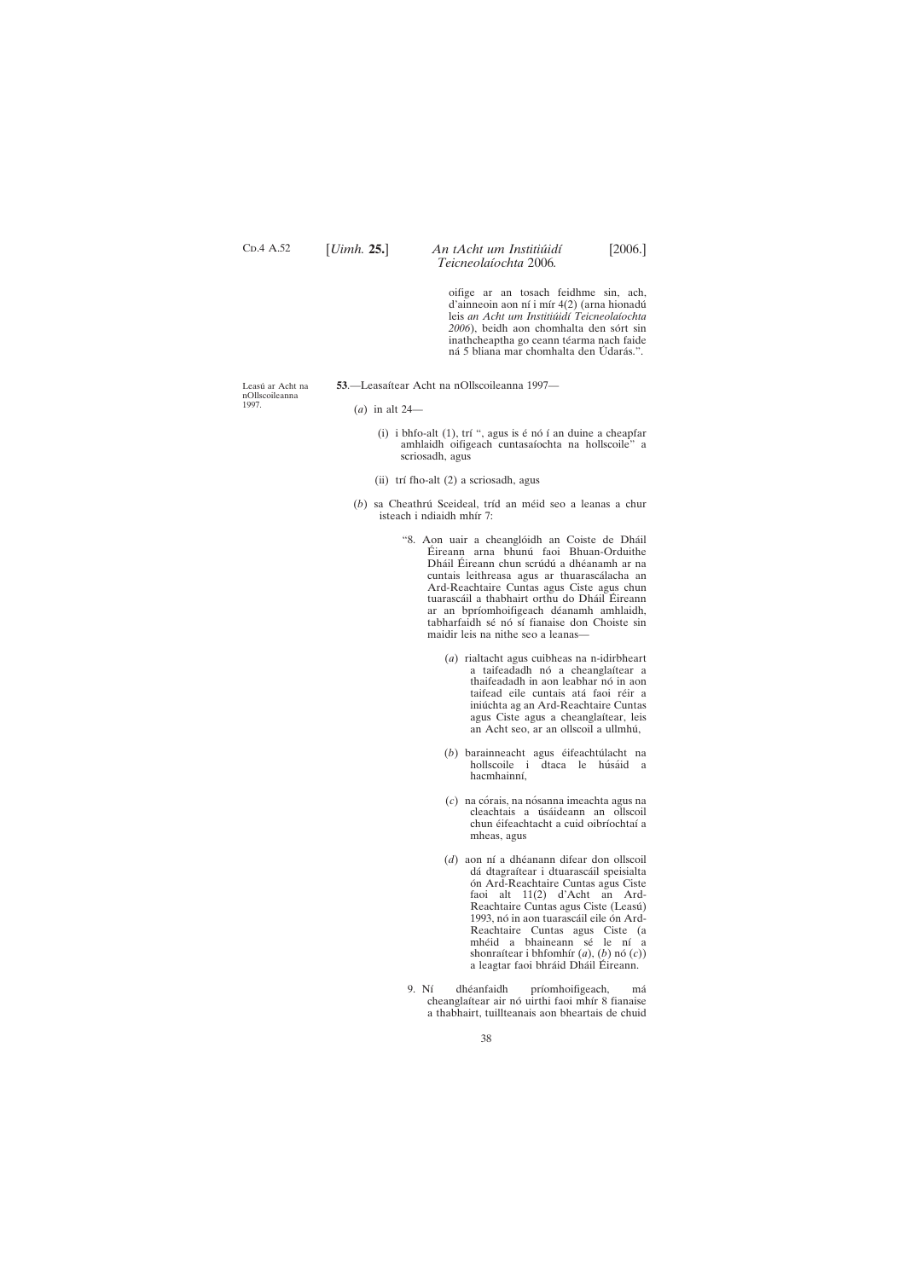Leasú ar Acht na nOllscoileanna 1997.

- 53.—Leasaítear Acht na nOllscoileanna 1997—
	- (*a*) in alt 24—
		- (i) i bhfo-alt  $(1)$ , trí ", agus is é nó í an duine a cheapfar amhlaidh oifigeach cuntasaíochta na hollscoile" a scriosadh, agus
		- (ii) trí fho-alt (2) a scriosadh, agus
	- (b) sa Cheathrú Sceideal, tríd an méid seo a leanas a chur isteach i ndiaidh mhír 7:
		- "8. Aon uair a cheanglóidh an Coiste de Dháil Éireann arna bhunú faoi Bhuan-Orduithe Dháil Éireann chun scrúdú a dhéanamh ar na cuntais leithreasa agus ar thuarascálacha an Ard-Reachtaire Cuntas agus Ciste agus chun tuarascáil a thabhairt orthu do Dháil Éireann ar an bpríomhoifigeach déanamh amhlaidh, tabharfaidh sé nó sí fianaise don Choiste sin maidir leis na nithe seo a leanas—
			- (*a*) rialtacht agus cuibheas na n-idirbheart a taifeadadh nó a cheanglaítear a thaifeadadh in aon leabhar nó in aon taifead eile cuntais atá faoi réir a iniú chta ag an Ard-Reachtaire Cuntas agus Ciste agus a cheanglaítear, leis an Acht seo, ar an ollscoil a ullmhu´,
			- (b) barainneacht agus éifeachtúlacht na hollscoile i dtaca le húsáid a hacmhainní,
			- (*c*) na córais, na nósanna imeachta agus na cleachtais a úsáideann an ollscoil chun éifeachtacht a cuid oibríochtaí a mheas, agus
			- (*d*) aon ní a dhéanann difear don ollscoil dá dtagraítear i dtuarascáil speisialta ón Ard-Reachtaire Cuntas agus Ciste faoi alt 11(2) d'Acht an Ard-Reachtaire Cuntas agus Ciste (Leasú) 1993, nó in aon tuarascáil eile ón Ard-Reachtaire Cuntas agus Ciste (a mhéid a bhaineann sé le ní a shonraítear i bhfomhír  $(a)$ ,  $(b)$  nó $(c)$ ) a leagtar faoi bhráid Dháil Éireann.

38

oifige ar an tosach feidhme sin, ach, d'ainneoin aon ní i mír  $4(2)$  (arna hionadú leis *an Acht um Institiu´idı´ Teicneolaı´ochta* 2006), beidh aon chomhalta den sórt sin inathcheaptha go ceann téarma nach faide ná 5 bliana mar chomhalta den Údarás.".

<span id="page-37-0"></span>C<sub>D</sub>.4 A.52

## [*Uimh.* **25.**] [2006.] *An tAcht um Institiu´idı´ Teicneolaı´ochta* 2006*.*

9. Ní dhéanfaidh príomhoifigeach, má cheanglaítear air nó uirthi faoi mhír 8 fianaise a thabhairt, tuillteanais aon bheartais de chuid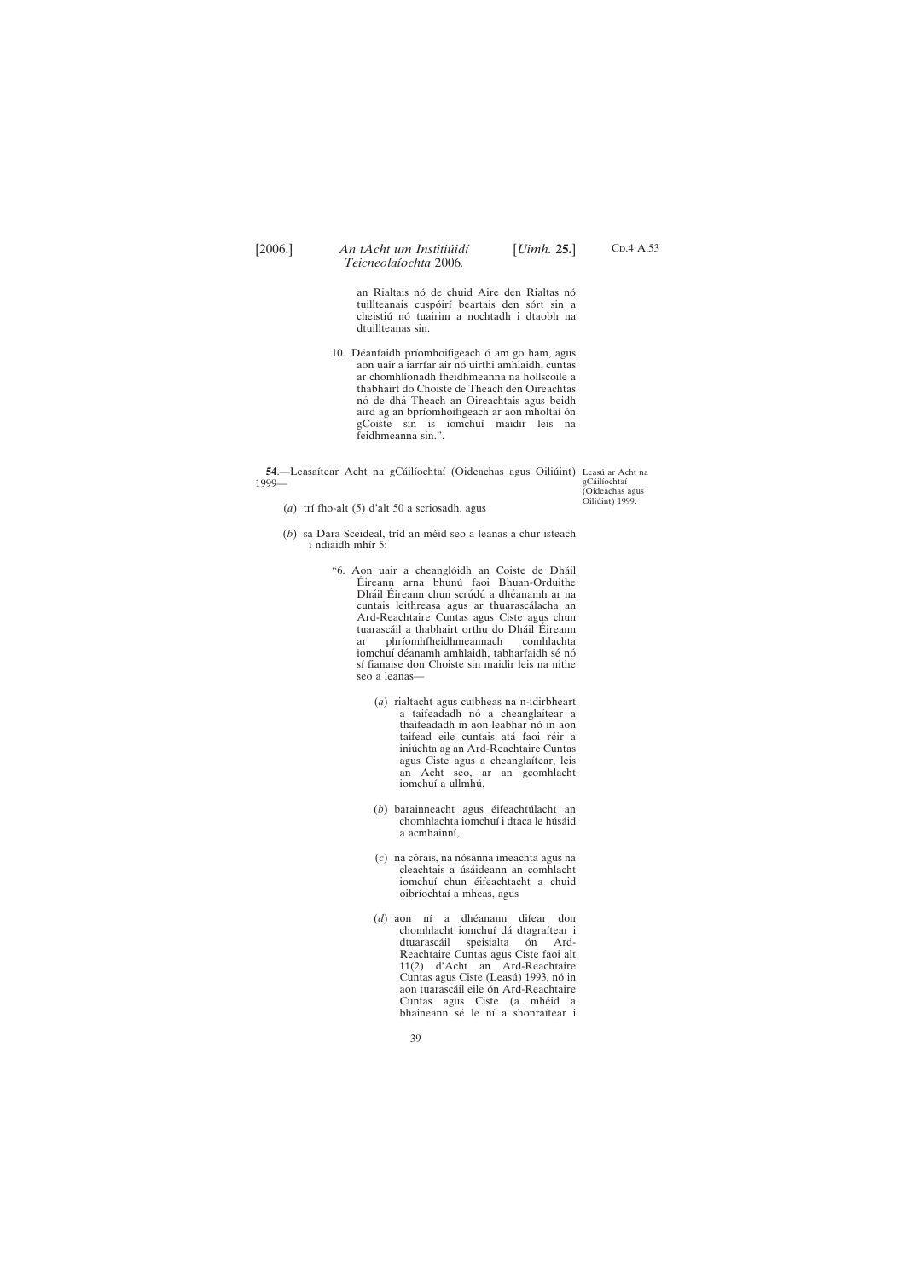<span id="page-38-0"></span>

C<sub>D</sub>.4 A.53

an Rialtais nó de chuid Aire den Rialtas nó tuillteanais cuspóirí beartais den sórt sin a cheistiú nó tuairim a nochtadh i dtaobh na dtuillteanas sin.

10. Déanfaidh príomhoifigeach ó am go ham, agus aon uair a iarrfar air nó uirthi amhlaidh, cuntas ar chomhlíonadh fheidhmeanna na hollscoile a thabhairt do Choiste de Theach den Oireachtas nó de dhá Theach an Oireachtais agus beidh aird ag an bpríomhoifigeach ar aon mholtaí ón gCoiste sin is iomchuí maidir leis na feidhmeanna sin.".

**54.—Leasaítear Acht na gCáilíochtaí (Oideachas agus Oiliúint) Leasú ar Acht na** 1999 gCáilíochtaí

(Oideachas agus Oiliúint) 1999.

- (*a*) trı´ fho-alt (5) d'alt 50 a scriosadh, agus
- (b) sa Dara Sceideal, tríd an méid seo a leanas a chur isteach i ndiaidh mhír 5:
	- "6. Aon uair a cheanglóidh an Coiste de Dháil Eireann arna bhunú faoi Bhuan-Orduithe Dháil Éireann chun scrúdú a dhéanamh ar na cuntais leithreasa agus ar thuarascálacha an Ard-Reachtaire Cuntas agus Ciste agus chun tuarascáil a thabhairt orthu do Dháil Éireann ar phríomhfheidhmeannach comhlachta iomchuí déanamh amhlaidh, tabharfaidh sé nó sí fianaise don Choiste sin maidir leis na nithe seo a leanas—
		- (*a*) rialtacht agus cuibheas na n-idirbheart a taifeadadh nó a cheanglaítear a thaifeadadh in aon leabhar nó in aon taifead eile cuntais atá faoi réir a iniú chta ag an Ard-Reachtaire Cuntas agus Ciste agus a cheanglaítear, leis an Acht seo, ar an gcomhlacht iomchuí a ullmhú,
		- (*b*) barainneacht agus éifeachtúlacht an chomhlachta iomchuí i dtaca le húsáid a acmhainní,
		- (*c*) na córais, na nósanna imeachta agus na cleachtais a úsáideann an comhlacht iomchuí chun éifeachtacht a chuid oibríochtaí a mheas, agus
		- (*d*) aon ní a dhéanann difear don chomhlacht iomchuí dá dtagraítear i dtuarascáil speisialta ón Ard-Reachtaire Cuntas agus Ciste faoi alt 11(2) d'Acht an Ard-Reachtaire

Cuntas agus Ciste (Leasú) 1993, nó in aon tuarascáil eile ón Ard-Reachtaire Cuntas agus Ciste (a mhéid a bhaineann sé le ní a shonraítear i